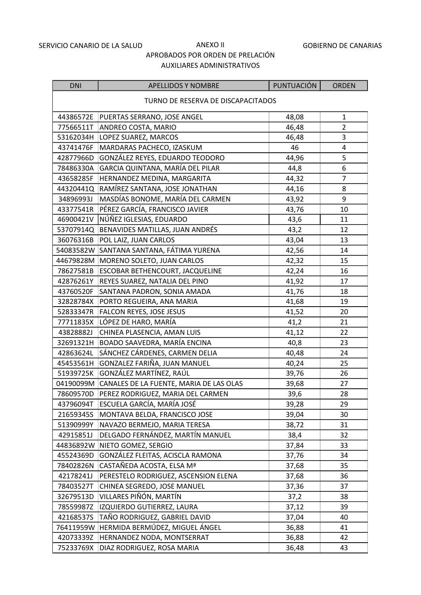#### GOBIERNO DE CANARIAS

| <b>DNI</b>                         | <b>APELLIDOS Y NOMBRE</b>                         | PUNTUACIÓN | <b>ORDEN</b>   |  |
|------------------------------------|---------------------------------------------------|------------|----------------|--|
| TURNO DE RESERVA DE DISCAPACITADOS |                                                   |            |                |  |
| 44386572E                          | PUERTAS SERRANO, JOSE ANGEL                       | 48,08      | $\mathbf{1}$   |  |
| 77566511T                          | ANDREO COSTA, MARIO                               | 46,48      | $\overline{2}$ |  |
| 53162034H                          | LOPEZ SUAREZ, MARCOS                              | 46,48      | 3              |  |
| 43741476F                          | MARDARAS PACHECO, IZASKUM                         | 46         | 4              |  |
| 42877966D                          | GONZÁLEZ REYES, EDUARDO TEODORO                   | 44,96      | 5              |  |
| 78486330A                          | GARCIA QUINTANA, MARÍA DEL PILAR                  | 44,8       | 6              |  |
| 43658285F                          | HERNANDEZ MEDINA, MARGARITA                       | 44,32      | $\overline{7}$ |  |
| 44320441Q                          | RAMÍREZ SANTANA, JOSE JONATHAN                    | 44,16      | 8              |  |
| 34896993J                          | MASDÍAS BONOME, MARÍA DEL CARMEN                  | 43,92      | 9              |  |
| 43377541R                          | PÉREZ GARCÍA, FRANCISCO JAVIER                    | 43,76      | 10             |  |
| 46900421V                          | NÚÑEZ IGLESIAS, EDUARDO                           | 43,6       | 11             |  |
|                                    | 53707914Q BENAVIDES MATILLAS, JUAN ANDRÉS         | 43,2       | 12             |  |
| 36076316B                          | POL LAIZ, JUAN CARLOS                             | 43,04      | 13             |  |
| 54083582W                          | SANTANA SANTANA, FÁTIMA YURENA                    | 42,56      | 14             |  |
| 44679828M                          | MORENO SOLETO, JUAN CARLOS                        | 42,32      | 15             |  |
| 78627581B                          | ESCOBAR BETHENCOURT, JACQUELINE                   | 42,24      | 16             |  |
| 42876261Y                          | REYES SUAREZ, NATALIA DEL PINO                    | 41,92      | 17             |  |
| 43760520F                          | SANTANA PADRON, SONIA AMADA                       | 41,76      | 18             |  |
| 32828784X                          | PORTO REGUEIRA, ANA MARIA                         | 41,68      | 19             |  |
| 52833347R                          | FALCON REYES, JOSE JESUS                          | 41,52      | 20             |  |
| 77711835X                          | LÓPEZ DE HARO, MARÍA                              | 41,2       | 21             |  |
| 43828882J                          | CHINEA PLASENCIA, AMAN LUIS                       | 41,12      | 22             |  |
| 32691321H                          | BOADO SAAVEDRA, MARÍA ENCINA                      | 40,8       | 23             |  |
| 42863624L                          | SÁNCHEZ CÁRDENES, CARMEN DELIA                    | 40,48      | 24             |  |
| 45453561H                          | GONZALEZ FARIÑA, JUAN MANUEL                      | 40,24      | 25             |  |
|                                    | 51939725K GONZÁLEZ MARTÍNEZ, RAÚL                 | 39,76      | 26             |  |
|                                    | 04190099M CANALES DE LA FUENTE, MARIA DE LAS OLAS | 39,68      | 27             |  |
| 78609570D                          | PEREZ RODRIGUEZ, MARIA DEL CARMEN                 | 39,6       | 28             |  |
| 43796094T                          | ESCUELA GARCÍA, MARÍA JOSÉ                        | 39,28      | 29             |  |
| 21659345S                          | MONTAVA BELDA, FRANCISCO JOSE                     | 39,04      | 30             |  |
| 51390999Y                          | NAVAZO BERMEJO, MARIA TERESA                      | 38,72      | 31             |  |
| 42915851J                          | DELGADO FERNÁNDEZ, MARTÍN MANUEL                  | 38,4       | 32             |  |
| 44836892W                          | NIETO GOMEZ, SERGIO                               | 37,84      | 33             |  |
| 45524369D                          | GONZÁLEZ FLEITAS, ACISCLA RAMONA                  | 37,76      | 34             |  |
| 78402826N                          | CASTAÑEDA ACOSTA, ELSA Mª                         | 37,68      | 35             |  |
| 42178241J                          | PERESTELO RODRIGUEZ, ASCENSION ELENA              | 37,68      | 36             |  |
| 78403527T                          | CHINEA SEGREDO, JOSE MANUEL                       | 37,36      | 37             |  |
| 32679513D                          | VILLARES PIÑÓN, MARTÍN                            | 37,2       | 38             |  |
| 78559987Z                          | IZQUIERDO GUTIERREZ, LAURA                        | 37,12      | 39             |  |
| 42168537S                          | TAÑO RODRIGUEZ, GABRIEL DAVID                     | 37,04      | 40             |  |
| 76411959W                          | HERMIDA BERMÚDEZ, MIGUEL ÁNGEL                    | 36,88      | 41             |  |
| 42073339Z                          | HERNANDEZ NODA, MONTSERRAT                        | 36,88      | 42             |  |
| 75233769X                          | DIAZ RODRIGUEZ, ROSA MARIA                        | 36,48      | 43             |  |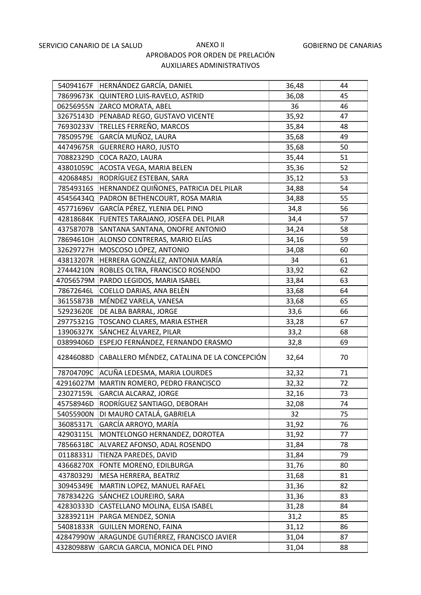| 54094167F | HERNÁNDEZ GARCÍA, DANIEL                    | 36,48 | 44 |
|-----------|---------------------------------------------|-------|----|
| 78699673K | QUINTERO LUIS-RAVELO, ASTRID                | 36,08 | 45 |
| 06256955N | ZARCO MORATA, ABEL                          | 36    | 46 |
| 32675143D | PENABAD REGO, GUSTAVO VICENTE               | 35,92 | 47 |
| 76930233V | TRELLES FERREÑO, MARCOS                     | 35,84 | 48 |
| 78509579E | GARCÍA MUÑOZ, LAURA                         | 35,68 | 49 |
| 44749675R | <b>GUERRERO HARO, JUSTO</b>                 | 35,68 | 50 |
| 70882329D | COCA RAZO, LAURA                            | 35,44 | 51 |
| 43801059C | ACOSTA VEGA, MARIA BELEN                    | 35,36 | 52 |
| 42068485J | RODRÍGUEZ ESTEBAN, SARA                     | 35,12 | 53 |
| 78549316S | HERNANDEZ QUIÑONES, PATRICIA DEL PILAR      | 34,88 | 54 |
| 45456434Q | PADRON BETHENCOURT, ROSA MARIA              | 34,88 | 55 |
| 45771696V | GARCÍA PÉREZ, YLENIA DEL PINO               | 34,8  | 56 |
| 42818684K | FUENTES TARAJANO, JOSEFA DEL PILAR          | 34,4  | 57 |
| 43758707B | SANTANA SANTANA, ONOFRE ANTONIO             | 34,24 | 58 |
| 78694610H | ALONSO CONTRERAS, MARIO ELÍAS               | 34,16 | 59 |
| 32629727H | MOSCOSO LÓPEZ, ANTONIO                      | 34,08 | 60 |
| 43813207R | HERRERA GONZÁLEZ, ANTONIA MARÍA             | 34    | 61 |
| 27444210N | ROBLES OLTRA, FRANCISCO ROSENDO             | 33,92 | 62 |
| 47056579M | PARDO LEGIDOS, MARIA ISABEL                 | 33,84 | 63 |
| 78672646L | COELLO DARIAS, ANA BELÈN                    | 33,68 | 64 |
| 36155873B | MÉNDEZ VARELA, VANESA                       | 33,68 | 65 |
| 52923620E | DE ALBA BARRAL, JORGE                       | 33,6  | 66 |
| 29775321G | TOSCANO CLARES, MARIA ESTHER                | 33,28 | 67 |
| 13906327K | SÁNCHEZ ÁLVAREZ, PILAR                      | 33,2  | 68 |
| 03899406D | ESPEJO FERNÁNDEZ, FERNANDO ERASMO           | 32,8  | 69 |
| 42846088D | CABALLERO MÉNDEZ, CATALINA DE LA CONCEPCIÓN | 32,64 | 70 |
| 78704709C | ACUÑA LEDESMA, MARIA LOURDES                | 32,32 | 71 |
|           | 42916027M   MARTIN ROMERO, PEDRO FRANCISCO  | 32,32 | 72 |
| 23027159L | <b>GARCIA ALCARAZ, JORGE</b>                | 32,16 | 73 |
| 45758946D | RODRÍGUEZ SANTIAGO, DEBORAH                 | 32,08 | 74 |
| 54055900N | DI MAURO CATALÁ, GABRIELA                   | 32    | 75 |
| 36085317L | GARCÍA ARROYO, MARÍA                        | 31,92 | 76 |
| 42903115L | MONTELONGO HERNANDEZ, DOROTEA               | 31,92 | 77 |
| 78566318C | ALVAREZ AFONSO, ADAL ROSENDO                | 31,84 | 78 |
| 01188331J | TIENZA PAREDES, DAVID                       | 31,84 | 79 |
| 43668270X | FONTE MORENO, EDILBURGA                     | 31,76 | 80 |
| 43780329J | MESA HERRERA, BEATRIZ                       | 31,68 | 81 |
| 30945349E | MARTIN LOPEZ, MANUEL RAFAEL                 | 31,36 | 82 |
| 78783422G | SÁNCHEZ LOUREIRO, SARA                      | 31,36 | 83 |
| 42830333D | CASTELLANO MOLINA, ELISA ISABEL             | 31,28 | 84 |
| 32839211H | PARGA MENDEZ, SONIA                         | 31,2  | 85 |
| 54081833R | <b>GUILLEN MORENO, FAINA</b>                | 31,12 | 86 |
| 42847990W | ARAGUNDE GUTIÉRREZ, FRANCISCO JAVIER        | 31,04 | 87 |
| 43280988W | GARCIA GARCIA, MONICA DEL PINO              | 31,04 | 88 |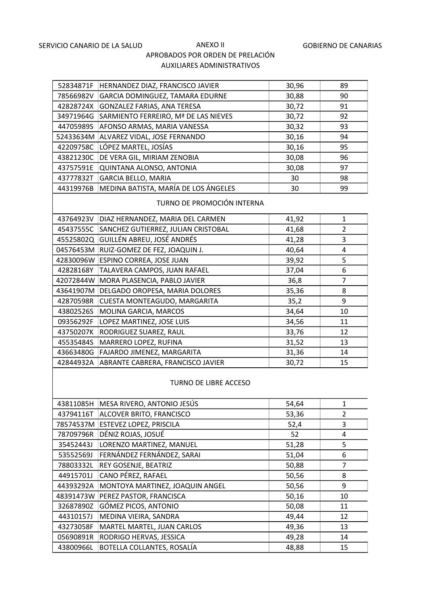| 52834871F | HERNANDEZ DIAZ, FRANCISCO JAVIER     | 30,96 | 89 |
|-----------|--------------------------------------|-------|----|
| 78566982V | GARCIA DOMINGUEZ, TAMARA EDURNE      | 30,88 | 90 |
| 42828724X | GONZALEZ FARIAS, ANA TERESA          | 30,72 | 91 |
| 34971964G | SARMIENTO FERREIRO, Mª DE LAS NIEVES | 30,72 | 92 |
| 44705989S | AFONSO ARMAS, MARIA VANESSA          | 30,32 | 93 |
| 52433634M | ALVAREZ VIDAL, JOSE FERNANDO         | 30,16 | 94 |
| 42209758C | LÓPEZ MARTEL, JOSÍAS                 | 30,16 | 95 |
| 43821230C | DE VERA GIL, MIRIAM ZENOBIA          | 30,08 | 96 |
| 43757591E | QUINTANA ALONSO, ANTONIA             | 30,08 | 97 |
| 43777832T | <b>GARCIA BELLO, MARIA</b>           | 30    | 98 |
| 44319976B | MEDINA BATISTA, MARÍA DE LOS ÁNGELES | 30    | 99 |

#### TURNO DE PROMOCIÓN INTERNA

| 43764923V | DIAZ HERNANDEZ, MARIA DEL CARMEN    | 41,92 | 1  |
|-----------|-------------------------------------|-------|----|
| 45437555C | SANCHEZ GUTIERREZ, JULIAN CRISTOBAL | 41,68 | 2  |
| 45525802Q | GUILLÉN ABREU, JOSÉ ANDRÉS          | 41,28 | 3  |
| 04576453M | RUIZ-GOMEZ DE FEZ, JOAQUIN J.       | 40,64 | 4  |
| 42830096W | ESPINO CORREA, JOSE JUAN            | 39,92 | 5  |
| 42828168Y | TALAVERA CAMPOS, JUAN RAFAEL        | 37,04 | 6  |
| 42072844W | MORA PLASENCIA, PABLO JAVIER        | 36,8  | 7  |
| 43641907M | DELGADO OROPESA, MARIA DOLORES      | 35,36 | 8  |
| 42870598R | CUESTA MONTEAGUDO, MARGARITA        | 35,2  | 9  |
| 43802526S | <b>MOLINA GARCIA, MARCOS</b>        | 34,64 | 10 |
| 09356292F | LOPEZ MARTINEZ, JOSE LUIS           | 34,56 | 11 |
| 43750207K | RODRIGUEZ SUAREZ, RAUL              | 33,76 | 12 |
| 45535484S | MARRERO LOPEZ, RUFINA               | 31,52 | 13 |
| 43663480G | FAJARDO JIMENEZ, MARGARITA          | 31,36 | 14 |
| 42844932A | ABRANTE CABRERA, FRANCISCO JAVIER   | 30,72 | 15 |

#### TURNO DE LIBRE ACCESO

| 43811085H | MESA RIVERO, ANTONIO JESÚS      | 54,64 |    |
|-----------|---------------------------------|-------|----|
| 43794116T | ALCOVER BRITO, FRANCISCO        | 53,36 | 2  |
| 78574537M | ESTEVEZ LOPEZ, PRISCILA         | 52,4  | 3  |
| 78709796R | DÉNIZ ROJAS, JOSUÉ              | 52    | 4  |
| 35452443J | LORENZO MARTINEZ, MANUEL        | 51,28 | 5  |
| 53552569J | FERNÁNDEZ FERNÁNDEZ, SARAI      | 51,04 | 6  |
| 78803332L | REY GOSENJE, BEATRIZ            | 50,88 | 7  |
| 44915701J | CANO PÉREZ, RAFAEL              | 50,56 | 8  |
| 44393292A | MONTOYA MARTINEZ, JOAQUIN ANGEL | 50,56 | 9  |
| 48391473W | PEREZ PASTOR, FRANCISCA         | 50,16 | 10 |
| 32687890Z | GÓMEZ PICOS, ANTONIO            | 50,08 | 11 |
| 44310157J | MEDINA VIEIRA, SANDRA           | 49,44 | 12 |
| 43273058F | MARTEL MARTEL, JUAN CARLOS      | 49,36 | 13 |
| 05690891R | RODRIGO HERVAS, JESSICA         | 49,28 | 14 |
| 43800966L | BOTELLA COLLANTES, ROSALÍA      | 48,88 | 15 |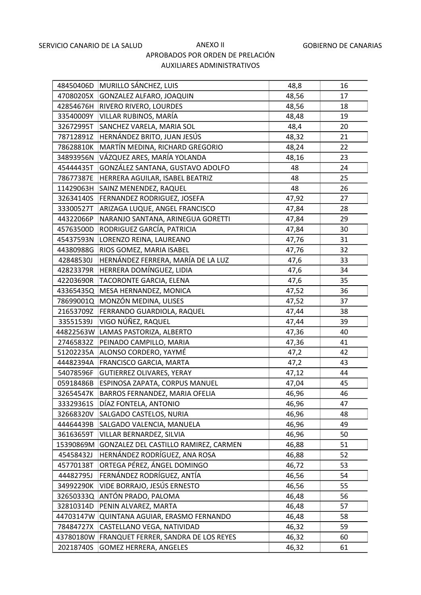| 48450406D | MURILLO SÁNCHEZ, LUIS                 | 48,8  | 16 |
|-----------|---------------------------------------|-------|----|
| 47080205X | GONZALEZ ALFARO, JOAQUIN              | 48,56 | 17 |
| 42854676H | RIVERO RIVERO, LOURDES                | 48,56 | 18 |
| 33540009Y | VILLAR RUBINOS, MARÍA                 | 48,48 | 19 |
| 32672995T | SANCHEZ VARELA, MARIA SOL             | 48,4  | 20 |
| 78712891Z | HERNÁNDEZ BRITO, JUAN JESÚS           | 48,32 | 21 |
| 78628810K | MARTÍN MEDINA, RICHARD GREGORIO       | 48,24 | 22 |
| 34893956N | VÁZQUEZ ARES, MARÍA YOLANDA           | 48,16 | 23 |
| 45444435T | GONZÁLEZ SANTANA, GUSTAVO ADOLFO      | 48    | 24 |
| 78677387E | HERRERA AGUILAR, ISABEL BEATRIZ       | 48    | 25 |
| 11429063H | SAINZ MENENDEZ, RAQUEL                | 48    | 26 |
| 32634140S | FERNANDEZ RODRIGUEZ, JOSEFA           | 47,92 | 27 |
| 33300527T | ARIZAGA LUQUE, ANGEL FRANCISCO        | 47,84 | 28 |
| 44322066P | NARANJO SANTANA, ARINEGUA GORETTI     | 47,84 | 29 |
| 45763500D | RODRIGUEZ GARCÍA, PATRICIA            | 47,84 | 30 |
| 45437593N | LORENZO REINA, LAUREANO               | 47,76 | 31 |
| 44380988G | RIOS GOMEZ, MARIA ISABEL              | 47,76 | 32 |
| 42848530J | HERNÁNDEZ FERRERA, MARÍA DE LA LUZ    | 47,6  | 33 |
| 42823379R | HERRERA DOMÍNGUEZ, LIDIA              | 47,6  | 34 |
| 42203690R | TACORONTE GARCIA, ELENA               | 47,6  | 35 |
| 43365435Q | MESA HERNANDEZ, MONICA                | 47,52 | 36 |
| 78699001Q | MONZÓN MEDINA, ULISES                 | 47,52 | 37 |
| 21653709Z | FERRANDO GUARDIOLA, RAQUEL            | 47,44 | 38 |
| 33551539J | VIGO NÚÑEZ, RAQUEL                    | 47,44 | 39 |
| 44822563W | LAMAS PASTORIZA, ALBERTO              | 47,36 | 40 |
| 27465832Z | PEINADO CAMPILLO, MARIA               | 47,36 | 41 |
| 51202235A | ALONSO CORDERO, YAYMÉ                 | 47,2  | 42 |
| 44482394A | FRANCISCO GARCIA, MARTA               | 47,2  | 43 |
| 54078596F | <b>GUTIERREZ OLIVARES, YERAY</b>      | 47,12 | 44 |
| 05918486B | ESPINOSA ZAPATA, CORPUS MANUEL        | 47,04 | 45 |
| 32654547K | BARROS FERNANDEZ, MARIA OFELIA        | 46,96 | 46 |
| 33329361S | DÍAZ FONTELA, ANTONIO                 | 46,96 | 47 |
| 32668320V | SALGADO CASTELOS, NURIA               | 46,96 | 48 |
| 44464439B | SALGADO VALENCIA, MANUELA             | 46,96 | 49 |
| 36163659T | VILLAR BERNARDEZ, SILVIA              | 46,96 | 50 |
| 15390869M | GONZALEZ DEL CASTILLO RAMIREZ, CARMEN | 46,88 | 51 |
| 45458432J | HERNÁNDEZ RODRÍGUEZ, ANA ROSA         | 46,88 | 52 |
| 45770138T | ORTEGA PÉREZ, ÁNGEL DOMINGO           | 46,72 | 53 |
| 44482795J | FERNÁNDEZ RODRÍGUEZ, ANTÍA            | 46,56 | 54 |
| 34992290K | VIDE BORRAJO, JESÚS ERNESTO           | 46,56 | 55 |
| 32650333Q | ANTÓN PRADO, PALOMA                   | 46,48 | 56 |
| 32810314D | PENIN ALVAREZ, MARTA                  | 46,48 | 57 |
| 44703147W | QUINTANA AGUIAR, ERASMO FERNANDO      | 46,48 | 58 |
| 78484727X | CASTELLANO VEGA, NATIVIDAD            | 46,32 | 59 |
| 43780180W | FRANQUET FERRER, SANDRA DE LOS REYES  | 46,32 | 60 |
| 20218740S | <b>GOMEZ HERRERA, ANGELES</b>         | 46,32 | 61 |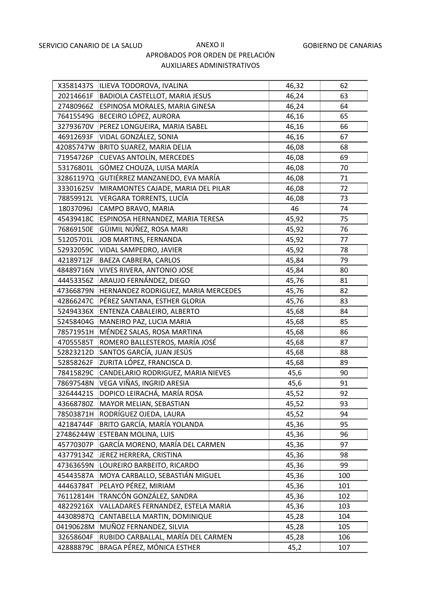| X3581437S | ILIEVA TODOROVA, IVALINA              | 46,32 | 62  |
|-----------|---------------------------------------|-------|-----|
| 20214661F | <b>BADIOLA CASTELLOT, MARIA JESUS</b> | 46,24 | 63  |
| 27480966Z | ESPINOSA MORALES, MARIA GINESA        | 46,24 | 64  |
| 76415549G | BECEIRO LÓPEZ, AURORA                 | 46,16 | 65  |
| 32793670V | PEREZ LONGUEIRA, MARIA ISABEL         | 46,16 | 66  |
| 46912693F | VIDAL GONZÁLEZ, SONIA                 | 46,16 | 67  |
| 42085747W | BRITO SUAREZ, MARIA DELIA             | 46,08 | 68  |
| 71954726P | <b>CUEVAS ANTOLÍN, MERCEDES</b>       | 46,08 | 69  |
| 53176801L | GÓMEZ CHOUZA, LUISA MARÍA             | 46,08 | 70  |
| 32861197Q | GUTIÉRREZ MANZANEDO, EVA MARÍA        | 46,08 | 71  |
| 33301625V | MIRAMONTES CAJADE, MARIA DEL PILAR    | 46,08 | 72  |
| 78859912L | VERGARA TORRENTS, LUCÍA               | 46,08 | 73  |
| 18037096J | CAMPO BRAVO, MARIA                    | 46    | 74  |
| 45439418C | ESPINOSA HERNANDEZ, MARIA TERESA      | 45,92 | 75  |
| 76869150E | GÜIMIL NÚÑEZ, ROSA MARI               | 45,92 | 76  |
| 51205701L | JOB MARTINS, FERNANDA                 | 45,92 | 77  |
| 52932059C | VIDAL SAMPEDRO, JAVIER                | 45,92 | 78  |
| 42189712F | BAEZA CABRERA, CARLOS                 | 45,84 | 79  |
| 48489716N | VIVES RIVERA, ANTONIO JOSE            | 45,84 | 80  |
| 44453356Z | ARAUJO FERNÁNDEZ, DIEGO               | 45,76 | 81  |
| 47366879N | HERNANDEZ RODRIGUEZ, MARIA MERCEDES   | 45,76 | 82  |
| 42866247C | PÉREZ SANTANA, ESTHER GLORIA          | 45,76 | 83  |
| 52494336X | ENTENZA CABALEIRO, ALBERTO            | 45,68 | 84  |
| 52458404G | MANEIRO PAZ, LUCIA MARIA              | 45,68 | 85  |
| 78571951H | MÉNDEZ SALAS, ROSA MARTINA            | 45,68 | 86  |
| 47055585T | ROMERO BALLESTEROS, MARÍA JOSÉ        | 45,68 | 87  |
| 52823212D | SANTOS GARCÍA, JUAN JESÚS             | 45,68 | 88  |
| 52858262F | ZURITA LÓPEZ, FRANCISCA D.            | 45,68 | 89  |
| 78415829C | CANDELARIO RODRIGUEZ, MARIA NIEVES    | 45,6  | 90  |
| 78697548N | VEGA VIÑAS, INGRID ARESIA             | 45,6  | 91  |
| 32644421S | DOPICO LEIRACHÁ, MARÍA ROSA           | 45,52 | 92  |
| 43668780Z | MAYOR MELIAN, SEBASTIAN               | 45,52 | 93  |
| 78503871H | RODRÍGUEZ OJEDA, LAURA                | 45,52 | 94  |
| 42184744F | BRITO GARCÍA, MARÍA YOLANDA           | 45,36 | 95  |
| 27486244W | ESTEBAN MOLINA, LUIS                  | 45,36 | 96  |
| 45770307P | GARCÍA MORENO, MARÍA DEL CARMEN       | 45,36 | 97  |
| 43779134Z | JEREZ HERRERA, CRISTINA               | 45,36 | 98  |
| 47363659N | LOUREIRO BARBEITO, RICARDO            | 45,36 | 99  |
| 45443587A | MOYA CARBALLO, SEBASTIÁN MIGUEL       | 45,36 | 100 |
| 44463784T | PELAYO PÉREZ, MIRIAM                  | 45,36 | 101 |
| 76112814H | TRANCÓN GONZÁLEZ, SANDRA              | 45,36 | 102 |
| 48229216X | VALLADARES FERNANDEZ, ESTELA MARIA    | 45,36 | 103 |
| 44308987Q | CANTABELLA MARTIN, DOMINIQUE          | 45,28 | 104 |
| 04190628M | MUÑOZ FERNANDEZ, SILVIA               | 45,28 | 105 |
| 32658604F | RUBIDO CARBALLAL, MARÍA DEL CARMEN    | 45,28 | 106 |
| 42888879C | BRAGA PÉREZ, MÓNICA ESTHER            | 45,2  | 107 |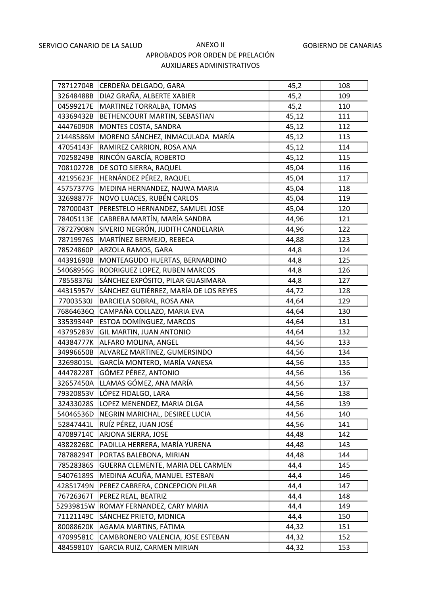| 78712704B | CERDEÑA DELGADO, GARA                 | 45,2  | 108 |
|-----------|---------------------------------------|-------|-----|
| 32648488B | DIAZ GRAÑA, ALBERTE XABIER            | 45,2  | 109 |
| 04599217E | MARTINEZ TORRALBA, TOMAS              | 45,2  | 110 |
| 43369432B | BETHENCOURT MARTIN, SEBASTIAN         | 45,12 | 111 |
| 44476090R | MONTES COSTA, SANDRA                  | 45,12 | 112 |
| 21448586M | MORENO SÁNCHEZ, INMACULADA MARÍA      | 45,12 | 113 |
| 47054143F | RAMIREZ CARRION, ROSA ANA             | 45,12 | 114 |
| 70258249B | RINCÓN GARCÍA, ROBERTO                | 45,12 | 115 |
| 70810272B | DE SOTO SIERRA, RAQUEL                | 45,04 | 116 |
| 42195623F | HERNÁNDEZ PÉREZ, RAQUEL               | 45,04 | 117 |
| 45757377G | MEDINA HERNANDEZ, NAJWA MARIA         | 45,04 | 118 |
| 32698877F | NOVO LUACES, RUBÉN CARLOS             | 45,04 | 119 |
| 78700043T | PERESTELO HERNANDEZ, SAMUEL JOSE      | 45,04 | 120 |
| 78405113E | CABRERA MARTÍN, MARÍA SANDRA          | 44,96 | 121 |
| 78727908N | SIVERIO NEGRÓN, JUDITH CANDELARIA     | 44,96 | 122 |
| 78719976S | MARTÍNEZ BERMEJO, REBECA              | 44,88 | 123 |
| 78524860P | ARZOLA RAMOS, GARA                    | 44,8  | 124 |
| 44391690B | MONTEAGUDO HUERTAS, BERNARDINO        | 44,8  | 125 |
| 54068956G | RODRIGUEZ LOPEZ, RUBEN MARCOS         | 44,8  | 126 |
| 78558376J | SÁNCHEZ EXPÓSITO, PILAR GUASIMARA     | 44,8  | 127 |
| 44315957V | SÁNCHEZ GUTIÉRREZ, MARÍA DE LOS REYES | 44,72 | 128 |
| 77003530J | BARCIELA SOBRAL, ROSA ANA             | 44,64 | 129 |
| 76864636Q | CAMPAÑA COLLAZO, MARIA EVA            | 44,64 | 130 |
| 33539344P | ESTOA DOMÍNGUEZ, MARCOS               | 44,64 | 131 |
| 43795283V | <b>GIL MARTIN, JUAN ANTONIO</b>       | 44,64 | 132 |
| 44384777K | ALFARO MOLINA, ANGEL                  | 44,56 | 133 |
| 34996650B | ALVAREZ MARTINEZ, GUMERSINDO          | 44,56 | 134 |
| 32698015L | GARCÍA MONTERO, MARÍA VANESA          | 44,56 | 135 |
| 44478228T | GÓMEZ PÉREZ, ANTONIO                  | 44,56 | 136 |
| 32657450A | LLAMAS GÓMEZ, ANA MARÍA               | 44,56 | 137 |
| 79320853V | LÓPEZ FIDALGO, LARA                   | 44,56 | 138 |
| 32433028S | LOPEZ MENENDEZ, MARIA OLGA            | 44,56 | 139 |
| 54046536D | NEGRIN MARICHAL, DESIREE LUCIA        | 44,56 | 140 |
| 52847441L | RUÍZ PÉREZ, JUAN JOSÉ                 | 44,56 | 141 |
| 47089714C | ARJONA SIERRA, JOSE                   | 44,48 | 142 |
| 43828268C | PADILLA HERRERA, MARÍA YURENA         | 44,48 | 143 |
| 78788294T | PORTAS BALEBONA, MIRIAN               | 44,48 | 144 |
| 78528386S | GUERRA CLEMENTE, MARIA DEL CARMEN     | 44,4  | 145 |
| 54076189S | MEDINA ACUÑA, MANUEL ESTEBAN          | 44,4  | 146 |
| 42851749N | PEREZ CABRERA, CONCEPCION PILAR       | 44,4  | 147 |
| 76726367T | PEREZ REAL, BEATRIZ                   | 44,4  | 148 |
| 52939815W | ROMAY FERNANDEZ, CARY MARIA           | 44,4  | 149 |
| 71121149C | SÁNCHEZ PRIETO, MONICA                | 44,4  | 150 |
| 80088620K | AGAMA MARTINS, FÁTIMA                 | 44,32 | 151 |
| 47099581C | CAMBRONERO VALENCIA, JOSE ESTEBAN     | 44,32 | 152 |
| 48459810Y | GARCIA RUIZ, CARMEN MIRIAN            | 44,32 | 153 |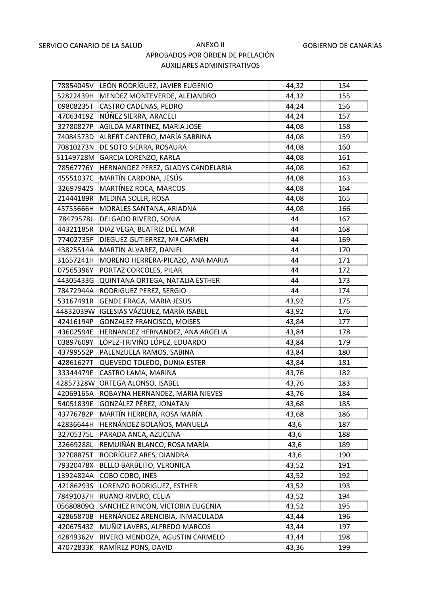| 78854045V | LEÓN RODRÍGUEZ, JAVIER EUGENIO     | 44,32 | 154 |
|-----------|------------------------------------|-------|-----|
| 52822439H | MENDEZ MONTEVERDE, ALEJANDRO       | 44,32 | 155 |
| 09808235T | <b>CASTRO CADENAS, PEDRO</b>       | 44,24 | 156 |
| 47063419Z | NÚÑEZ SIERRA, ARACELI              | 44,24 | 157 |
| 32780827P | AGILDA MARTINEZ, MARIA JOSE        | 44,08 | 158 |
| 74084573D | ALBERT CANTERO, MARÍA SABRINA      | 44,08 | 159 |
| 70810273N | DE SOTO SIERRA, ROSAURA            | 44,08 | 160 |
| 51149728M | GARCIA LORENZO, KARLA              | 44,08 | 161 |
| 78567776Y | HERNANDEZ PEREZ, GLADYS CANDELARIA | 44,08 | 162 |
| 45551037C | MARTÍN CARDONA, JESÚS              | 44,08 | 163 |
| 32697942S | MARTÍNEZ ROCA, MARCOS              | 44,08 | 164 |
| 21444189R | MEDINA SOLER, ROSA                 | 44,08 | 165 |
| 45755666H | MORALES SANTANA, ARIADNA           | 44,08 | 166 |
| 78479578J | DELGADO RIVERO, SONIA              | 44    | 167 |
| 44321185R | DIAZ VEGA, BEATRIZ DEL MAR         | 44    | 168 |
| 77402735F | DIEGUEZ GUTIERREZ, Mª CARMEN       | 44    | 169 |
| 43825514A | MARTÍN ÁLVAREZ, DANIEL             | 44    | 170 |
| 31657241H | MORENO HERRERA-PICAZO, ANA MARIA   | 44    | 171 |
| 07565396Y | PORTAZ CORCOLES, PILAR             | 44    | 172 |
| 44305433G | QUINTANA ORTEGA, NATALIA ESTHER    | 44    | 173 |
| 78472944A | RODRIGUEZ PEREZ, SERGIO            | 44    | 174 |
| 53167491R | GENDE FRAGA, MARIA JESUS           | 43,92 | 175 |
| 44832039W | IGLESIAS VÁZQUEZ, MARÍA ISABEL     | 43,92 | 176 |
| 42416194P | <b>GONZALEZ FRANCISCO, MOISES</b>  | 43,84 | 177 |
| 43602594E | HERNANDEZ HERNANDEZ, ANA ARGELIA   | 43,84 | 178 |
| 03897609Y | LÓPEZ-TRIVIÑO LÓPEZ, EDUARDO       | 43,84 | 179 |
| 43799552P | PALENZUELA RAMOS, SABINA           | 43,84 | 180 |
| 42861627T | QUEVEDO TOLEDO, DUNIA ESTER        | 43,84 | 181 |
| 33344479E | CASTRO LAMA, MARINA                | 43,76 | 182 |
| 42857328W | ORTEGA ALONSO, ISABEL              | 43,76 | 183 |
| 42069165A | ROBAYNA HERNANDEZ, MARIA NIEVES    | 43,76 | 184 |
| 54051839E | GONZÁLEZ PÉREZ, JONATAN            | 43,68 | 185 |
| 43776782P | MARTÍN HERRERA, ROSA MARÍA         | 43,68 | 186 |
| 42836644H | HERNÁNDEZ BOLAÑOS, MANUELA         | 43,6  | 187 |
| 32705375L | PARADA ANCA, AZUCENA               | 43,6  | 188 |
| 32669288L | REMUIÑÁN BLANCO, ROSA MARÍA        | 43,6  | 189 |
| 32708875T | RODRÍGUEZ ARES, DIANDRA            | 43,6  | 190 |
| 79320478X | <b>BELLO BARBEITO, VERONICA</b>    | 43,52 | 191 |
| 13924824A | COBO COBO, INES                    | 43,52 | 192 |
| 42186293S | LORENZO RODRIGUEZ, ESTHER          | 43,52 | 193 |
| 78491037H | RUANO RIVERO, CELIA                | 43,52 | 194 |
| 05680809Q | SANCHEZ RINCON, VICTORIA EUGENIA   | 43,52 | 195 |
| 42865870B | HERNÁNDEZ ARENCIBIA, INMACULADA    | 43,44 | 196 |
| 42067543Z | MUÑIZ LAVERS, ALFREDO MARCOS       | 43,44 | 197 |
| 42849362V | RIVERO MENDOZA, AGUSTIN CARMELO    | 43,44 | 198 |
| 47072833K | RAMÍREZ PONS, DAVID                | 43,36 | 199 |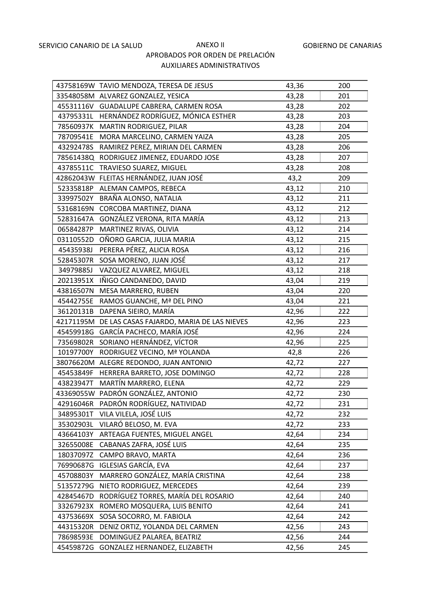|           | 43758169W TAVIO MENDOZA, TERESA DE JESUS            | 43,36 | 200 |
|-----------|-----------------------------------------------------|-------|-----|
|           | 33548058M ALVAREZ GONZALEZ, YESICA                  | 43,28 | 201 |
|           | 45531116V GUADALUPE CABRERA, CARMEN ROSA            | 43,28 | 202 |
|           | 43795331L HERNÁNDEZ RODRÍGUEZ, MÓNICA ESTHER        | 43,28 | 203 |
|           | 78560937K MARTIN RODRIGUEZ, PILAR                   | 43,28 | 204 |
|           | 78709541E MORA MARCELINO, CARMEN YAIZA              | 43,28 | 205 |
|           | 43292478S RAMIREZ PEREZ, MIRIAN DEL CARMEN          | 43,28 | 206 |
|           | 78561438Q RODRIGUEZ JIMENEZ, EDUARDO JOSE           | 43,28 | 207 |
|           | 43785511C TRAVIESO SUAREZ, MIGUEL                   | 43,28 | 208 |
|           | 42862043W FLEITAS HERNÁNDEZ, JUAN JOSÉ              | 43,2  | 209 |
| 52335818P | ALEMAN CAMPOS, REBECA                               | 43,12 | 210 |
| 33997502Y | BRAÑA ALONSO, NATALIA                               | 43,12 | 211 |
| 53168169N | CORCOBA MARTINEZ, DIANA                             | 43,12 | 212 |
| 52831647A | GONZÁLEZ VERONA, RITA MARÍA                         | 43,12 | 213 |
| 06584287P | MARTINEZ RIVAS, OLIVIA                              | 43,12 | 214 |
| 03110552D | OÑORO GARCIA, JULIA MARIA                           | 43,12 | 215 |
| 45435938J | PERERA PÉREZ, ALICIA ROSA                           | 43,12 | 216 |
| 52845307R | SOSA MORENO, JUAN JOSÉ                              | 43,12 | 217 |
| 34979885J | VAZQUEZ ALVAREZ, MIGUEL                             | 43,12 | 218 |
| 20213951X | IÑIGO CANDANEDO, DAVID                              | 43,04 | 219 |
| 43816507N | MESA MARRERO, RUBEN                                 | 43,04 | 220 |
|           | 45442755E RAMOS GUANCHE, Mª DEL PINO                | 43,04 | 221 |
| 36120131B | DAPENA SIEIRO, MARÍA                                | 42,96 | 222 |
|           | 42171195M DE LAS CASAS FAJARDO, MARIA DE LAS NIEVES | 42,96 | 223 |
|           | 45459918G GARCÍA PACHECO, MARÍA JOSÉ                | 42,96 | 224 |
|           | 73569802R SORIANO HERNÁNDEZ, VÍCTOR                 | 42,96 | 225 |
| 10197700Y | RODRIGUEZ VECINO, Mª YOLANDA                        | 42,8  | 226 |
|           | 38076620M ALEGRE REDONDO, JUAN ANTONIO              | 42,72 | 227 |
| 45453849F | HERRERA BARRETO, JOSE DOMINGO                       | 42,72 | 228 |
| 43823947T | MARTÍN MARRERO, ELENA                               | 42,72 | 229 |
|           | 43369055W PADRÓN GONZÁLEZ, ANTONIO                  | 42,72 | 230 |
| 42916046R | PADRÓN RODRÍGUEZ, NATIVIDAD                         | 42,72 | 231 |
| 34895301T | VILA VILELA, JOSÉ LUIS                              | 42,72 | 232 |
| 35302903L | VILARÓ BELOSO, M. EVA                               | 42,72 | 233 |
| 43664103Y | ARTEAGA FUENTES, MIGUEL ANGEL                       | 42,64 | 234 |
| 32655008E | CABANAS ZAFRA, JOSÉ LUIS                            | 42,64 | 235 |
| 18037097Z | CAMPO BRAVO, MARTA                                  | 42,64 | 236 |
| 76990687G | <b>IGLESIAS GARCÍA, EVA</b>                         | 42,64 | 237 |
| 45708803Y | MARRERO GONZÁLEZ, MARÍA CRISTINA                    | 42,64 | 238 |
| 51357279G | NIETO RODRIGUEZ, MERCEDES                           | 42,64 | 239 |
| 42845467D | RODRÍGUEZ TORRES, MARÍA DEL ROSARIO                 | 42,64 | 240 |
| 33267923X | ROMERO MOSQUERA, LUIS BENITO                        | 42,64 | 241 |
| 43753669X | SOSA SOCORRO, M. FABIOLA                            | 42,64 | 242 |
| 44315320R | DENIZ ORTIZ, YOLANDA DEL CARMEN                     | 42,56 | 243 |
| 78698593E | DOMINGUEZ PALAREA, BEATRIZ                          | 42,56 | 244 |
| 45459872G | GONZALEZ HERNANDEZ, ELIZABETH                       | 42,56 | 245 |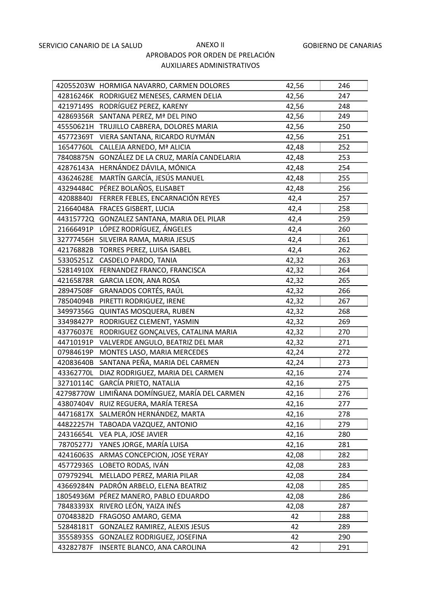|           | 42055203W HORMIGA NAVARRO, CARMEN DOLORES      | 42,56 | 246 |
|-----------|------------------------------------------------|-------|-----|
|           | 42816246K RODRIGUEZ MENESES, CARMEN DELIA      | 42,56 | 247 |
|           | 42197149S RODRÍGUEZ PEREZ, KARENY              | 42,56 | 248 |
|           | 42869356R SANTANA PEREZ, Mª DEL PINO           | 42,56 | 249 |
|           | 45550621H TRUJILLO CABRERA, DOLORES MARIA      | 42,56 | 250 |
| 45772369T | VIERA SANTANA, RICARDO RUYMÁN                  | 42,56 | 251 |
| 16547760L | CALLEJA ARNEDO, Mª ALICIA                      | 42,48 | 252 |
| 78408875N | GONZÁLEZ DE LA CRUZ, MARÍA CANDELARIA          | 42,48 | 253 |
| 42876143A | HERNÁNDEZ DÁVILA, MÓNICA                       | 42,48 | 254 |
| 43624628E | MARTÍN GARCÍA, JESÚS MANUEL                    | 42,48 | 255 |
|           | 43294484C PÉREZ BOLAÑOS, ELISABET              | 42,48 | 256 |
| 42088840J | FERRER FEBLES, ENCARNACIÓN REYES               | 42,4  | 257 |
| 21664048A | FRACES GISBERT, LUCIA                          | 42,4  | 258 |
|           | 44315772Q GONZALEZ SANTANA, MARIA DEL PILAR    | 42,4  | 259 |
| 21666491P | LÓPEZ RODRÍGUEZ, ÁNGELES                       | 42,4  | 260 |
|           | 32777456H SILVEIRA RAMA, MARIA JESUS           | 42,4  | 261 |
|           | 42176882B TORRES PEREZ, LUISA ISABEL           | 42,4  | 262 |
| 53305251Z | CASDELO PARDO, TANIA                           | 42,32 | 263 |
|           | 52814910X FERNANDEZ FRANCO, FRANCISCA          | 42,32 | 264 |
| 42165878R | <b>GARCIA LEON, ANA ROSA</b>                   | 42,32 | 265 |
| 28947508F | GRANADOS CORTÉS, RAÚL                          | 42,32 | 266 |
| 78504094B | PIRETTI RODRIGUEZ, IRENE                       | 42,32 | 267 |
| 34997356G | QUINTAS MOSQUERA, RUBEN                        | 42,32 | 268 |
| 33498427P | RODRIGUEZ CLEMENT, YASMIN                      | 42,32 | 269 |
| 43776037E | RODRIGUEZ GONÇALVES, CATALINA MARIA            | 42,32 | 270 |
| 44710191P | VALVERDE ANGULO, BEATRIZ DEL MAR               | 42,32 | 271 |
| 07984619P | MONTES LASO, MARIA MERCEDES                    | 42,24 | 272 |
| 42083640B | SANTANA PEÑA, MARIA DEL CARMEN                 | 42,24 | 273 |
| 43362770L | DIAZ RODRIGUEZ, MARIA DEL CARMEN               | 42,16 | 274 |
|           | 32710114C GARCÍA PRIETO, NATALIA               | 42,16 | 275 |
|           | 42798770W LIMIÑANA DOMÍNGUEZ, MARÍA DEL CARMEN | 42,16 | 276 |
| 43807404V | RUIZ REGUERA, MARÍA TERESA                     | 42,16 | 277 |
| 44716817X | SALMERÓN HERNÁNDEZ, MARTA                      | 42,16 | 278 |
| 44822257H | TABOADA VAZQUEZ, ANTONIO                       | 42,16 | 279 |
| 24316654L | VEA PLA, JOSE JAVIER                           | 42,16 | 280 |
| 78705277J | YANES JORGE, MARÍA LUISA                       | 42,16 | 281 |
| 42416063S | ARMAS CONCEPCION, JOSE YERAY                   | 42,08 | 282 |
| 45772936S | LOBETO RODAS, IVÁN                             | 42,08 | 283 |
| 07979294L | MELLADO PEREZ, MARIA PILAR                     | 42,08 | 284 |
| 43669284N | PADRÓN ARBELO, ELENA BEATRIZ                   | 42,08 | 285 |
| 18054936M | PÉREZ MANERO, PABLO EDUARDO                    | 42,08 | 286 |
| 78483393X | RIVERO LEÓN, YAIZA INÉS                        | 42,08 | 287 |
| 07048382D | FRAGOSO AMARO, GEMA                            | 42    | 288 |
| 52848181T | GONZALEZ RAMIREZ, ALEXIS JESUS                 | 42    | 289 |
| 35558935S | GONZALEZ RODRIGUEZ, JOSEFINA                   | 42    | 290 |
| 43282787F | INSERTE BLANCO, ANA CAROLINA                   | 42    | 291 |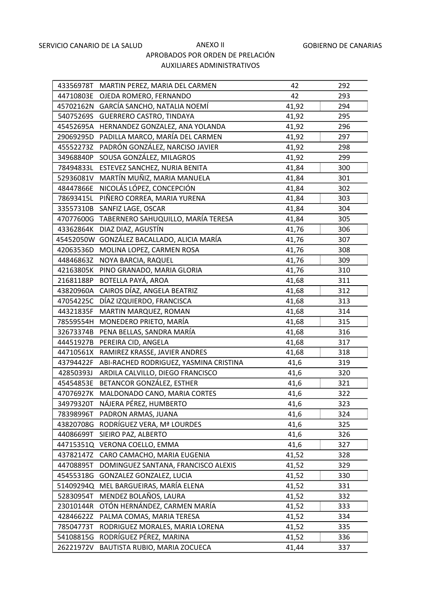|           | 43356978T MARTIN PEREZ, MARIA DEL CARMEN     | 42    | 292 |
|-----------|----------------------------------------------|-------|-----|
|           | 44710803E OJEDA ROMERO, FERNANDO             | 42    | 293 |
|           | 45702162N GARCÍA SANCHO, NATALIA NOEMÍ       | 41,92 | 294 |
| 54075269S | <b>GUERRERO CASTRO, TINDAYA</b>              | 41,92 | 295 |
|           | 45452695A HERNANDEZ GONZALEZ, ANA YOLANDA    | 41,92 | 296 |
| 29069295D | PADILLA MARCO, MARÍA DEL CARMEN              | 41,92 | 297 |
| 45552273Z | PADRÓN GONZÁLEZ, NARCISO JAVIER              | 41,92 | 298 |
| 34968840P | SOUSA GONZÁLEZ, MILAGROS                     | 41,92 | 299 |
| 78494833L | ESTEVEZ SANCHEZ, NURIA BENITA                | 41,84 | 300 |
| 52936081V | MARTÍN MUÑIZ, MARIA MANUELA                  | 41,84 | 301 |
| 48447866E | NICOLÁS LÓPEZ, CONCEPCIÓN                    | 41,84 | 302 |
| 78693415L | PIÑERO CORREA, MARIA YURENA                  | 41,84 | 303 |
| 33557310B | SANFIZ LAGE, OSCAR                           | 41,84 | 304 |
|           | 47077600G TABERNERO SAHUQUILLO, MARÍA TERESA | 41,84 | 305 |
|           | 43362864K DIAZ DIAZ, AGUSTÍN                 | 41,76 | 306 |
|           | 45452050W GONZÁLEZ BACALLADO, ALICIA MARÍA   | 41,76 | 307 |
|           | 42063536D MOLINA LOPEZ, CARMEN ROSA          | 41,76 | 308 |
| 44846863Z | NOYA BARCIA, RAQUEL                          | 41,76 | 309 |
|           | 42163805K PINO GRANADO, MARIA GLORIA         | 41,76 | 310 |
| 21681188P | BOTELLA PAYÁ, AROA                           | 41,68 | 311 |
|           | 43820960A CAIROS DÍAZ, ANGELA BEATRIZ        | 41,68 | 312 |
| 47054225C | DÍAZ IZQUIERDO, FRANCISCA                    | 41,68 | 313 |
| 44321835F | MARTIN MARQUEZ, ROMAN                        | 41,68 | 314 |
|           | 78559554H MONEDERO PRIETO, MARÍA             | 41,68 | 315 |
|           | 32673374B PENA BELLAS, SANDRA MARÍA          | 41,68 | 316 |
|           | 44451927B PEREIRA CID, ANGELA                | 41,68 | 317 |
| 44710561X | RAMIREZ KRASSE, JAVIER ANDRES                | 41,68 | 318 |
| 43794422F | ABI-RACHED RODRIGUEZ, YASMINA CRISTINA       | 41,6  | 319 |
| 42850393J | ARDILA CALVILLO, DIEGO FRANCISCO             | 41,6  | 320 |
| 45454853E | BETANCOR GONZÁLEZ, ESTHER                    | 41,6  | 321 |
|           | 47076927K MALDONADO CANO, MARIA CORTES       | 41,6  | 322 |
| 34979320T | NÁJERA PÉREZ, HUMBERTO                       | 41,6  | 323 |
| 78398996T | PADRON ARMAS, JUANA                          | 41,6  | 324 |
| 43820708G | RODRÍGUEZ VERA, Mª LOURDES                   | 41,6  | 325 |
| 44086699T | SIEIRO PAZ, ALBERTO                          | 41,6  | 326 |
| 44715351Q | VERONA COELLO, EMMA                          | 41,6  | 327 |
| 43782147Z | CARO CAMACHO, MARIA EUGENIA                  | 41,52 | 328 |
| 44708895T | DOMINGUEZ SANTANA, FRANCISCO ALEXIS          | 41,52 | 329 |
| 45455318G | GONZALEZ GONZALEZ, LUCIA                     | 41,52 | 330 |
| 51409294Q | MEL BARGUEIRAS, MARÍA ELENA                  | 41,52 | 331 |
| 52830954T | MENDEZ BOLAÑOS, LAURA                        | 41,52 | 332 |
| 23010144R | OTÓN HERNÁNDEZ, CARMEN MARÍA                 | 41,52 | 333 |
| 42846622Z | PALMA COMAS, MARIA TERESA                    | 41,52 | 334 |
| 78504773T | RODRIGUEZ MORALES, MARIA LORENA              | 41,52 | 335 |
| 54108815G | RODRÍGUEZ PÉREZ, MARINA                      | 41,52 | 336 |
| 26221972V | BAUTISTA RUBIO, MARIA ZOCUECA                | 41,44 | 337 |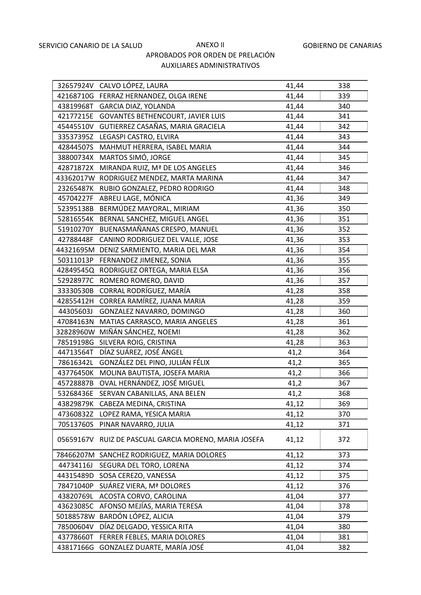|           | 32657924V CALVO LÓPEZ, LAURA                | 41,44 | 338 |
|-----------|---------------------------------------------|-------|-----|
|           | 42168710G FERRAZ HERNANDEZ, OLGA IRENE      | 41,44 | 339 |
|           | 43819968T GARCIA DIAZ, YOLANDA              | 41,44 | 340 |
|           | 42177215E GOVANTES BETHENCOURT, JAVIER LUIS | 41,44 | 341 |
|           | 45445510V GUTIERREZ CASAÑAS, MARIA GRACIELA | 41,44 | 342 |
| 33537395Z | LEGASPI CASTRO, ELVIRA                      | 41,44 | 343 |
| 42844507S | MAHMUT HERRERA, ISABEL MARIA                | 41,44 | 344 |
| 38800734X | MARTOS SIMÓ, JORGE                          | 41,44 | 345 |
| 42871872X | MIRANDA RUIZ, Mª DE LOS ANGELES             | 41,44 | 346 |
|           | 43362017W RODRIGUEZ MENDEZ, MARTA MARINA    | 41,44 | 347 |
|           | 23265487K RUBIO GONZALEZ, PEDRO RODRIGO     | 41,44 | 348 |
|           | 45704227F ABREU LAGE, MÓNICA                | 41,36 | 349 |
| 52395138B | BERMÚDEZ MAYORAL, MIRIAM                    | 41,36 | 350 |
|           | 52816554K BERNAL SANCHEZ, MIGUEL ANGEL      | 41,36 | 351 |
|           | 51910270Y BUENASMAÑANAS CRESPO, MANUEL      | 41,36 | 352 |
| 42788448F | CANINO RODRIGUEZ DEL VALLE, JOSE            | 41,36 | 353 |
|           | 44321695M DENIZ SARMIENTO, MARIA DEL MAR    | 41,36 | 354 |
| 50311013P | FERNANDEZ JIMENEZ, SONIA                    | 41,36 | 355 |
|           | 42849545Q RODRIGUEZ ORTEGA, MARIA ELSA      | 41,36 | 356 |
|           | 52928977C ROMERO ROMERO, DAVID              | 41,36 | 357 |
|           | 33330530B CORRAL RODRÍGUEZ, MARÍA           | 41,28 | 358 |
|           | 42855412H CORREA RAMÍREZ, JUANA MARIA       | 41,28 | 359 |
| 44305603J | GONZALEZ NAVARRO, DOMINGO                   | 41,28 | 360 |
|           | 47084163N MATIAS CARRASCO, MARIA ANGELES    | 41,28 | 361 |
|           | 32828960W MIÑÁN SÁNCHEZ, NOEMI              | 41,28 | 362 |
|           | 78519198G SILVERA ROIG, CRISTINA            | 41,28 | 363 |
| 44713564T | DÍAZ SUÁREZ, JOSÉ ÁNGEL                     | 41,2  | 364 |
| 78616342L | GONZÁLEZ DEL PINO, JULIÁN FÉLIX             | 41,2  | 365 |
| 43776450K | MOLINA BAUTISTA, JOSEFA MARIA               | 41,2  | 366 |
|           | 45728887B OVAL HERNÁNDEZ, JOSÉ MIGUEL       | 41,2  | 367 |
| 53268436E | SERVAN CABANILLAS, ANA BELEN                | 41,2  | 368 |
| 43829879K | CABEZA MEDINA, CRISTINA                     | 41,12 | 369 |
| 47360832Z | LOPEZ RAMA, YESICA MARIA                    | 41,12 | 370 |
| 70513760S | PINAR NAVARRO, JULIA                        | 41,12 | 371 |
| 05659167V | RUIZ DE PASCUAL GARCIA MORENO, MARIA JOSEFA | 41,12 | 372 |
|           | 78466207M SANCHEZ RODRIGUEZ, MARIA DOLORES  | 41,12 | 373 |
| 44734116J | SEGURA DEL TORO, LORENA                     | 41,12 | 374 |
| 44315489D | SOSA CEREZO, VANESSA                        | 41,12 | 375 |
| 78471040P | SUÁREZ VIERA, Mª DOLORES                    | 41,12 | 376 |
| 43820769L | ACOSTA CORVO, CAROLINA                      | 41,04 | 377 |
| 43623085C | AFONSO MEJÍAS, MARIA TERESA                 | 41,04 | 378 |
| 50188578W | BARDÓN LÓPEZ, ALICIA                        | 41,04 | 379 |
| 78500604V | DÍAZ DELGADO, YESSICA RITA                  | 41,04 | 380 |
| 43778660T | FERRER FEBLES, MARIA DOLORES                | 41,04 | 381 |
| 43817166G | GONZALEZ DUARTE, MARÍA JOSÉ                 | 41,04 | 382 |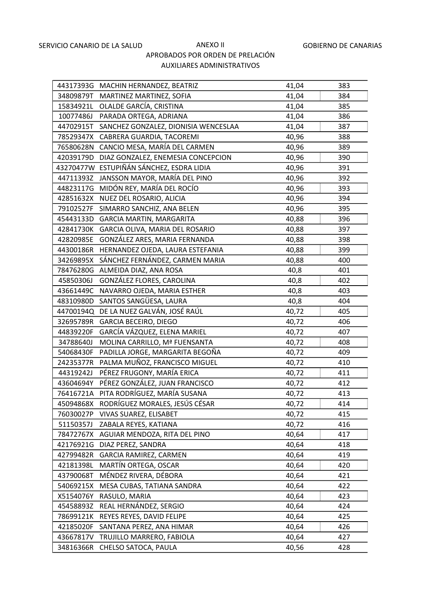|           | 44317393G MACHIN HERNANDEZ, BEATRIZ      | 41,04 | 383 |
|-----------|------------------------------------------|-------|-----|
|           | 34809879T MARTINEZ MARTINEZ, SOFIA       | 41,04 | 384 |
|           | 15834921L OLALDE GARCÍA, CRISTINA        | 41,04 | 385 |
| 10077486J | PARADA ORTEGA, ADRIANA                   | 41,04 | 386 |
| 44702915T | SANCHEZ GONZALEZ, DIONISIA WENCESLAA     | 41,04 | 387 |
| 78529347X | CABRERA GUARDIA, TACOREMI                | 40,96 | 388 |
| 76580628N | CANCIO MESA, MARÍA DEL CARMEN            | 40,96 | 389 |
| 42039179D | DIAZ GONZALEZ, ENEMESIA CONCEPCION       | 40,96 | 390 |
|           | 43270477W ESTUPIÑÁN SÁNCHEZ, ESDRA LIDIA | 40,96 | 391 |
| 44711393Z | JANSSON MAYOR, MARÍA DEL PINO            | 40,96 | 392 |
| 44823117G | MIDÓN REY, MARÍA DEL ROCÍO               | 40,96 | 393 |
| 42851632X | NUEZ DEL ROSARIO, ALICIA                 | 40,96 | 394 |
| 79102527F | SIMARRO SANCHIZ, ANA BELEN               | 40,96 | 395 |
| 45443133D | <b>GARCIA MARTIN, MARGARITA</b>          | 40,88 | 396 |
| 42841730K | GARCIA OLIVA, MARIA DEL ROSARIO          | 40,88 | 397 |
| 42820985E | GONZÁLEZ ARES, MARIA FERNANDA            | 40,88 | 398 |
| 44300186R | HERNANDEZ OJEDA, LAURA ESTEFANIA         | 40,88 | 399 |
| 34269895X | SÁNCHEZ FERNÁNDEZ, CARMEN MARIA          | 40,88 | 400 |
| 78476280G | ALMEIDA DIAZ, ANA ROSA                   | 40,8  | 401 |
| 45850306J | GONZÁLEZ FLORES, CAROLINA                | 40,8  | 402 |
| 43661449C | NAVARRO OJEDA, MARIA ESTHER              | 40,8  | 403 |
| 48310980D | SANTOS SANGÜESA, LAURA                   | 40,8  | 404 |
| 44700194Q | DE LA NUEZ GALVÁN, JOSÉ RAÚL             | 40,72 | 405 |
| 32695789R | GARCIA BECEIRO, DIEGO                    | 40,72 | 406 |
| 44839220F | GARCÍA VÁZQUEZ, ELENA MARIEL             | 40,72 | 407 |
| 34788640J | MOLINA CARRILLO, Mª FUENSANTA            | 40,72 | 408 |
| 54068430F | PADILLA JORGE, MARGARITA BEGOÑA          | 40,72 | 409 |
| 24235377R | PALMA MUÑOZ, FRANCISCO MIGUEL            | 40,72 | 410 |
| 44319242J | PÉREZ FRUGONY, MARÍA ERICA               | 40,72 | 411 |
| 43604694Y | PÉREZ GONZÁLEZ, JUAN FRANCISCO           | 40,72 | 412 |
| 76416721A | PITA RODRÍGUEZ, MARÍA SUSANA             | 40,72 | 413 |
| 45094868X | RODRÍGUEZ MORALES, JESÚS CÉSAR           | 40,72 | 414 |
| 76030027P | VIVAS SUAREZ, ELISABET                   | 40,72 | 415 |
| 51150357J | ZABALA REYES, KATIANA                    | 40,72 | 416 |
| 78472767X | AGUIAR MENDOZA, RITA DEL PINO            | 40,64 | 417 |
| 42176921G | DIAZ PEREZ, SANDRA                       | 40,64 | 418 |
| 42799482R | GARCIA RAMIREZ, CARMEN                   | 40,64 | 419 |
| 42181398L | MARTÍN ORTEGA, OSCAR                     | 40,64 | 420 |
| 43790068T | MÉNDEZ RIVERA, DÉBORA                    | 40,64 | 421 |
| 54069215X | MESA CUBAS, TATIANA SANDRA               | 40,64 | 422 |
| X5154076Y | RASULO, MARIA                            | 40,64 | 423 |
| 45458893Z | REAL HERNÁNDEZ, SERGIO                   | 40,64 | 424 |
| 78699121K | REYES REYES, DAVID FELIPE                | 40,64 | 425 |
| 42185020F | SANTANA PEREZ, ANA HIMAR                 | 40,64 | 426 |
| 43667817V | TRUJILLO MARRERO, FABIOLA                | 40,64 | 427 |
| 34816366R | CHELSO SATOCA, PAULA                     | 40,56 | 428 |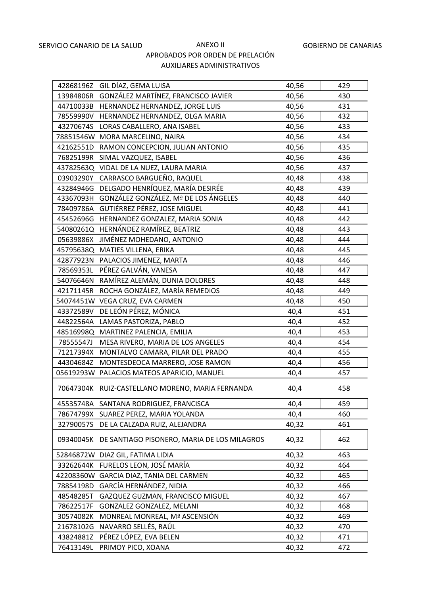|           | 42868196Z GIL DÍAZ, GEMA LUISA                        | 40,56 | 429 |
|-----------|-------------------------------------------------------|-------|-----|
|           | 13984806R GONZÁLEZ MARTÍNEZ, FRANCISCO JAVIER         | 40,56 | 430 |
|           | 44710033B HERNANDEZ HERNANDEZ, JORGE LUIS             | 40,56 | 431 |
|           | 78559990V HERNANDEZ HERNANDEZ, OLGA MARIA             | 40,56 | 432 |
|           | 43270674S LORAS CABALLERO, ANA ISABEL                 | 40,56 | 433 |
|           | 78851546W MORA MARCELINO, NAIRA                       | 40,56 | 434 |
|           | 42162551D RAMON CONCEPCION, JULIAN ANTONIO            | 40,56 | 435 |
| 76825199R | SIMAL VAZQUEZ, ISABEL                                 | 40,56 | 436 |
|           | 43782563Q VIDAL DE LA NUEZ, LAURA MARIA               | 40,56 | 437 |
| 03903290Y | CARRASCO BARGUEÑO, RAQUEL                             | 40,48 | 438 |
|           | 43284946G DELGADO HENRÍQUEZ, MARÍA DESIRÉE            | 40,48 | 439 |
| 43367093H | GONZÁLEZ GONZÁLEZ, Mª DE LOS ÁNGELES                  | 40,48 | 440 |
| 78409786A | GUTIÉRREZ PÉREZ, JOSE MIGUEL                          | 40,48 | 441 |
|           | 45452696G HERNANDEZ GONZALEZ, MARIA SONIA             | 40,48 | 442 |
|           | 54080261Q HERNÁNDEZ RAMÍREZ, BEATRIZ                  | 40,48 | 443 |
|           | 05639886X JIMÉNEZ MOHEDANO, ANTONIO                   | 40,48 | 444 |
|           | 45795638Q MATIES VILLENA, ERIKA                       | 40,48 | 445 |
|           | 42877923N PALACIOS JIMENEZ, MARTA                     | 40,48 | 446 |
|           | 78569353L PÉREZ GALVÁN, VANESA                        | 40,48 | 447 |
|           | 54076646N RAMÍREZ ALEMÁN, DUNIA DOLORES               | 40,48 | 448 |
|           | 42171145R ROCHA GONZÁLEZ, MARÍA REMEDIOS              | 40,48 | 449 |
|           | 54074451W VEGA CRUZ, EVA CARMEN                       | 40,48 | 450 |
| 43372589V | DE LEÓN PÉREZ, MÓNICA                                 | 40,4  | 451 |
|           | 44822564A LAMAS PASTORIZA, PABLO                      | 40,4  | 452 |
|           | 48516998Q MARTINEZ PALENCIA, EMILIA                   | 40,4  | 453 |
| 78555547J | MESA RIVERO, MARIA DE LOS ANGELES                     | 40,4  | 454 |
| 71217394X | MONTALVO CAMARA, PILAR DEL PRADO                      | 40,4  | 455 |
| 44304684Z | MONTESDEOCA MARRERO, JOSE RAMON                       | 40,4  | 456 |
|           | 05619293W PALACIOS MATEOS APARICIO, MANUEL            | 40,4  | 457 |
|           | 70647304K RUIZ-CASTELLANO MORENO, MARIA FERNANDA      | 40,4  | 458 |
|           | 45535748A SANTANA RODRIGUEZ, FRANCISCA                | 40,4  | 459 |
|           | 78674799X SUAREZ PEREZ, MARIA YOLANDA                 | 40,4  | 460 |
| 32790057S | DE LA CALZADA RUIZ, ALEJANDRA                         | 40,32 | 461 |
|           | 09340045K DE SANTIAGO PISONERO, MARIA DE LOS MILAGROS | 40,32 | 462 |
|           | 52846872W DIAZ GIL, FATIMA LIDIA                      | 40,32 | 463 |
| 33262644K | FURELOS LEON, JOSÉ MARÍA                              | 40,32 | 464 |
| 42208360W | GARCIA DIAZ, TANIA DEL CARMEN                         | 40,32 | 465 |
| 78854198D | GARCÍA HERNÁNDEZ, NIDIA                               | 40,32 | 466 |
| 48548285T | GAZQUEZ GUZMAN, FRANCISCO MIGUEL                      | 40,32 | 467 |
| 78622517F | GONZALEZ GONZALEZ, MELANI                             | 40,32 | 468 |
| 30574082K | MONREAL MONREAL, Mª ASCENSIÓN                         | 40,32 | 469 |
| 21678102G | NAVARRO SELLÉS, RAÚL                                  | 40,32 | 470 |
| 43824881Z | PÉREZ LÓPEZ, EVA BELEN                                | 40,32 | 471 |
| 76413149L | PRIMOY PICO, XOANA                                    | 40,32 | 472 |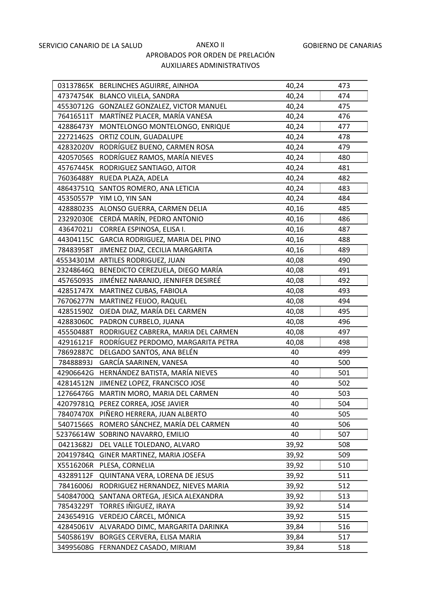|           | 03137865K BERLINCHES AGUIRRE, AINHOA       | 40,24 | 473 |
|-----------|--------------------------------------------|-------|-----|
|           | 47374754K BLANCO VILELA, SANDRA            | 40,24 | 474 |
|           | 45530712G GONZALEZ GONZALEZ, VICTOR MANUEL | 40,24 | 475 |
| 76416511T | MARTÍNEZ PLACER, MARÍA VANESA              | 40,24 | 476 |
| 42886473Y | MONTELONGO MONTELONGO, ENRIQUE             | 40,24 | 477 |
| 22721462S | ORTIZ COLIN, GUADALUPE                     | 40,24 | 478 |
|           | 42832020V RODRÍGUEZ BUENO, CARMEN ROSA     | 40,24 | 479 |
| 42057056S | RODRÍGUEZ RAMOS, MARÍA NIEVES              | 40,24 | 480 |
| 45767445K | RODRIGUEZ SANTIAGO, AITOR                  | 40,24 | 481 |
| 76036488Y | RUEDA PLAZA, ADELA                         | 40,24 | 482 |
|           | 48643751Q SANTOS ROMERO, ANA LETICIA       | 40,24 | 483 |
|           | 45350557P YIM LO, YIN SAN                  | 40,24 | 484 |
| 42888023S | ALONSO GUERRA, CARMEN DELIA                | 40,16 | 485 |
| 23292030E | CERDÁ MARÍN, PEDRO ANTONIO                 | 40,16 | 486 |
| 43647021J | CORREA ESPINOSA, ELISA I.                  | 40,16 | 487 |
|           | 44304115C GARCIA RODRIGUEZ, MARIA DEL PINO | 40,16 | 488 |
| 78483958T | JIMENEZ DIAZ, CECILIA MARGARITA            | 40,16 | 489 |
|           | 45534301M ARTILES RODRIGUEZ, JUAN          | 40,08 | 490 |
|           | 23248646Q BENEDICTO CEREZUELA, DIEGO MARÍA | 40,08 | 491 |
| 45765093S | JIMÉNEZ NARANJO, JENNIFER DESIREÉ          | 40,08 | 492 |
|           | 42851747X MARTINEZ CUBAS, FABIOLA          | 40,08 | 493 |
| 76706277N | MARTINEZ FEIJOO, RAQUEL                    | 40,08 | 494 |
| 42851590Z | OJEDA DIAZ, MARÍA DEL CARMEN               | 40,08 | 495 |
| 42883060C | PADRON CURBELO, JUANA                      | 40,08 | 496 |
| 45550488T | RODRIGUEZ CABRERA, MARIA DEL CARMEN        | 40,08 | 497 |
| 42916121F | RODRÍGUEZ PERDOMO, MARGARITA PETRA         | 40,08 | 498 |
| 78692887C | DELGADO SANTOS, ANA BELÉN                  | 40    | 499 |
| 78488893J | GARCÍA SAARINEN, VANESA                    | 40    | 500 |
| 42906642G | HERNÁNDEZ BATISTA, MARÍA NIEVES            | 40    | 501 |
| 42814512N | JIMENEZ LOPEZ, FRANCISCO JOSE              | 40    | 502 |
| 12766476G | MARTIN MORO, MARIA DEL CARMEN              | 40    | 503 |
| 42079781Q | PEREZ CORREA, JOSE JAVIER                  | 40    | 504 |
| 78407470X | PIÑERO HERRERA, JUAN ALBERTO               | 40    | 505 |
| 54071566S | ROMERO SÁNCHEZ, MARÍA DEL CARMEN           | 40    | 506 |
| 52376614W | SOBRINO NAVARRO, EMILIO                    | 40    | 507 |
| 04213682J | DEL VALLE TOLEDANO, ALVARO                 | 39,92 | 508 |
| 20419784Q | GINER MARTINEZ, MARIA JOSEFA               | 39,92 | 509 |
| X5516206R | PLESA, CORNELIA                            | 39,92 | 510 |
| 43289112F | QUINTANA VERA, LORENA DE JESUS             | 39,92 | 511 |
| 78416006J | RODRIGUEZ HERNANDEZ, NIEVES MARIA          | 39,92 | 512 |
| 54084700Q | SANTANA ORTEGA, JESICA ALEXANDRA           | 39,92 | 513 |
| 78543229T | TORRES IÑIGUEZ, IRAYA                      | 39,92 | 514 |
| 24365491G | VERDEJO CÁRCEL, MÓNICA                     | 39,92 | 515 |
| 42845061V | ALVARADO DIMC, MARGARITA DARINKA           | 39,84 | 516 |
| 54058619V | BORGES CERVERA, ELISA MARIA                | 39,84 | 517 |
| 34995608G | FERNANDEZ CASADO, MIRIAM                   | 39,84 | 518 |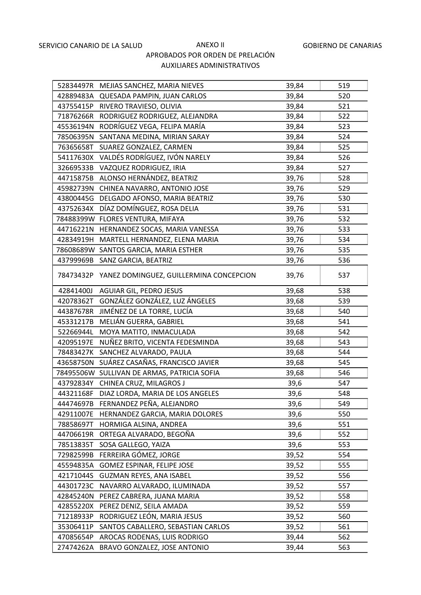|           | 52834497R MEJIAS SANCHEZ, MARIA NIEVES            | 39,84 | 519 |
|-----------|---------------------------------------------------|-------|-----|
|           | 42889483A QUESADA PAMPIN, JUAN CARLOS             | 39,84 | 520 |
|           | 43755415P RIVERO TRAVIESO, OLIVIA                 | 39,84 | 521 |
| 71876266R | RODRIGUEZ RODRIGUEZ, ALEJANDRA                    | 39,84 | 522 |
| 45536194N | RODRÍGUEZ VEGA, FELIPA MARÍA                      | 39,84 | 523 |
|           | 78506395N SANTANA MEDINA, MIRIAN SARAY            | 39,84 | 524 |
|           | 76365658T SUAREZ GONZALEZ, CARMEN                 | 39,84 | 525 |
|           | 54117630X VALDÉS RODRÍGUEZ, IVÓN NARELY           | 39,84 | 526 |
| 32669533B | VAZQUEZ RODRIGUEZ, IRIA                           | 39,84 | 527 |
|           | 44715875B ALONSO HERNÁNDEZ, BEATRIZ               | 39,76 | 528 |
|           | 45982739N CHINEA NAVARRO, ANTONIO JOSE            | 39,76 | 529 |
|           | 43800445G DELGADO AFONSO, MARIA BEATRIZ           | 39,76 | 530 |
| 43752634X | DÍAZ DOMÍNGUEZ, ROSA DELIA                        | 39,76 | 531 |
|           | 78488399W FLORES VENTURA, MIFAYA                  | 39,76 | 532 |
|           | 44716221N HERNANDEZ SOCAS, MARIA VANESSA          | 39,76 | 533 |
|           | 42834919H MARTELL HERNANDEZ, ELENA MARIA          | 39,76 | 534 |
|           | 78608689W SANTOS GARCIA, MARIA ESTHER             | 39,76 | 535 |
| 43799969B | SANZ GARCIA, BEATRIZ                              | 39,76 | 536 |
|           | 78473432P YANEZ DOMINGUEZ, GUILLERMINA CONCEPCION | 39,76 | 537 |
|           | 42841400J AGUIAR GIL, PEDRO JESUS                 | 39,68 | 538 |
| 42078362T | GONZÁLEZ GONZÁLEZ, LUZ ÁNGELES                    | 39,68 | 539 |
| 44387678R | JIMÉNEZ DE LA TORRE, LUCÍA                        | 39,68 | 540 |
| 45331217B | MELIÁN GUERRA, GABRIEL                            | 39,68 | 541 |
| 52266944L | MOYA MATITO, INMACULADA                           | 39,68 | 542 |
| 42095197E | NUÑEZ BRITO, VICENTA FEDESMINDA                   | 39,68 | 543 |
| 78483427K | SANCHEZ ALVARADO, PAULA                           | 39,68 | 544 |
| 43658750N | SUÁREZ CASAÑAS, FRANCISCO JAVIER                  | 39,68 | 545 |
|           | 78495506W SULLIVAN DE ARMAS, PATRICIA SOFIA       | 39,68 | 546 |
| 43792834Y | CHINEA CRUZ, MILAGROS J                           | 39,6  | 547 |
| 44321168F | DIAZ LORDA, MARIA DE LOS ANGELES                  | 39,6  | 548 |
| 44474697B | FERNANDEZ PEÑA, ALEJANDRO                         | 39,6  | 549 |
| 42911007E | HERNANDEZ GARCIA, MARIA DOLORES                   | 39,6  | 550 |
| 78858697T | HORMIGA ALSINA, ANDREA                            | 39,6  | 551 |
| 44706619R | ORTEGA ALVARADO, BEGOÑA                           | 39,6  | 552 |
| 78513835T | SOSA GALLEGO, YAIZA                               | 39,6  | 553 |
| 72982599B | FERREIRA GÓMEZ, JORGE                             | 39,52 | 554 |
| 45594835A | GOMEZ ESPINAR, FELIPE JOSE                        | 39,52 | 555 |
| 42171044S | <b>GUZMAN REYES, ANA ISABEL</b>                   | 39,52 | 556 |
| 44301723C | NAVARRO ALVARADO, ILUMINADA                       | 39,52 | 557 |
| 42845240N | PEREZ CABRERA, JUANA MARIA                        | 39,52 | 558 |
| 42855220X | PEREZ DENIZ, SEILA AMADA                          | 39,52 | 559 |
| 71218933P | RODRIGUEZ LEÓN, MARIA JESUS                       | 39,52 | 560 |
| 35306411P | SANTOS CABALLERO, SEBASTIAN CARLOS                | 39,52 | 561 |
| 47085654P | AROCAS RODENAS, LUIS RODRIGO                      | 39,44 | 562 |
| 27474262A | BRAVO GONZALEZ, JOSE ANTONIO                      | 39,44 | 563 |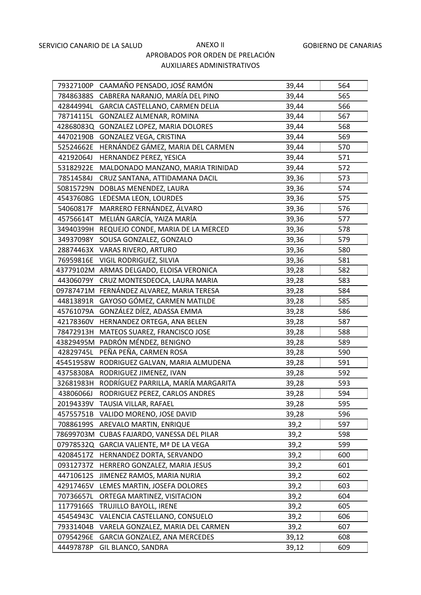|           | 79327100P CAAMAÑO PENSADO, JOSÉ RAMÓN         | 39,44 | 564 |
|-----------|-----------------------------------------------|-------|-----|
|           | 78486388S CABRERA NARANJO, MARÍA DEL PINO     | 39,44 | 565 |
| 42844994L | GARCIA CASTELLANO, CARMEN DELIA               | 39,44 | 566 |
| 78714115L | GONZALEZ ALMENAR, ROMINA                      | 39,44 | 567 |
| 42868083Q | GONZALEZ LOPEZ, MARIA DOLORES                 | 39,44 | 568 |
| 44702190B | GONZALEZ VEGA, CRISTINA                       | 39,44 | 569 |
| 52524662E | HERNÁNDEZ GÁMEZ, MARIA DEL CARMEN             | 39,44 | 570 |
| 42192064J | HERNANDEZ PEREZ, YESICA                       | 39,44 | 571 |
| 53182922E | MALDONADO MANZANO, MARIA TRINIDAD             | 39,44 | 572 |
| 78514584J | CRUZ SANTANA, ATTIDAMANA DACIL                | 39,36 | 573 |
|           | 50815729N DOBLAS MENENDEZ, LAURA              | 39,36 | 574 |
| 45437608G | LEDESMA LEON, LOURDES                         | 39,36 | 575 |
| 54060817F | MARRERO FERNÁNDEZ, ÁLVARO                     | 39,36 | 576 |
| 45756614T | MELIÁN GARCÍA, YAIZA MARÍA                    | 39,36 | 577 |
|           | 34940399H REQUEJO CONDE, MARIA DE LA MERCED   | 39,36 | 578 |
|           | 34937098Y SOUSA GONZALEZ, GONZALO             | 39,36 | 579 |
|           | 28874463X VARAS RIVERO, ARTURO                | 39,36 | 580 |
|           | 76959816E VIGIL RODRIGUEZ, SILVIA             | 39,36 | 581 |
|           | 43779102M ARMAS DELGADO, ELOISA VERONICA      | 39,28 | 582 |
| 44306079Y | CRUZ MONTESDEOCA, LAURA MARIA                 | 39,28 | 583 |
|           | 09787471M FERNÁNDEZ ALVAREZ, MARIA TERESA     | 39,28 | 584 |
| 44813891R | GAYOSO GÓMEZ, CARMEN MATILDE                  | 39,28 | 585 |
|           | 45761079A GONZÁLEZ DÍEZ, ADASSA EMMA          | 39,28 | 586 |
|           | 42178360V HERNANDEZ ORTEGA, ANA BELEN         | 39,28 | 587 |
| 78472913H | MATEOS SUAREZ, FRANCISCO JOSE                 | 39,28 | 588 |
|           | 43829495M PADRÓN MÉNDEZ, BENIGNO              | 39,28 | 589 |
| 42829745L | PEÑA PEÑA, CARMEN ROSA                        | 39,28 | 590 |
|           | 45451958W RODRIGUEZ GALVAN, MARIA ALMUDENA    | 39,28 | 591 |
|           | 43758308A RODRIGUEZ JIMENEZ, IVAN             | 39,28 | 592 |
|           | 32681983H RODRÍGUEZ PARRILLA, MARÍA MARGARITA | 39,28 | 593 |
| 43806066J | RODRIGUEZ PEREZ, CARLOS ANDRES                | 39,28 | 594 |
|           | 20194339V TAUSIA VILLAR, RAFAEL               | 39,28 | 595 |
|           | 45755751B VALIDO MORENO, JOSE DAVID           | 39,28 | 596 |
| 70886199S | AREVALO MARTIN, ENRIQUE                       | 39,2  | 597 |
|           | 78699703M CUBAS FAJARDO, VANESSA DEL PILAR    | 39,2  | 598 |
|           | 07978532Q GARCIA VALIENTE, Mª DE LA VEGA      | 39,2  | 599 |
| 42084517Z | HERNANDEZ DORTA, SERVANDO                     | 39,2  | 600 |
| 09312737Z | HERRERO GONZALEZ, MARIA JESUS                 | 39,2  | 601 |
| 44710612S | JIMENEZ RAMOS, MARIA NURIA                    | 39,2  | 602 |
| 42917465V | LEMES MARTIN, JOSEFA DOLORES                  | 39,2  | 603 |
| 70736657L | ORTEGA MARTINEZ, VISITACION                   | 39,2  | 604 |
| 11779166S | TRUJILLO BAYOLL, IRENE                        | 39,2  | 605 |
| 45454943C | VALENCIA CASTELLANO, CONSUELO                 | 39,2  | 606 |
| 79331404B | VARELA GONZALEZ, MARIA DEL CARMEN             | 39,2  | 607 |
| 07954296E | GARCIA GONZALEZ, ANA MERCEDES                 | 39,12 | 608 |
| 44497878P | GIL BLANCO, SANDRA                            | 39,12 | 609 |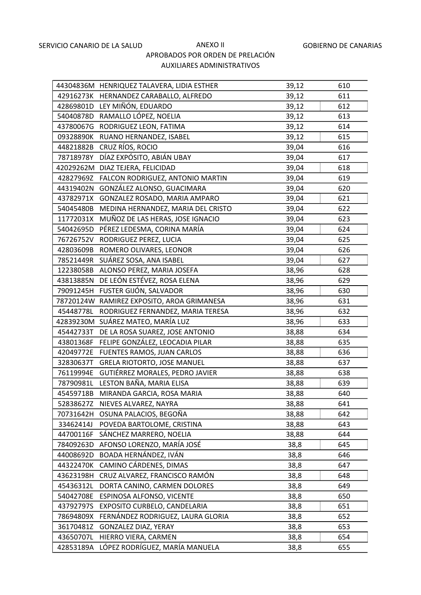|           | 44304836M HENRIQUEZ TALAVERA, LIDIA ESTHER | 39,12 | 610 |
|-----------|--------------------------------------------|-------|-----|
|           | 42916273K HERNANDEZ CARABALLO, ALFREDO     | 39,12 | 611 |
|           | 42869801D LEY MIÑÓN, EDUARDO               | 39,12 | 612 |
|           | 54040878D RAMALLO LÓPEZ, NOELIA            | 39,12 | 613 |
|           | 43780067G RODRIGUEZ LEON, FATIMA           | 39,12 | 614 |
|           | 09328890K RUANO HERNANDEZ, ISABEL          | 39,12 | 615 |
|           | 44821882B CRUZ RÍOS, ROCIO                 | 39,04 | 616 |
| 78718978Y | DÍAZ EXPÓSITO, ABIÁN UBAY                  | 39,04 | 617 |
|           | 42029262M DIAZ TEJERA, FELICIDAD           | 39,04 | 618 |
| 42827969Z | FALCON RODRIGUEZ, ANTONIO MARTIN           | 39,04 | 619 |
| 44319402N | GONZÁLEZ ALONSO, GUACIMARA                 | 39,04 | 620 |
| 43782971X | GONZALEZ ROSADO, MARIA AMPARO              | 39,04 | 621 |
| 54045480B | MEDINA HERNANDEZ, MARIA DEL CRISTO         | 39,04 | 622 |
|           | 11772031X MUÑOZ DE LAS HERAS, JOSE IGNACIO | 39,04 | 623 |
| 54042695D | PÉREZ LEDESMA, CORINA MARÍA                | 39,04 | 624 |
|           | 76726752V RODRIGUEZ PEREZ, LUCIA           | 39,04 | 625 |
|           | 42803609B ROMERO OLIVARES, LEONOR          | 39,04 | 626 |
| 78521449R | SUÁREZ SOSA, ANA ISABEL                    | 39,04 | 627 |
|           | 12238058B ALONSO PEREZ, MARIA JOSEFA       | 38,96 | 628 |
|           | 43813885N DE LEÓN ESTÉVEZ, ROSA ELENA      | 38,96 | 629 |
|           | 79091245H FUSTER GIJÓN, SALVADOR           | 38,96 | 630 |
|           | 78720124W RAMIREZ EXPOSITO, AROA GRIMANESA | 38,96 | 631 |
| 45448778L | RODRIGUEZ FERNANDEZ, MARIA TERESA          | 38,96 | 632 |
|           | 42839230M SUÁREZ MATEO, MARÍA LUZ          | 38,96 | 633 |
| 45442733T | DE LA ROSA SUAREZ, JOSE ANTONIO            | 38,88 | 634 |
| 43801368F | FELIPE GONZÁLEZ, LEOCADIA PILAR            | 38,88 | 635 |
| 42049772E | FUENTES RAMOS, JUAN CARLOS                 | 38,88 | 636 |
| 32830637T | <b>GRELA RIOTORTO, JOSE MANUEL</b>         | 38,88 | 637 |
| 76119994E | GUTIÉRREZ MORALES, PEDRO JAVIER            | 38,88 | 638 |
| 78790981L | LESTON BAÑA, MARIA ELISA                   | 38,88 | 639 |
| 45459718B | MIRANDA GARCIA, ROSA MARIA                 | 38,88 | 640 |
| 52838627Z | NIEVES ALVAREZ, NAYRA                      | 38,88 | 641 |
|           | 70731642H OSUNA PALACIOS, BEGOÑA           | 38,88 | 642 |
| 33462414J | POVEDA BARTOLOME, CRISTINA                 | 38,88 | 643 |
| 44700116F | SÁNCHEZ MARRERO, NOELIA                    | 38,88 | 644 |
| 78409263D | AFONSO LORENZO, MARÍA JOSÉ                 | 38,8  | 645 |
| 44008692D | BOADA HERNÁNDEZ, IVÁN                      | 38,8  | 646 |
| 44322470K | CAMINO CÁRDENES, DIMAS                     | 38,8  | 647 |
| 43623198H | CRUZ ALVAREZ, FRANCISCO RAMÓN              | 38,8  | 648 |
| 45436312L | DORTA CANINO, CARMEN DOLORES               | 38,8  | 649 |
| 54042708E | ESPINOSA ALFONSO, VICENTE                  | 38,8  | 650 |
| 43792797S | EXPOSITO CURBELO, CANDELARIA               | 38,8  | 651 |
| 78694809X | FERNÁNDEZ RODRIGUEZ, LAURA GLORIA          | 38,8  | 652 |
| 36170481Z | <b>GONZALEZ DIAZ, YERAY</b>                | 38,8  | 653 |
| 43650707L | HIERRO VIERA, CARMEN                       | 38,8  | 654 |
| 42853189A | LÓPEZ RODRÍGUEZ, MARÍA MANUELA             | 38,8  | 655 |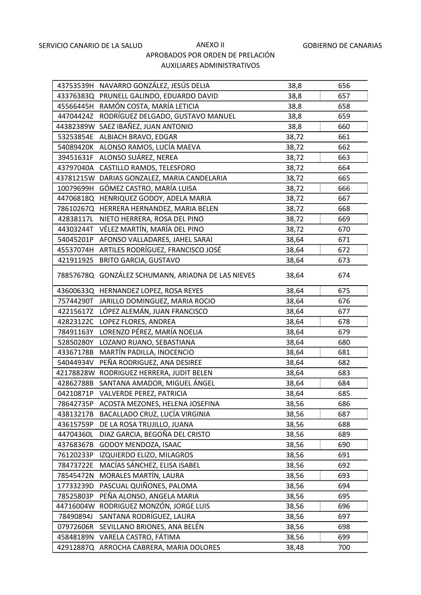|           | 43753539H NAVARRO GONZÁLEZ, JESÚS DELIA            | 38,8  | 656 |
|-----------|----------------------------------------------------|-------|-----|
|           | 43376383Q PRUNELL GALINDO, EDUARDO DAVID           | 38,8  | 657 |
|           | 45566445H RAMÓN COSTA, MARÍA LETICIA               | 38,8  | 658 |
| 44704424Z | RODRÍGUEZ DELGADO, GUSTAVO MANUEL                  | 38,8  | 659 |
|           | 44382389W SAEZ IBAÑEZ, JUAN ANTONIO                | 38,8  | 660 |
|           | 53253854E ALBIACH BRAVO, EDGAR                     | 38,72 | 661 |
|           | 54089420K ALONSO RAMOS, LUCÍA MAEVA                | 38,72 | 662 |
| 39451631F | ALONSO SUÁREZ, NEREA                               | 38,72 | 663 |
|           | 43797040A CASTILLO RAMOS, TELESFORO                | 38,72 | 664 |
|           | 43781215W DARIAS GONZALEZ, MARIA CANDELARIA        | 38,72 | 665 |
| 10079699H | GÓMEZ CASTRO, MARÍA LUISA                          | 38,72 | 666 |
| 44706818Q | HENRIQUEZ GODOY, ADELA MARIA                       | 38,72 | 667 |
| 78610267Q | HERRERA HERNANDEZ, MARIA BELEN                     | 38,72 | 668 |
| 42838117L | NIETO HERRERA, ROSA DEL PINO                       | 38,72 | 669 |
| 44303244T | VÉLEZ MARTÍN, MARÍA DEL PINO                       | 38,72 | 670 |
| 54045201P | AFONSO VALLADARES, JAHEL SARAI                     | 38,64 | 671 |
| 45537074H | ARTILES RODRÍGUEZ, FRANCISCO JOSÉ                  | 38,64 | 672 |
| 42191192S | <b>BRITO GARCIA, GUSTAVO</b>                       | 38,64 | 673 |
|           | 78857678Q GONZÁLEZ SCHUMANN, ARIADNA DE LAS NIEVES | 38,64 | 674 |
|           | 43600633Q HERNANDEZ LOPEZ, ROSA REYES              | 38,64 | 675 |
|           | 75744290T JARILLO DOMINGUEZ, MARIA ROCIO           | 38,64 | 676 |
| 42215617Z | LÓPEZ ALEMÁN, JUAN FRANCISCO                       | 38,64 | 677 |
|           | 42823122C LOPEZ FLORES, ANDREA                     | 38,64 | 678 |
| 78491163Y | LORENZO PÉREZ, MARÍA NOELIA                        | 38,64 | 679 |
| 52850280Y | LOZANO RUANO, SEBASTIANA                           | 38,64 | 680 |
| 43367178B | MARTÍN PADILLA, INOCENCIO                          | 38,64 | 681 |
| 54044934V | PEÑA RODRIGUEZ, ANA DESIREE                        | 38,64 | 682 |
|           | 42178828W RODRIGUEZ HERRERA, JUDIT BELEN           | 38,64 | 683 |
| 42862788B | SANTANA AMADOR, MIGUEL ÁNGEL                       | 38,64 | 684 |
| 04210871P | VALVERDE PEREZ, PATRICIA                           | 38,64 | 685 |
| 78642735P | ACOSTA MEZONES, HELENA JOSEFINA                    | 38,56 | 686 |
| 43813217B | BACALLADO CRUZ, LUCÍA VIRGINIA                     | 38,56 | 687 |
| 43615759P | DE LA ROSA TRUJILLO, JUANA                         | 38,56 | 688 |
| 44704360L | DIAZ GARCIA, BEGOÑA DEL CRISTO                     | 38,56 | 689 |
| 43768367B | GODOY MENDOZA, ISAAC                               | 38,56 | 690 |
| 76120233P | IZQUIERDO ELIZO, MILAGROS                          | 38,56 | 691 |
| 78473722E | MACÍAS SÁNCHEZ, ELISA ISABEL                       | 38,56 | 692 |
| 78545472N | MORALES MARTÍN, LAURA                              | 38,56 | 693 |
| 17733239D | PASCUAL QUIÑONES, PALOMA                           | 38,56 | 694 |
| 78525803P | PEÑA ALONSO, ANGELA MARIA                          | 38,56 | 695 |
| 44716004W | RODRIGUEZ MONZÓN, JORGE LUIS                       | 38,56 | 696 |
| 78490894J | SANTANA RODRÍGUEZ, LAURA                           | 38,56 | 697 |
| 07972606R | SEVILLANO BRIONES, ANA BELÉN                       | 38,56 | 698 |
| 45848189N | VARELA CASTRO, FÁTIMA                              | 38,56 | 699 |
|           | 42912887Q ARROCHA CABRERA, MARIA DOLORES           | 38,48 | 700 |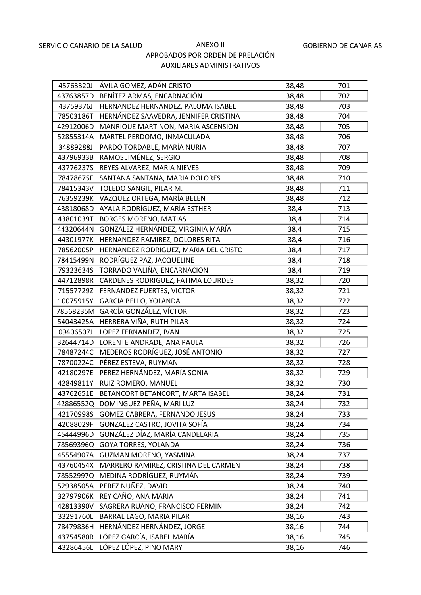| 45763320J | ÁVILA GOMEZ, ADÁN CRISTO                     | 38,48 | 701 |
|-----------|----------------------------------------------|-------|-----|
|           | 43763857D BENÍTEZ ARMAS, ENCARNACIÓN         | 38,48 | 702 |
| 43759376J | HERNANDEZ HERNANDEZ, PALOMA ISABEL           | 38,48 | 703 |
| 78503186T | HERNÁNDEZ SAAVEDRA, JENNIFER CRISTINA        | 38,48 | 704 |
| 42912006D | MANRIQUE MARTINON, MARIA ASCENSION           | 38,48 | 705 |
| 52855314A | MARTEL PERDOMO, INMACULADA                   | 38,48 | 706 |
| 34889288J | PARDO TORDABLE, MARÍA NURIA                  | 38,48 | 707 |
| 43796933B | RAMOS JIMÉNEZ, SERGIO                        | 38,48 | 708 |
| 43776237S | REYES ALVAREZ, MARIA NIEVES                  | 38,48 | 709 |
| 78478675F | SANTANA SANTANA, MARIA DOLORES               | 38,48 | 710 |
|           | 78415343V TOLEDO SANGIL, PILAR M.            | 38,48 | 711 |
| 76359239K | VAZQUEZ ORTEGA, MARÍA BELEN                  | 38,48 | 712 |
| 43818068D | AYALA RODRÍGUEZ, MARÍA ESTHER                | 38,4  | 713 |
| 43801039T | <b>BORGES MORENO, MATIAS</b>                 | 38,4  | 714 |
|           | 44320644N GONZÁLEZ HERNÁNDEZ, VIRGINIA MARÍA | 38,4  | 715 |
|           | 44301977K HERNANDEZ RAMIREZ, DOLORES RITA    | 38,4  | 716 |
| 78562005P | HERNANDEZ RODRIGUEZ, MARIA DEL CRISTO        | 38,4  | 717 |
|           | 78415499N RODRÍGUEZ PAZ, JACQUELINE          | 38,4  | 718 |
|           | 79323634S TORRADO VALIÑA, ENCARNACION        | 38,4  | 719 |
|           | 44712898R CARDENES RODRIGUEZ, FATIMA LOURDES | 38,32 | 720 |
|           | 71557729Z FERNANDEZ FUERTES, VICTOR          | 38,32 | 721 |
| 10075915Y | GARCIA BELLO, YOLANDA                        | 38,32 | 722 |
|           | 78568235M GARCÍA GONZÁLEZ, VÍCTOR            | 38,32 | 723 |
|           | 54043425A HERRERA VIÑA, RUTH PILAR           | 38,32 | 724 |
| 09406507J | LOPEZ FERNANDEZ, IVAN                        | 38,32 | 725 |
| 32644714D | LORENTE ANDRADE, ANA PAULA                   | 38,32 | 726 |
| 78487244C | MEDEROS RODRÍGUEZ, JOSÉ ANTONIO              | 38,32 | 727 |
|           | 78700224C PÉREZ ESTEVA, RUYMAN               | 38,32 | 728 |
| 42180297E | PÉREZ HERNÁNDEZ, MARÍA SONIA                 | 38,32 | 729 |
|           | 42849811Y RUIZ ROMERO, MANUEL                | 38,32 | 730 |
| 43762651E | BETANCORT BETANCORT, MARTA ISABEL            | 38,24 | 731 |
|           | 42886552Q DOMINGUEZ PEÑA, MARI LUZ           | 38,24 | 732 |
| 42170998S | GOMEZ CABRERA, FERNANDO JESUS                | 38,24 | 733 |
| 42088029F | GONZALEZ CASTRO, JOVITA SOFÍA                | 38,24 | 734 |
| 45444996D | GONZÁLEZ DÍAZ, MARÍA CANDELARIA              | 38,24 | 735 |
| 78569396Q | <b>GOYA TORRES, YOLANDA</b>                  | 38,24 | 736 |
| 45554907A | GUZMAN MORENO, YASMINA                       | 38,24 | 737 |
| 43760454X | MARRERO RAMIREZ, CRISTINA DEL CARMEN         | 38,24 | 738 |
| 78552997Q | MEDINA RODRÍGUEZ, RUYMÁN                     | 38,24 | 739 |
| 52938505A | PEREZ NUÑEZ, DAVID                           | 38,24 | 740 |
| 32797906K | REY CAÑO, ANA MARIA                          | 38,24 | 741 |
| 42813390V | SAGRERA RUANO, FRANCISCO FERMIN              | 38,24 | 742 |
| 33291760L | BARRAL LAGO, MARIA PILAR                     | 38,16 | 743 |
| 78479836H | HERNÁNDEZ HERNÁNDEZ, JORGE                   | 38,16 | 744 |
| 43754580R | LÓPEZ GARCÍA, ISABEL MARÍA                   | 38,16 | 745 |
| 43286456L | LÓPEZ LÓPEZ, PINO MARY                       | 38,16 | 746 |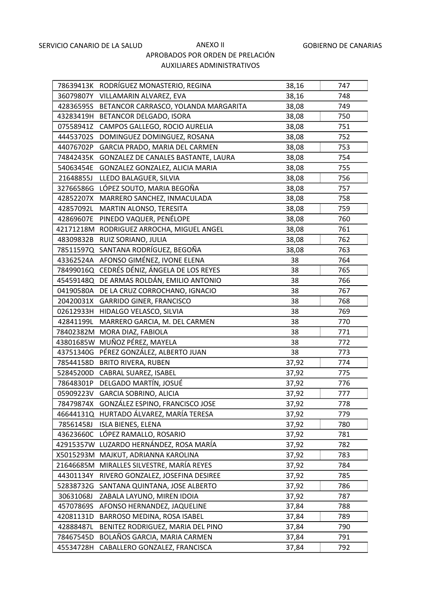|           | 78639413K RODRÍGUEZ MONASTERIO, REGINA         | 38,16 | 747 |
|-----------|------------------------------------------------|-------|-----|
|           | 36079807Y VILLAMARIN ALVAREZ, EVA              | 38,16 | 748 |
|           | 42836595S BETANCOR CARRASCO, YOLANDA MARGARITA | 38,08 | 749 |
|           | 43283419H BETANCOR DELGADO, ISORA              | 38,08 | 750 |
|           | 07558941Z CAMPOS GALLEGO, ROCIO AURELIA        | 38,08 | 751 |
| 44453702S | DOMINGUEZ DOMINGUEZ, ROSANA                    | 38,08 | 752 |
| 44076702P | GARCIA PRADO, MARIA DEL CARMEN                 | 38,08 | 753 |
| 74842435K | GONZALEZ DE CANALES BASTANTE, LAURA            | 38,08 | 754 |
| 54063454E | GONZALEZ GONZALEZ, ALICIA MARIA                | 38,08 | 755 |
| 21648855J | LLEDO BALAGUER, SILVIA                         | 38,08 | 756 |
|           | 32766586G LÓPEZ SOUTO, MARIA BEGOÑA            | 38,08 | 757 |
|           | 42852207X MARRERO SANCHEZ, INMACULADA          | 38,08 | 758 |
| 42857092L | MARTIN ALONSO, TERESITA                        | 38,08 | 759 |
|           | 42869607E PINEDO VAQUER, PENÉLOPE              | 38,08 | 760 |
|           | 42171218M RODRIGUEZ ARROCHA, MIGUEL ANGEL      | 38,08 | 761 |
|           | 48309832B RUIZ SORIANO, JULIA                  | 38,08 | 762 |
|           | 78511597Q SANTANA RODRÍGUEZ, BEGOÑA            | 38,08 | 763 |
|           | 43362524A AFONSO GIMÉNEZ, IVONE ELENA          | 38    | 764 |
|           | 78499016Q CEDRÉS DÉNIZ, ÁNGELA DE LOS REYES    | 38    | 765 |
|           | 45459148Q DE ARMAS ROLDÁN, EMILIO ANTONIO      | 38    | 766 |
|           | 04190580A DE LA CRUZ CORROCHANO, IGNACIO       | 38    | 767 |
|           | 20420031X GARRIDO GINER, FRANCISCO             | 38    | 768 |
|           | 02612933H HIDALGO VELASCO, SILVIA              | 38    | 769 |
|           | 42841199L MARRERO GARCIA, M. DEL CARMEN        | 38    | 770 |
|           | 78402382M MORA DIAZ, FABIOLA                   | 38    | 771 |
|           | 43801685W MUÑOZ PÉREZ, MAYELA                  | 38    | 772 |
| 43751340G | PÉREZ GONZÁLEZ, ALBERTO JUAN                   | 38    | 773 |
|           | 78544158D BRITO RIVERA, RUBEN                  | 37,92 | 774 |
|           | 52845200D CABRAL SUAREZ, ISABEL                | 37,92 | 775 |
|           | 78648301P DELGADO MARTÍN, JOSUÉ                | 37,92 | 776 |
|           | 05909223V GARCIA SOBRINO, ALICIA               | 37,92 | 777 |
| 78479874X | GONZÁLEZ ESPINO, FRANCISCO JOSE                | 37,92 | 778 |
| 46644131Q | HURTADO ÁLVAREZ, MARÍA TERESA                  | 37,92 | 779 |
| 78561458J | <b>ISLA BIENES, ELENA</b>                      | 37,92 | 780 |
| 43623660C | LÓPEZ RAMALLO, ROSARIO                         | 37,92 | 781 |
|           | 42915357W LUZARDO HERNÁNDEZ, ROSA MARÍA        | 37,92 | 782 |
|           | X5015293M MAJKUT, ADRIANNA KAROLINA            | 37,92 | 783 |
| 21646685M | MIRALLES SILVESTRE, MARÍA REYES                | 37,92 | 784 |
| 44301134Y | RIVERO GONZALEZ, JOSEFINA DESIREE              | 37,92 | 785 |
| 52838732G | SANTANA QUINTANA, JOSE ALBERTO                 | 37,92 | 786 |
| 30631068J | ZABALA LAYUNO, MIREN IDOIA                     | 37,92 | 787 |
| 45707869S | AFONSO HERNANDEZ, JAQUELINE                    | 37,84 | 788 |
| 42081131D | BARROSO MEDINA, ROSA ISABEL                    | 37,84 | 789 |
| 42888487L | BENITEZ RODRIGUEZ, MARIA DEL PINO              | 37,84 | 790 |
| 78467545D | BOLAÑOS GARCIA, MARIA CARMEN                   | 37,84 | 791 |
| 45534728H | CABALLERO GONZALEZ, FRANCISCA                  | 37,84 | 792 |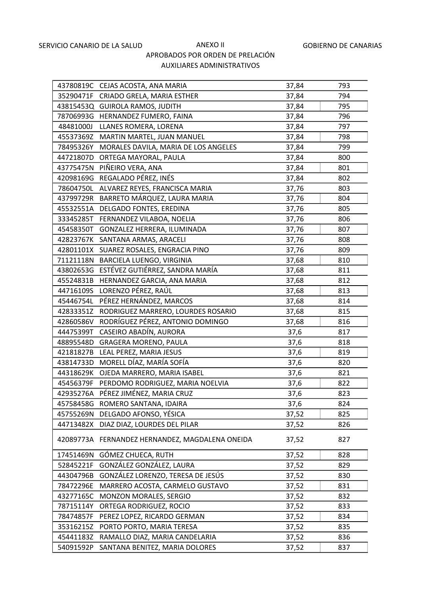|           | 43780819C CEJAS ACOSTA, ANA MARIA               | 37,84 | 793 |
|-----------|-------------------------------------------------|-------|-----|
|           | 35290471F CRIADO GRELA, MARIA ESTHER            | 37,84 | 794 |
|           | 43815453Q GUIROLA RAMOS, JUDITH                 | 37,84 | 795 |
|           | 78706993G HERNANDEZ FUMERO, FAINA               | 37,84 | 796 |
| 48481000J | LLANES ROMERA, LORENA                           | 37,84 | 797 |
| 45537369Z | MARTIN MARTEL, JUAN MANUEL                      | 37,84 | 798 |
|           | 78495326Y MORALES DAVILA, MARIA DE LOS ANGELES  | 37,84 | 799 |
| 44721807D | ORTEGA MAYORAL, PAULA                           | 37,84 | 800 |
|           | 43775475N PIÑEIRO VERA, ANA                     | 37,84 | 801 |
|           | 42098169G REGALADO PÉREZ, INÉS                  | 37,84 | 802 |
|           | 78604750L ALVAREZ REYES, FRANCISCA MARIA        | 37,76 | 803 |
|           | 43799729R BARRETO MÁRQUEZ, LAURA MARIA          | 37,76 | 804 |
| 45532551A | DELGADO FONTES, EREDINA                         | 37,76 | 805 |
| 33345285T | FERNANDEZ VILABOA, NOELIA                       | 37,76 | 806 |
| 45458350T | GONZALEZ HERRERA, ILUMINADA                     | 37,76 | 807 |
|           | 42823767K SANTANA ARMAS, ARACELI                | 37,76 | 808 |
|           | 42801101X SUAREZ ROSALES, ENGRACIA PINO         | 37,76 | 809 |
|           | 71121118N BARCIELA LUENGO, VIRGINIA             | 37,68 | 810 |
|           | 43802653G ESTÉVEZ GUTIÉRREZ, SANDRA MARÍA       | 37,68 | 811 |
|           | 45524831B HERNANDEZ GARCIA, ANA MARIA           | 37,68 | 812 |
|           | 44716109S LORENZO PÉREZ, RAÚL                   | 37,68 | 813 |
| 45446754L | PÉREZ HERNÁNDEZ, MARCOS                         | 37,68 | 814 |
| 42833351Z | RODRIGUEZ MARRERO, LOURDES ROSARIO              | 37,68 | 815 |
| 42860586V | RODRÍGUEZ PÉREZ, ANTONIO DOMINGO                | 37,68 | 816 |
| 44475399T | CASEIRO ABADÍN, AURORA                          | 37,6  | 817 |
| 48895548D | <b>GRAGERA MORENO, PAULA</b>                    | 37,6  | 818 |
| 42181827B | LEAL PEREZ, MARIA JESUS                         | 37,6  | 819 |
| 43814733D | MORELL DÍAZ, MARÍA SOFÍA                        | 37,6  | 820 |
|           | 44318629K OJEDA MARRERO, MARIA ISABEL           | 37,6  | 821 |
| 45456379F | PERDOMO RODRIGUEZ, MARIA NOELVIA                | 37,6  | 822 |
|           | 42935276A PÉREZ JIMÉNEZ, MARIA CRUZ             | 37,6  | 823 |
|           | 45758458G ROMERO SANTANA, IDAIRA                | 37,6  | 824 |
| 45755269N | DELGADO AFONSO, YÉSICA                          | 37,52 | 825 |
| 44713482X | DIAZ DIAZ, LOURDES DEL PILAR                    | 37,52 | 826 |
|           | 42089773A FERNANDEZ HERNANDEZ, MAGDALENA ONEIDA | 37,52 | 827 |
| 17451469N | GÓMEZ CHUECA, RUTH                              | 37,52 | 828 |
| 52845221F | GONZÁLEZ GONZÁLEZ, LAURA                        | 37,52 | 829 |
| 44304796B | GONZÁLEZ LORENZO, TERESA DE JESÚS               | 37,52 | 830 |
| 78472296E | MARRERO ACOSTA, CARMELO GUSTAVO                 | 37,52 | 831 |
| 43277165C | MONZON MORALES, SERGIO                          | 37,52 | 832 |
| 78715114Y | ORTEGA RODRIGUEZ, ROCIO                         | 37,52 | 833 |
| 78474857F | PEREZ LOPEZ, RICARDO GERMAN                     | 37,52 | 834 |
| 35316215Z | PORTO PORTO, MARIA TERESA                       | 37,52 | 835 |
| 45441183Z | RAMALLO DIAZ, MARIA CANDELARIA                  | 37,52 | 836 |
| 54091592P | SANTANA BENITEZ, MARIA DOLORES                  | 37,52 | 837 |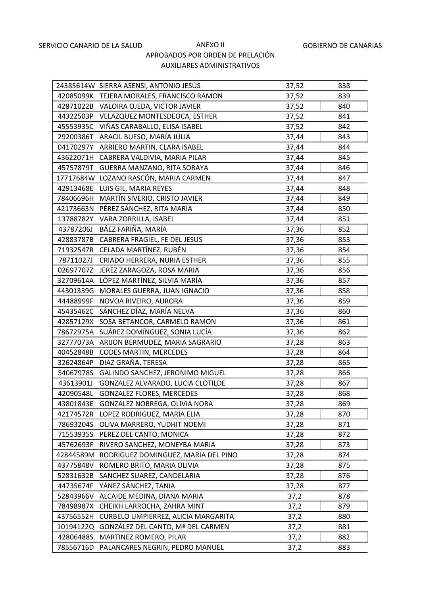|           | 24385614W SIERRA ASENSI, ANTONIO JESÚS    | 37,52 | 838 |
|-----------|-------------------------------------------|-------|-----|
|           | 42085099K TEJERA MORALES, FRANCISCO RAMON | 37,52 | 839 |
|           | 42871022B VALOIRA OJEDA, VICTOR JAVIER    | 37,52 | 840 |
| 44322503P | VELAZQUEZ MONTESDEOCA, ESTHER             | 37,52 | 841 |
| 45553935C | VIÑAS CARABALLO, ELISA ISABEL             | 37,52 | 842 |
| 29200386T | ARACIL BUESO, MARÍA JULIA                 | 37,44 | 843 |
| 04170297Y | ARRIERO MARTIN, CLARA ISABEL              | 37,44 | 844 |
| 43622071H | CABRERA VALDIVIA, MARIA PILAR             | 37,44 | 845 |
| 45757879T | GUERRA MANZANO, RITA SORAYA               | 37,44 | 846 |
|           | 17717684W LOZANO RASCÓN, MARIA CARMEN     | 37,44 | 847 |
| 42913468E | LUIS GIL, MARIA REYES                     | 37,44 | 848 |
|           | 78406696H MARTÍN SIVERIO, CRISTO JAVIER   | 37,44 | 849 |
| 42173663N | PÉREZ SÁNCHEZ, RITA MARÍA                 | 37,44 | 850 |
| 13788782Y | VARA ZORRILLA, ISABEL                     | 37,44 | 851 |
| 43787206J | BÁEZ FARIÑA, MARÍA                        | 37,36 | 852 |
|           | 42883787B CABRERA FRAGIEL, FE DEL JESUS   | 37,36 | 853 |
| 71932547R | CELADA MARTÍNEZ, RUBÉN                    | 37,36 | 854 |
| 78711027J | CRIADO HERRERA, NURIA ESTHER              | 37,36 | 855 |
| 02697707Z | JEREZ ZARAGOZA, ROSA MARIA                | 37,36 | 856 |
|           | 32709614A LÓPEZ MARTÍNEZ, SILVIA MARÍA    | 37,36 | 857 |
| 44301339G | MORALES GUERRA, JUAN IGNACIO              | 37,36 | 858 |
| 44488999F | NOVOA RIVEIRO, AURORA                     | 37,36 | 859 |
| 45435462C | SÁNCHEZ DÍAZ, MARÍA NELVA                 | 37,36 | 860 |
| 42857129X | SOSA BETANCOR, CARMELO RAMON              | 37,36 | 861 |
| 78672975A | SUÁREZ DOMÍNGUEZ, SONIA LUCÍA             | 37,36 | 862 |
| 32777073A | ARIJON BERMUDEZ, MARIA SAGRARIO           | 37,28 | 863 |
| 40452848B | <b>CODES MARTIN, MERCEDES</b>             | 37,28 | 864 |
| 32624864P | DIAZ GRAÑA, TERESA                        | 37,28 | 865 |
| 54067978S | GALINDO SANCHEZ, JERONIMO MIGUEL          | 37,28 | 866 |
| 43613901J | GONZALEZ ALVARADO, LUCIA CLOTILDE         | 37,28 | 867 |
| 42090548L | <b>GONZALEZ FLORES, MERCEDES</b>          | 37,28 | 868 |
| 43801843E | GONZALEZ NOBREGA, OLIVIA NORA             | 37,28 | 869 |
| 42174572R | LOPEZ RODRIGUEZ, MARIA ELIA               | 37,28 | 870 |
| 78693204S | OLIVA MARRERO, YUDHIT NOEMI               | 37,28 | 871 |
| 71553935S | PEREZ DEL CANTO, MONICA                   | 37,28 | 872 |
| 45762693F | RIVERO SANCHEZ, MONEYBA MARIA             | 37,28 | 873 |
| 42844589M | RODRIGUEZ DOMINGUEZ, MARIA DEL PINO       | 37,28 | 874 |
| 43775848V | ROMERO BRITO, MARIA OLIVIA                | 37,28 | 875 |
| 52831632B | SANCHEZ SUAREZ, CANDELARIA                | 37,28 | 876 |
| 44735674F | YÁNEZ SÁNCHEZ, TANIA                      | 37,28 | 877 |
| 52843966V | ALCAIDE MEDINA, DIANA MARIA               | 37,2  | 878 |
| 78498987X | CHEIKH LARROCHA, ZAHRA MINT               | 37,2  | 879 |
| 43756552H | CURBELO UMPIERREZ, ALICIA MARGARITA       | 37,2  | 880 |
| 10194122Q | GONZÁLEZ DEL CANTO, Mª DEL CARMEN         | 37,2  | 881 |
| 42806488S | MARTINEZ ROMERO, PILAR                    | 37,2  | 882 |
| 78556716D | PALANCARES NEGRIN, PEDRO MANUEL           | 37,2  | 883 |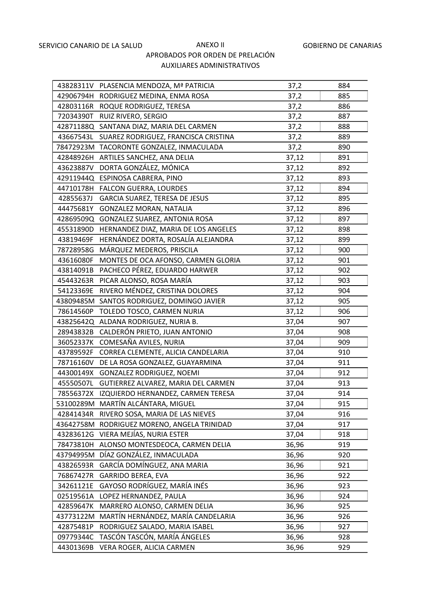|           | 43828311V PLASENCIA MENDOZA, Mª PATRICIA       | 37,2  | 884 |
|-----------|------------------------------------------------|-------|-----|
|           | 42906794H RODRIGUEZ MEDINA, ENMA ROSA          | 37,2  | 885 |
|           | 42803116R ROQUE RODRIGUEZ, TERESA              | 37,2  | 886 |
| 72034390T | RUIZ RIVERO, SERGIO                            | 37,2  | 887 |
|           | 42871188Q SANTANA DIAZ, MARIA DEL CARMEN       | 37,2  | 888 |
|           | 43667543L SUAREZ RODRIGUEZ, FRANCISCA CRISTINA | 37,2  | 889 |
|           | 78472923M TACORONTE GONZALEZ, INMACULADA       | 37,2  | 890 |
|           | 42848926H ARTILES SANCHEZ, ANA DELIA           | 37,12 | 891 |
|           | 43623887V DORTA GONZÁLEZ, MÓNICA               | 37,12 | 892 |
|           | 42911944Q ESPINOSA CABRERA, PINO               | 37,12 | 893 |
|           | 44710178H FALCON GUERRA, LOURDES               | 37,12 | 894 |
|           | 42855637J GARCIA SUAREZ, TERESA DE JESUS       | 37,12 | 895 |
| 44475681Y | <b>GONZALEZ MORAN, NATALIA</b>                 | 37,12 | 896 |
|           | 42869509Q GONZALEZ SUAREZ, ANTONIA ROSA        | 37,12 | 897 |
| 45531890D | HERNANDEZ DIAZ, MARIA DE LOS ANGELES           | 37,12 | 898 |
| 43819469F | HERNÁNDEZ DORTA, ROSALÍA ALEJANDRA             | 37,12 | 899 |
|           | 78728958G MÁRQUEZ MEDEROS, PRISCILA            | 37,12 | 900 |
| 43616080F | MONTES DE OCA AFONSO, CARMEN GLORIA            | 37,12 | 901 |
|           | 43814091B PACHECO PÉREZ, EDUARDO HARWER        | 37,12 | 902 |
|           | 45443263R PICAR ALONSO, ROSA MARÍA             | 37,12 | 903 |
| 54123369E | RIVERO MÉNDEZ, CRISTINA DOLORES                | 37,12 | 904 |
|           | 43809485M SANTOS RODRIGUEZ, DOMINGO JAVIER     | 37,12 | 905 |
| 78614560P | TOLEDO TOSCO, CARMEN NURIA                     | 37,12 | 906 |
|           | 43825642Q ALDANA RODRIGUEZ, NURIA B.           | 37,04 | 907 |
| 28943832B | CALDERÓN PRIETO, JUAN ANTONIO                  | 37,04 | 908 |
|           | 36052337K COMESAÑA AVILES, NURIA               | 37,04 | 909 |
| 43789592F | CORREA CLEMENTE, ALICIA CANDELARIA             | 37,04 | 910 |
| 78716160V | DE LA ROSA GONZALEZ, GUAYARMINA                | 37,04 | 911 |
|           | 44300149X GONZALEZ RODRIGUEZ, NOEMI            | 37,04 | 912 |
| 45550507L | GUTIERREZ ALVAREZ, MARIA DEL CARMEN            | 37,04 | 913 |
|           | 78556372X IZQUIERDO HERNANDEZ, CARMEN TERESA   | 37,04 | 914 |
|           | 53100289M MARTÍN ALCÁNTARA, MIGUEL             | 37,04 | 915 |
| 42841434R | RIVERO SOSA, MARIA DE LAS NIEVES               | 37,04 | 916 |
|           | 43642758M RODRIGUEZ MORENO, ANGELA TRINIDAD    | 37,04 | 917 |
| 43283612G | VIERA MEJÍAS, NURIA ESTER                      | 37,04 | 918 |
| 78473810H | ALONSO MONTESDEOCA, CARMEN DELIA               | 36,96 | 919 |
| 43794995M | DÍAZ GONZÁLEZ, INMACULADA                      | 36,96 | 920 |
| 43826593R | GARCÍA DOMÍNGUEZ, ANA MARIA                    | 36,96 | 921 |
| 76867427R | <b>GARRIDO BEREA, EVA</b>                      | 36,96 | 922 |
| 34261121E | GAYOSO RODRÍGUEZ, MARÍA INÉS                   | 36,96 | 923 |
| 02519561A | LOPEZ HERNANDEZ, PAULA                         | 36,96 | 924 |
| 42859647K | MARRERO ALONSO, CARMEN DELIA                   | 36,96 | 925 |
| 43773122M | MARTÍN HERNÁNDEZ, MARÍA CANDELARIA             | 36,96 | 926 |
| 42875481P | RODRIGUEZ SALADO, MARIA ISABEL                 | 36,96 | 927 |
| 09779344C | TASCÓN TASCÓN, MARÍA ÁNGELES                   | 36,96 | 928 |
| 44301369B | VERA ROGER, ALICIA CARMEN                      | 36,96 | 929 |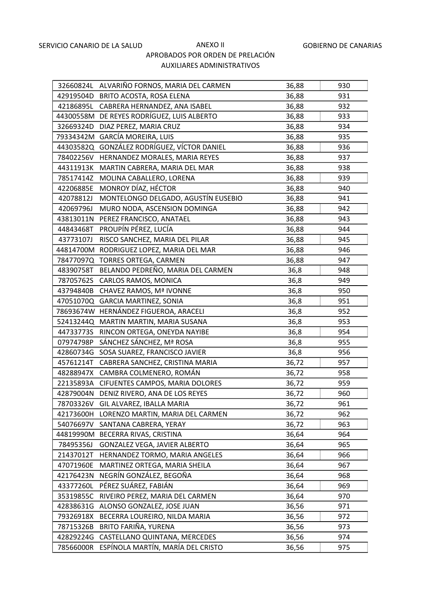|           | 32660824L ALVARIÑO FORNOS, MARIA DEL CARMEN | 36,88 | 930 |
|-----------|---------------------------------------------|-------|-----|
|           | 42919504D BRITO ACOSTA, ROSA ELENA          | 36,88 | 931 |
|           | 42186895L CABRERA HERNANDEZ, ANA ISABEL     | 36,88 | 932 |
|           | 44300558M DE REYES RODRÍGUEZ, LUIS ALBERTO  | 36,88 | 933 |
|           | 32669324D DIAZ PEREZ, MARIA CRUZ            | 36,88 | 934 |
|           | 79334342M GARCÍA MOREIRA, LUIS              | 36,88 | 935 |
|           | 44303582Q GONZÁLEZ RODRÍGUEZ, VÍCTOR DANIEL | 36,88 | 936 |
| 78402256V | HERNANDEZ MORALES, MARIA REYES              | 36,88 | 937 |
| 44311913K | MARTIN CABRERA, MARIA DEL MAR               | 36,88 | 938 |
| 78517414Z | MOLINA CABALLERO, LORENA                    | 36,88 | 939 |
| 42206885E | MONROY DÍAZ, HÉCTOR                         | 36,88 | 940 |
| 42078812J | MONTELONGO DELGADO, AGUSTÍN EUSEBIO         | 36,88 | 941 |
| 42069796J | MURO NODA, ASCENSION DOMINGA                | 36,88 | 942 |
| 43813011N | PEREZ FRANCISCO, ANATAEL                    | 36,88 | 943 |
| 44843468T | PROUPÍN PÉREZ, LUCÍA                        | 36,88 | 944 |
| 43773107J | RISCO SANCHEZ, MARIA DEL PILAR              | 36,88 | 945 |
|           | 44814700M RODRIGUEZ LOPEZ, MARIA DEL MAR    | 36,88 | 946 |
| 78477097Q | TORRES ORTEGA, CARMEN                       | 36,88 | 947 |
| 48390758T | BELANDO PEDREÑO, MARIA DEL CARMEN           | 36,8  | 948 |
| 78705762S | CARLOS RAMOS, MONICA                        | 36,8  | 949 |
|           | 43794840B CHAVEZ RAMOS, Mª IVONNE           | 36,8  | 950 |
|           | 47051070Q GARCIA MARTINEZ, SONIA            | 36,8  | 951 |
|           | 78693674W HERNÁNDEZ FIGUEROA, ARACELI       | 36,8  | 952 |
|           | 52413244Q MARTIN MARTIN, MARIA SUSANA       | 36,8  | 953 |
| 44733773S | RINCON ORTEGA, ONEYDA NAYIBE                | 36,8  | 954 |
| 07974798P | SÁNCHEZ SÁNCHEZ, Mª ROSA                    | 36,8  | 955 |
| 42860734G | SOSA SUAREZ, FRANCISCO JAVIER               | 36,8  | 956 |
| 45761214T | CABRERA SANCHEZ, CRISTINA MARIA             | 36,72 | 957 |
|           | 48288947X CAMBRA COLMENERO, ROMÁN           | 36,72 | 958 |
|           | 22135893A CIFUENTES CAMPOS, MARIA DOLORES   | 36,72 | 959 |
|           | 42879004N DENIZ RIVERO, ANA DE LOS REYES    | 36,72 | 960 |
| 78703326V | GIL ALVAREZ, IBALLA MARIA                   | 36,72 | 961 |
| 42173600H | LORENZO MARTIN, MARIA DEL CARMEN            | 36,72 | 962 |
| 54076697V | SANTANA CABRERA, YERAY                      | 36,72 | 963 |
|           | 44819990M BECERRA RIVAS, CRISTINA           | 36,64 | 964 |
| 78495356J | GONZALEZ VEGA, JAVIER ALBERTO               | 36,64 | 965 |
| 21437012T | HERNANDEZ TORMO, MARIA ANGELES              | 36,64 | 966 |
| 47071960E | MARTINEZ ORTEGA, MARIA SHEILA               | 36,64 | 967 |
| 42176423N | NEGRÍN GONZÁLEZ, BEGOÑA                     | 36,64 | 968 |
| 43377260L | PÉREZ SUÁREZ, FABIÁN                        | 36,64 | 969 |
| 35319855C | RIVEIRO PEREZ, MARIA DEL CARMEN             | 36,64 | 970 |
| 42838631G | ALONSO GONZALEZ, JOSE JUAN                  | 36,56 | 971 |
| 79326918X | BECERRA LOUREIRO, NILDA MARIA               | 36,56 | 972 |
| 78715326B | BRITO FARIÑA, YURENA                        | 36,56 | 973 |
| 42829224G | CASTELLANO QUINTANA, MERCEDES               | 36,56 | 974 |
| 78566000R | ESPÍNOLA MARTÍN, MARÍA DEL CRISTO           | 36,56 | 975 |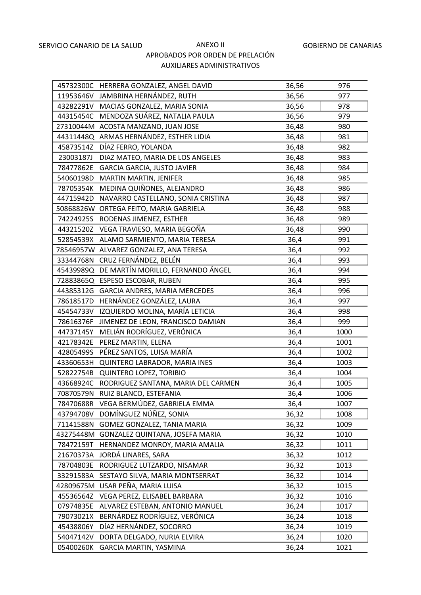|           | 45732300C HERRERA GONZALEZ, ANGEL DAVID       | 36,56 | 976  |
|-----------|-----------------------------------------------|-------|------|
|           | 11953646V JAMBRINA HERNÁNDEZ, RUTH            | 36,56 | 977  |
|           | 43282291V MACIAS GONZALEZ, MARIA SONIA        | 36,56 | 978  |
|           | 44315454C MENDOZA SUÁREZ, NATALIA PAULA       | 36,56 | 979  |
|           | 27310044M ACOSTA MANZANO, JUAN JOSE           | 36,48 | 980  |
|           | 44311448Q ARMAS HERNÁNDEZ, ESTHER LIDIA       | 36,48 | 981  |
|           | 45873514Z DÍAZ FERRO, YOLANDA                 | 36,48 | 982  |
| 23003187J | DIAZ MATEO, MARIA DE LOS ANGELES              | 36,48 | 983  |
| 78477862E | <b>GARCIA GARCIA, JUSTO JAVIER</b>            | 36,48 | 984  |
|           | 54060198D MARTIN MARTIN, JENIFER              | 36,48 | 985  |
|           | 78705354K MEDINA QUIÑONES, ALEJANDRO          | 36,48 | 986  |
| 44715942D | NAVARRO CASTELLANO, SONIA CRISTINA            | 36,48 | 987  |
| 50868826W | ORTEGA FEITO, MARIA GABRIELA                  | 36,48 | 988  |
|           | 74224925S RODENAS JIMENEZ, ESTHER             | 36,48 | 989  |
| 44321520Z | VEGA TRAVIESO, MARIA BEGOÑA                   | 36,48 | 990  |
|           | 52854539X ALAMO SARMIENTO, MARIA TERESA       | 36,4  | 991  |
|           | 78546957W ALVAREZ GONZALEZ, ANA TERESA        | 36,4  | 992  |
|           | 33344768N CRUZ FERNÁNDEZ, BELÉN               | 36,4  | 993  |
|           | 45439989Q DE MARTÍN MORILLO, FERNANDO ÁNGEL   | 36,4  | 994  |
|           | 72883865Q ESPESO ESCOBAR, RUBEN               | 36,4  | 995  |
|           | 44385312G GARCIA ANDRES, MARIA MERCEDES       | 36,4  | 996  |
| 78618517D | HERNÁNDEZ GONZÁLEZ, LAURA                     | 36,4  | 997  |
| 45454733V | IZQUIERDO MOLINA, MARÍA LETICIA               | 36,4  | 998  |
| 78616376F | JIMENEZ DE LEON, FRANCISCO DAMIAN             | 36,4  | 999  |
| 44737145Y | MELIÁN RODRÍGUEZ, VERÓNICA                    | 36,4  | 1000 |
|           | 42178342E PEREZ MARTIN, ELENA                 | 36,4  | 1001 |
| 42805499S | PÉREZ SANTOS, LUISA MARÍA                     | 36,4  | 1002 |
|           | 43360653H QUINTERO LABRADOR, MARIA INES       | 36,4  | 1003 |
|           | 52822754B QUINTERO LOPEZ, TORIBIO             | 36,4  | 1004 |
|           | 43668924C RODRIGUEZ SANTANA, MARIA DEL CARMEN | 36,4  | 1005 |
|           | 70870579N RUIZ BLANCO, ESTEFANIA              | 36,4  | 1006 |
| 78470688R | VEGA BERMÚDEZ, GABRIELA EMMA                  | 36,4  | 1007 |
| 43794708V | DOMÍNGUEZ NÚÑEZ, SONIA                        | 36,32 | 1008 |
| 71141588N | GOMEZ GONZALEZ, TANIA MARIA                   | 36,32 | 1009 |
| 43275448M | GONZALEZ QUINTANA, JOSEFA MARIA               | 36,32 | 1010 |
| 78472159T | HERNANDEZ MONROY, MARIA AMALIA                | 36,32 | 1011 |
| 21670373A | JORDÁ LINARES, SARA                           | 36,32 | 1012 |
| 78704803E | RODRIGUEZ LUTZARDO, NISAMAR                   | 36,32 | 1013 |
| 33291583A | SESTAYO SILVA, MARIA MONTSERRAT               | 36,32 | 1014 |
| 42809675M | USAR PEÑA, MARIA LUISA                        | 36,32 | 1015 |
| 45536564Z | VEGA PEREZ, ELISABEL BARBARA                  | 36,32 | 1016 |
| 07974835E | ALVAREZ ESTEBAN, ANTONIO MANUEL               | 36,24 | 1017 |
| 79073021X | BERNÁRDEZ RODRÍGUEZ, VERÓNICA                 | 36,24 | 1018 |
| 45438806Y | DÍAZ HERNÁNDEZ, SOCORRO                       | 36,24 | 1019 |
| 54047142V | DORTA DELGADO, NURIA ELVIRA                   | 36,24 | 1020 |
| 05400260K | GARCIA MARTIN, YASMINA                        | 36,24 | 1021 |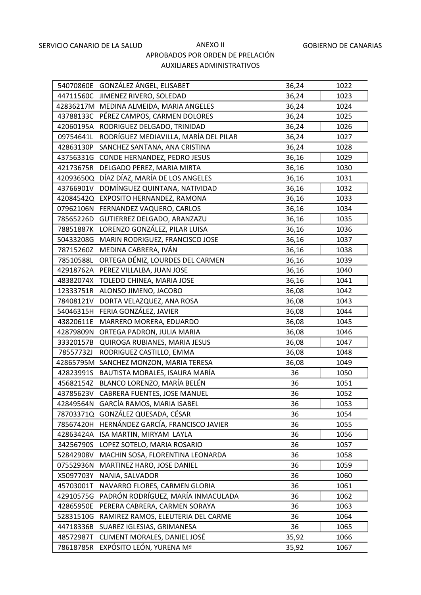|           | 54070860E GONZÁLEZ ÁNGEL, ELISABET        | 36,24 | 1022 |
|-----------|-------------------------------------------|-------|------|
| 44711560C | JIMENEZ RIVERO, SOLEDAD                   | 36,24 | 1023 |
|           | 42836217M MEDINA ALMEIDA, MARIA ANGELES   | 36,24 | 1024 |
| 43788133C | PÉREZ CAMPOS, CARMEN DOLORES              | 36,24 | 1025 |
| 42060195A | RODRIGUEZ DELGADO, TRINIDAD               | 36,24 | 1026 |
| 09754641L | RODRÍGUEZ MEDIAVILLA, MARÍA DEL PILAR     | 36,24 | 1027 |
| 42863130P | SANCHEZ SANTANA, ANA CRISTINA             | 36,24 | 1028 |
| 43756331G | CONDE HERNANDEZ, PEDRO JESUS              | 36,16 | 1029 |
| 42173675R | DELGADO PEREZ, MARIA MIRTA                | 36,16 | 1030 |
| 42093650Q | DÍAZ DÍAZ, MARÍA DE LOS ANGELES           | 36,16 | 1031 |
| 43766901V | DOMÍNGUEZ QUINTANA, NATIVIDAD             | 36,16 | 1032 |
| 42084542Q | EXPOSITO HERNANDEZ, RAMONA                | 36,16 | 1033 |
| 07962106N | FERNANDEZ VAQUERO, CARLOS                 | 36,16 | 1034 |
| 78565226D | GUTIERREZ DELGADO, ARANZAZU               | 36,16 | 1035 |
| 78851887K | LORENZO GONZÁLEZ, PILAR LUISA             | 36,16 | 1036 |
|           | 50433208G MARIN RODRIGUEZ, FRANCISCO JOSE | 36,16 | 1037 |
| 78715260Z | MEDINA CABRERA, IVÁN                      | 36,16 | 1038 |
| 78510588L | ORTEGA DÉNIZ, LOURDES DEL CARMEN          | 36,16 | 1039 |
|           | 42918762A PEREZ VILLALBA, JUAN JOSE       | 36,16 | 1040 |
| 48382074X | TOLEDO CHINEA, MARIA JOSE                 | 36,16 | 1041 |
| 12333751R | ALONSO JIMENO, JACOBO                     | 36,08 | 1042 |
| 78408121V | DORTA VELAZQUEZ, ANA ROSA                 | 36,08 | 1043 |
| 54046315H | FERIA GONZÁLEZ, JAVIER                    | 36,08 | 1044 |
| 43820611E | MARRERO MORERA, EDUARDO                   | 36,08 | 1045 |
| 42879809N | ORTEGA PADRON, JULIA MARIA                | 36,08 | 1046 |
| 33320157B | QUIROGA RUBIANES, MARIA JESUS             | 36,08 | 1047 |
| 78557732J | RODRIGUEZ CASTILLO, EMMA                  | 36,08 | 1048 |
|           | 42865795M SANCHEZ MONZON, MARIA TERESA    | 36,08 | 1049 |
| 42823991S | BAUTISTA MORALES, ISAURA MARÍA            | 36    | 1050 |
| 45682154Z | BLANCO LORENZO, MARÍA BELÉN               | 36    | 1051 |
|           | 43785623V CABRERA FUENTES, JOSE MANUEL    | 36    | 1052 |
| 42849564N | GARCÍA RAMOS, MARIA ISABEL                | 36    | 1053 |
| 78703371Q | GONZÁLEZ QUESADA, CÉSAR                   | 36    | 1054 |
| 78567420H | HERNÁNDEZ GARCÍA, FRANCISCO JAVIER        | 36    | 1055 |
| 42863424A | ISA MARTIN, MIRYAM LAYLA                  | 36    | 1056 |
| 34256790S | LOPEZ SOTELO, MARIA ROSARIO               | 36    | 1057 |
| 52842908V | MACHIN SOSA, FLORENTINA LEONARDA          | 36    | 1058 |
| 07552936N | MARTINEZ HARO, JOSE DANIEL                | 36    | 1059 |
| X5097703Y | NANIA, SALVADOR                           | 36    | 1060 |
| 45703001T | NAVARRO FLORES, CARMEN GLORIA             | 36    | 1061 |
| 42910575G | PADRÓN RODRÍGUEZ, MARÍA INMACULADA        | 36    | 1062 |
| 42865950E | PERERA CABRERA, CARMEN SORAYA             | 36    | 1063 |
| 52831510G | RAMIREZ RAMOS, ELEUTERIA DEL CARME        | 36    | 1064 |
| 44718336B | SUAREZ IGLESIAS, GRIMANESA                | 36    | 1065 |
| 48572987T | CLIMENT MORALES, DANIEL JOSÉ              | 35,92 | 1066 |
| 78618785R | EXPÓSITO LEÓN, YURENA Mª                  | 35,92 | 1067 |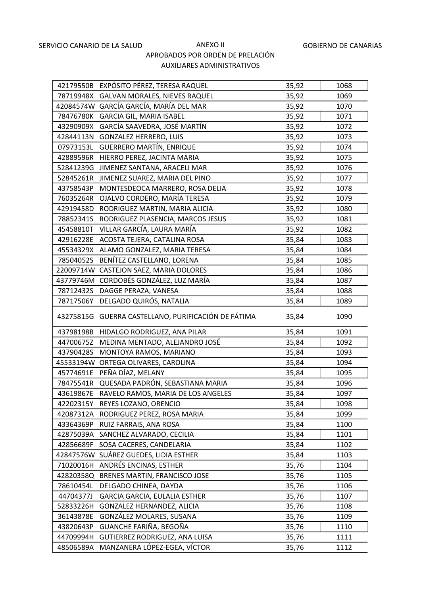|           | 42179550B EXPÓSITO PÉREZ, TERESA RAQUEL   | 35,92 | 1068 |
|-----------|-------------------------------------------|-------|------|
|           | 78719948X GALVAN MORALES, NIEVES RAQUEL   | 35,92 | 1069 |
|           | 42084574W GARCÍA GARCÍA, MARÍA DEL MAR    | 35,92 | 1070 |
| 78476780K | <b>GARCIA GIL, MARIA ISABEL</b>           | 35,92 | 1071 |
| 43290909X | GARCÍA SAAVEDRA, JOSÉ MARTÍN              | 35,92 | 1072 |
| 42844113N | <b>GONZALEZ HERRERO, LUIS</b>             | 35,92 | 1073 |
| 07973153L | <b>GUERRERO MARTÍN, ENRIQUE</b>           | 35,92 | 1074 |
| 42889596R | HIERRO PEREZ, JACINTA MARIA               | 35,92 | 1075 |
| 52841239G | JIMENEZ SANTANA, ARACELI MAR              | 35,92 | 1076 |
| 52845261R | JIMENEZ SUAREZ, MARIA DEL PINO            | 35,92 | 1077 |
| 43758543P | MONTESDEOCA MARRERO, ROSA DELIA           | 35,92 | 1078 |
| 76035264R | OJALVO CORDERO, MARÍA TERESA              | 35,92 | 1079 |
| 42919458D | RODRIGUEZ MARTIN, MARIA ALICIA            | 35,92 | 1080 |
| 78852341S | RODRIGUEZ PLASENCIA, MARCOS JESUS         | 35,92 | 1081 |
| 45458810T | VILLAR GARCÍA, LAURA MARÍA                | 35,92 | 1082 |
| 42916228E | ACOSTA TEJERA, CATALINA ROSA              | 35,84 | 1083 |
| 45534329X | ALAMO GONZALEZ, MARIA TERESA              | 35,84 | 1084 |
| 78504052S | BENÍTEZ CASTELLANO, LORENA                | 35,84 | 1085 |
| 22009714W | CASTEJON SAEZ, MARIA DOLORES              | 35,84 | 1086 |
| 43779746M | CORDOBÉS GONZÁLEZ, LUZ MARÍA              | 35,84 | 1087 |
| 78712432S | DAGGE PERAZA, VANESA                      | 35,84 | 1088 |
| 78717506Y | DELGADO QUIRÓS, NATALIA                   | 35,84 | 1089 |
| 43275815G | GUERRA CASTELLANO, PURIFICACIÓN DE FÁTIMA | 35,84 | 1090 |
| 43798198B | HIDALGO RODRIGUEZ, ANA PILAR              | 35,84 | 1091 |
| 44700675Z | MEDINA MENTADO, ALEJANDRO JOSÉ            | 35,84 | 1092 |
| 43790428S | MONTOYA RAMOS, MARIANO                    | 35,84 | 1093 |
|           | 45533194W ORTEGA OLIVARES, CAROLINA       | 35,84 | 1094 |
| 45774691E | PEÑA DÍAZ, MELANY                         | 35,84 | 1095 |
| 78475541R | QUESADA PADRÓN, SEBASTIANA MARIA          | 35,84 | 1096 |
| 43619867E | RAVELO RAMOS, MARIA DE LOS ANGELES        | 35,84 | 1097 |
| 42202315Y | REYES LOZANO, ORENCIO                     | 35,84 | 1098 |
| 42087312A | RODRIGUEZ PEREZ, ROSA MARIA               | 35,84 | 1099 |
| 43364369P | RUIZ FARRAIS, ANA ROSA                    | 35,84 | 1100 |
| 42875039A | SANCHEZ ALVARADO, CECILIA                 | 35,84 | 1101 |
| 42856689F | SOSA CACERES, CANDELARIA                  | 35,84 | 1102 |
| 42847576W | SUÁREZ GUEDES, LIDIA ESTHER               | 35,84 | 1103 |
| 71020016H | ANDRÉS ENCINAS, ESTHER                    | 35,76 | 1104 |
| 42820358Q | BRENES MARTIN, FRANCISCO JOSE             | 35,76 | 1105 |
| 78610454L | DELGADO CHINEA, DAYDA                     | 35,76 | 1106 |
| 44704377J | GARCIA GARCIA, EULALIA ESTHER             | 35,76 | 1107 |
| 52833226H | GONZALEZ HERNANDEZ, ALICIA                | 35,76 | 1108 |
| 36143878E | GONZÁLEZ MOLARES, SUSANA                  | 35,76 | 1109 |
| 43820643P | GUANCHE FARIÑA, BEGOÑA                    | 35,76 | 1110 |
| 44709994H | GUTIERREZ RODRIGUEZ, ANA LUISA            | 35,76 | 1111 |
| 48506589A | MANZANERA LÓPEZ-EGEA, VÍCTOR              | 35,76 | 1112 |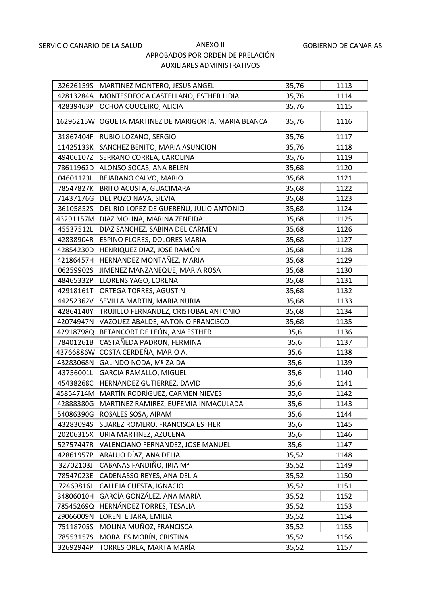|           | 32626159S MARTINEZ MONTERO, JESUS ANGEL              | 35,76 | 1113 |
|-----------|------------------------------------------------------|-------|------|
|           | 42813284A MONTESDEOCA CASTELLANO, ESTHER LIDIA       | 35,76 | 1114 |
| 42839463P | OCHOA COUCEIRO, ALICIA                               | 35,76 | 1115 |
|           | 16296215W OGUETA MARTINEZ DE MARIGORTA, MARIA BLANCA | 35,76 | 1116 |
|           | 31867404F RUBIO LOZANO, SERGIO                       | 35,76 | 1117 |
|           | 11425133K SANCHEZ BENITO, MARIA ASUNCION             | 35,76 | 1118 |
|           | 49406107Z SERRANO CORREA, CAROLINA                   | 35,76 | 1119 |
|           | 78611962D ALONSO SOCAS, ANA BELEN                    | 35,68 | 1120 |
| 04601123L | BEJARANO CALVO, MARIO                                | 35,68 | 1121 |
|           | 78547827K BRITO ACOSTA, GUACIMARA                    | 35,68 | 1122 |
| 71437176G | DEL POZO NAVA, SILVIA                                | 35,68 | 1123 |
| 36105852S | DEL RIO LOPEZ DE GUEREÑU, JULIO ANTONIO              | 35,68 | 1124 |
|           | 43291157M DIAZ MOLINA, MARINA ZENEIDA                | 35,68 | 1125 |
| 45537512L | DIAZ SANCHEZ, SABINA DEL CARMEN                      | 35,68 | 1126 |
|           | 42838904R ESPINO FLORES, DOLORES MARIA               | 35,68 | 1127 |
| 42854230D | HENRIQUEZ DIAZ, JOSÉ RAMÓN                           | 35,68 | 1128 |
| 42186457H | HERNANDEZ MONTAÑEZ, MARIA                            | 35,68 | 1129 |
| 06259902S | JIMENEZ MANZANEQUE, MARIA ROSA                       | 35,68 | 1130 |
| 48465332P | LLORENS YAGO, LORENA                                 | 35,68 | 1131 |
| 42918161T | ORTEGA TORRES, AGUSTIN                               | 35,68 | 1132 |
| 44252362V | SEVILLA MARTIN, MARIA NURIA                          | 35,68 | 1133 |
| 42864140Y | TRUJILLO FERNANDEZ, CRISTOBAL ANTONIO                | 35,68 | 1134 |
| 42074947N | VAZQUEZ ABALDE, ANTONIO FRANCISCO                    | 35,68 | 1135 |
| 42918798Q | BETANCORT DE LEÓN, ANA ESTHER                        | 35,6  | 1136 |
| 78401261B | CASTAÑEDA PADRON, FERMINA                            | 35,6  | 1137 |
| 43766886W | COSTA CERDEÑA, MARIO A.                              | 35,6  | 1138 |
| 43283068N | <b>GALINDO NODA, Mª ZAIDA</b>                        | 35,6  | 1139 |
| 43756001L | <b>GARCIA RAMALLO, MIGUEL</b>                        | 35,6  | 1140 |
| 45438268C | HERNANDEZ GUTIERREZ, DAVID                           | 35,6  | 1141 |
|           | 45854714M MARTÍN RODRÍGUEZ, CARMEN NIEVES            | 35,6  | 1142 |
| 42888380G | MARTINEZ RAMIREZ, EUFEMIA INMACULADA                 | 35,6  | 1143 |
| 54086390G | ROSALES SOSA, AIRAM                                  | 35,6  | 1144 |
| 43283094S | SUAREZ ROMERO, FRANCISCA ESTHER                      | 35,6  | 1145 |
| 20206315X | URIA MARTINEZ, AZUCENA                               | 35,6  | 1146 |
| 52757447R | VALENCIANO FERNANDEZ, JOSE MANUEL                    | 35,6  | 1147 |
| 42861957P | ARAUJO DÍAZ, ANA DELIA                               | 35,52 | 1148 |
| 32702103J | CABANAS FANDIÑO, IRIA Mª                             | 35,52 | 1149 |
| 78547023E | CADENASSO REYES, ANA DELIA                           | 35,52 | 1150 |
| 72469816J | CALLEJA CUESTA, IGNACIO                              | 35,52 | 1151 |
| 34806010H | GARCÍA GONZÁLEZ, ANA MARÍA                           | 35,52 | 1152 |
| 78545269Q | HERNÁNDEZ TORRES, TESALIA                            | 35,52 | 1153 |
| 29066009N | LORENTE JARA, EMILIA                                 | 35,52 | 1154 |
| 75118705S | MOLINA MUÑOZ, FRANCISCA                              | 35,52 | 1155 |
| 78553157S | MORALES MORÍN, CRISTINA                              | 35,52 | 1156 |
| 32692944P | TORRES OREA, MARTA MARÍA                             | 35,52 | 1157 |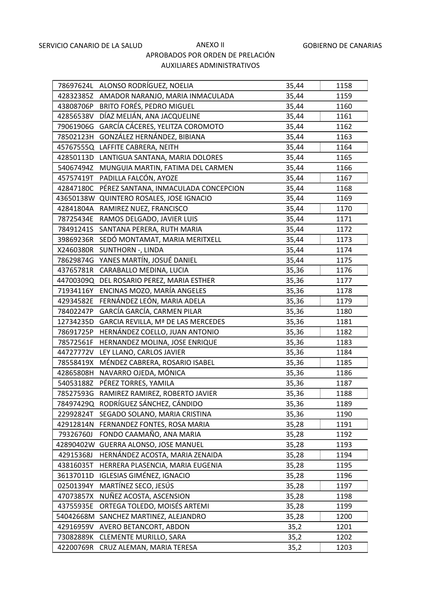|           | 78697624L ALONSO RODRÍGUEZ, NOELIA         | 35,44 | 1158 |
|-----------|--------------------------------------------|-------|------|
|           | 42832385Z AMADOR NARANJO, MARIA INMACULADA | 35,44 | 1159 |
| 43808706P | BRITO FORÉS, PEDRO MIGUEL                  | 35,44 | 1160 |
| 42856538V | DÍAZ MELIÁN, ANA JACQUELINE                | 35,44 | 1161 |
| 79061906G | GARCÍA CÁCERES, YELITZA COROMOTO           | 35,44 | 1162 |
| 78502123H | GONZÁLEZ HERNÁNDEZ, BIBIANA                | 35,44 | 1163 |
|           | 45767555Q LAFFITE CABRERA, NEITH           | 35,44 | 1164 |
| 42850113D | LANTIGUA SANTANA, MARIA DOLORES            | 35,44 | 1165 |
| 54067494Z | MUNGUIA MARTIN, FATIMA DEL CARMEN          | 35,44 | 1166 |
| 45757419T | PADILLA FALCÓN, AYOZE                      | 35,44 | 1167 |
| 42847180C | PÉREZ SANTANA, INMACULADA CONCEPCION       | 35,44 | 1168 |
|           | 43650138W QUINTERO ROSALES, JOSE IGNACIO   | 35,44 | 1169 |
|           | 42841804A RAMIREZ NUEZ, FRANCISCO          | 35,44 | 1170 |
|           | 78725434E RAMOS DELGADO, JAVIER LUIS       | 35,44 | 1171 |
| 78491241S | SANTANA PERERA, RUTH MARIA                 | 35,44 | 1172 |
| 39869236R | SEDÓ MONTAMAT, MARIA MERITXELL             | 35,44 | 1173 |
| X2460380R | SUNTHORN -, LINDA                          | 35,44 | 1174 |
| 78629874G | YANES MARTÍN, JOSUÉ DANIEL                 | 35,44 | 1175 |
|           | 43765781R CARABALLO MEDINA, LUCIA          | 35,36 | 1176 |
| 44700309Q | DEL ROSARIO PEREZ, MARIA ESTHER            | 35,36 | 1177 |
|           | 71934116Y ENCINAS MOZO, MARÍA ANGELES      | 35,36 | 1178 |
| 42934582E | FERNÁNDEZ LEÓN, MARIA ADELA                | 35,36 | 1179 |
| 78402247P | GARCÍA GARCÍA, CARMEN PILAR                | 35,36 | 1180 |
| 12734235D | GARCIA REVILLA, Mª DE LAS MERCEDES         | 35,36 | 1181 |
| 78691725P | HERNÁNDEZ COELLO, JUAN ANTONIO             | 35,36 | 1182 |
| 78572561F | HERNANDEZ MOLINA, JOSE ENRIQUE             | 35,36 | 1183 |
| 44727772V | LEY LLANO, CARLOS JAVIER                   | 35,36 | 1184 |
| 78558419X | MÉNDEZ CABRERA, ROSARIO ISABEL             | 35,36 | 1185 |
| 42865808H | NAVARRO OJEDA, MÓNICA                      | 35,36 | 1186 |
| 54053188Z | PÉREZ TORRES, YAMILA                       | 35,36 | 1187 |
| 78527593G | RAMIREZ RAMIREZ, ROBERTO JAVIER            | 35,36 | 1188 |
| 78497429Q | RODRÍGUEZ SÁNCHEZ, CÁNDIDO                 | 35,36 | 1189 |
| 22992824T | SEGADO SOLANO, MARIA CRISTINA              | 35,36 | 1190 |
| 42912814N | FERNANDEZ FONTES, ROSA MARIA               | 35,28 | 1191 |
| 79326760J | FONDO CAAMAÑO, ANA MARIA                   | 35,28 | 1192 |
| 42890402W | <b>GUERRA ALONSO, JOSE MANUEL</b>          | 35,28 | 1193 |
| 42915368J | HERNÁNDEZ ACOSTA, MARIA ZENAIDA            | 35,28 | 1194 |
| 43816035T | HERRERA PLASENCIA, MARIA EUGENIA           | 35,28 | 1195 |
| 36137011D | <b>IGLESIAS GIMÉNEZ, IGNACIO</b>           | 35,28 | 1196 |
| 02501394Y | MARTÍNEZ SECO, JESÚS                       | 35,28 | 1197 |
| 47073857X | NUÑEZ ACOSTA, ASCENSION                    | 35,28 | 1198 |
| 43755935E | ORTEGA TOLEDO, MOISÉS ARTEMI               | 35,28 | 1199 |
| 54042668M | SANCHEZ MARTINEZ, ALEJANDRO                | 35,28 | 1200 |
| 42916959V | AVERO BETANCORT, ABDON                     | 35,2  | 1201 |
| 73082889K | CLEMENTE MURILLO, SARA                     | 35,2  | 1202 |
| 42200769R | CRUZ ALEMAN, MARIA TERESA                  | 35,2  | 1203 |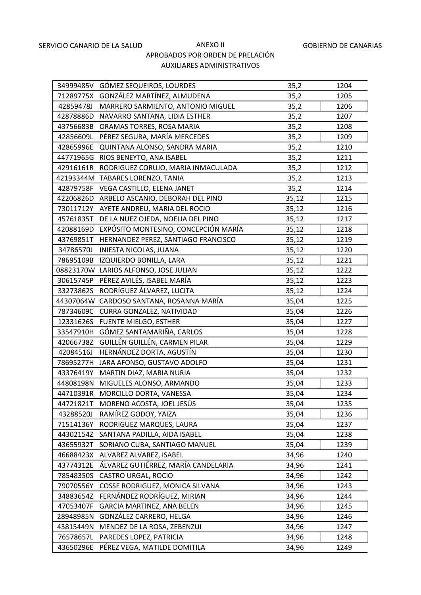|           | 34999485V GÓMEZ SEQUEIROS, LOURDES           | 35,2  | 1204 |
|-----------|----------------------------------------------|-------|------|
|           | 71289775X GONZÁLEZ MARTÍNEZ, ALMUDENA        | 35,2  | 1205 |
| 42859478J | MARRERO SARMIENTO, ANTONIO MIGUEL            | 35,2  | 1206 |
| 42878886D | NAVARRO SANTANA, LIDIA ESTHER                | 35,2  | 1207 |
| 43756683B | ORAMAS TORRES, ROSA MARIA                    | 35,2  | 1208 |
| 42856609L | PÉREZ SEGURA, MARÍA MERCEDES                 | 35,2  | 1209 |
| 42865996E | QUINTANA ALONSO, SANDRA MARIA                | 35,2  | 1210 |
| 44771965G | RIOS BENEYTO, ANA ISABEL                     | 35,2  | 1211 |
|           | 42916161R RODRIGUEZ CORUJO, MARIA INMACULADA | 35,2  | 1212 |
|           | 42193344M TABARES LORENZO, TANIA             | 35,2  | 1213 |
|           | 42879758F VEGA CASTILLO, ELENA JANET         | 35,2  | 1214 |
| 42206826D | ARBELO ASCANIO, DEBORAH DEL PINO             | 35,12 | 1215 |
| 73011712Y | AYETE ANDREU, MARIA DEL ROCIO                | 35,12 | 1216 |
| 45761835T | DE LA NUEZ OJEDA, NOELIA DEL PINO            | 35,12 | 1217 |
| 42088169D | EXPÓSITO MONTESINO, CONCEPCIÓN MARÍA         | 35,12 | 1218 |
| 43769851T | HERNANDEZ PEREZ, SANTIAGO FRANCISCO          | 35,12 | 1219 |
| 34786570J | INIESTA NICOLAS, JUANA                       | 35,12 | 1220 |
| 78695109B | IZQUIERDO BONILLA, LARA                      | 35,12 | 1221 |
|           | 08823170W LARIOS ALFONSO, JOSE JULIAN        | 35,12 | 1222 |
| 30615745P | PÉREZ AVILÉS, ISABEL MARÍA                   | 35,12 | 1223 |
| 33273862S | RODRÍGUEZ ÁLVAREZ, LUCITA                    | 35,12 | 1224 |
| 44307064W | CARDOSO SANTANA, ROSANNA MARÍA               | 35,04 | 1225 |
| 78734609C | CURRA GONZALEZ, NATIVIDAD                    | 35,04 | 1226 |
| 12331626S | <b>FUENTE MIELGO, ESTHER</b>                 | 35,04 | 1227 |
| 33547910H | GÓMEZ SANTAMARIÑA, CARLOS                    | 35,04 | 1228 |
| 42066738Z | GUILLÉN GUILLÉN, CARMEN PILAR                | 35,04 | 1229 |
| 42084516J | HERNÁNDEZ DORTA, AGUSTÍN                     | 35,04 | 1230 |
| 78695277H | JARA AFONSO, GUSTAVO ADOLFO                  | 35,04 | 1231 |
| 43376419Y | MARTIN DIAZ, MARIA NURIA                     | 35,04 | 1232 |
|           | 44808198N MIGUELES ALONSO, ARMANDO           | 35,04 | 1233 |
| 44710391R | MORCILLO DORTA, VANESSA                      | 35,04 | 1234 |
| 44721821T | MORENO ACOSTA, JOEL JESÚS                    | 35,04 | 1235 |
| 43288520J | RAMÍREZ GODOY, YAIZA                         | 35,04 | 1236 |
| 71514136Y | RODRIGUEZ MARQUES, LAURA                     | 35,04 | 1237 |
| 44302154Z | SANTANA PADILLA, AIDA ISABEL                 | 35,04 | 1238 |
| 43655932T | SORIANO CUBA, SANTIAGO MANUEL                | 35,04 | 1239 |
| 46688423X | ALVAREZ ALVAREZ, ISABEL                      | 34,96 | 1240 |
| 43774312E | ÁLVAREZ GUTIÉRREZ, MARÍA CANDELARIA          | 34,96 | 1241 |
| 78548350S | CASTRO URGAL, ROCIO                          | 34,96 | 1242 |
| 79070556Y | COSSE RODRIGUEZ, MONICA SILVANA              | 34,96 | 1243 |
| 34883654Z | FERNÁNDEZ RODRÍGUEZ, MIRIAN                  | 34,96 | 1244 |
| 47053407F | <b>GARCIA MARTINEZ, ANA BELEN</b>            | 34,96 | 1245 |
| 28948985N | GONZÁLEZ CARRERO, HELGA                      | 34,96 | 1246 |
| 43815449N | MENDEZ DE LA ROSA, ZEBENZUI                  | 34,96 | 1247 |
| 76578657L | PAREDES LOPEZ, PATRICIA                      | 34,96 | 1248 |
| 43650296E | PÉREZ VEGA, MATILDE DOMITILA                 | 34,96 | 1249 |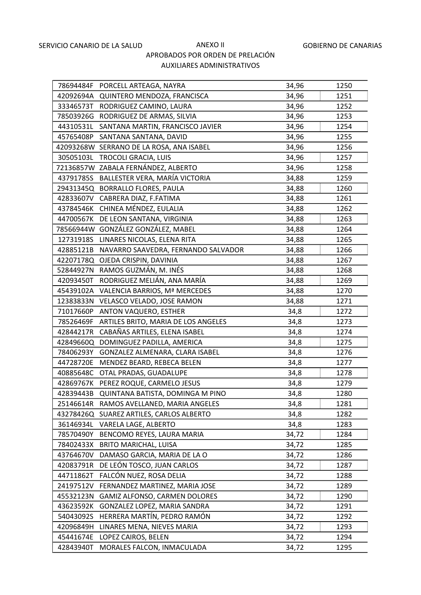|           | 78694484F PORCELL ARTEAGA, NAYRA              | 34,96 | 1250 |
|-----------|-----------------------------------------------|-------|------|
|           | 42092694A QUINTERO MENDOZA, FRANCISCA         | 34,96 | 1251 |
|           | 33346573T RODRIGUEZ CAMINO, LAURA             | 34,96 | 1252 |
|           | 78503926G RODRIGUEZ DE ARMAS, SILVIA          | 34,96 | 1253 |
| 44310531L | SANTANA MARTIN, FRANCISCO JAVIER              | 34,96 | 1254 |
| 45765408P | SANTANA SANTANA, DAVID                        | 34,96 | 1255 |
|           | 42093268W SERRANO DE LA ROSA, ANA ISABEL      | 34,96 | 1256 |
| 30505103L | TROCOLI GRACIA, LUIS                          | 34,96 | 1257 |
|           | 72136857W ZABALA FERNÁNDEZ, ALBERTO           | 34,96 | 1258 |
|           | 43791785S BALLESTER VERA, MARÍA VICTORIA      | 34,88 | 1259 |
|           | 29431345Q BORRALLO FLORES, PAULA              | 34,88 | 1260 |
|           | 42833607V CABRERA DIAZ, F.FATIMA              | 34,88 | 1261 |
|           | 43784546K CHINEA MÉNDEZ, EULALIA              | 34,88 | 1262 |
|           | 44700567K DE LEON SANTANA, VIRGINIA           | 34,88 | 1263 |
|           | 78566944W GONZÁLEZ GONZÁLEZ, MABEL            | 34,88 | 1264 |
|           | 12731918S LINARES NICOLAS, ELENA RITA         | 34,88 | 1265 |
|           | 42885121B NAVARRO SAAVEDRA, FERNANDO SALVADOR | 34,88 | 1266 |
| 42207178Q | OJEDA CRISPIN, DAVINIA                        | 34,88 | 1267 |
|           | 52844927N RAMOS GUZMÁN, M. INÉS               | 34,88 | 1268 |
| 42093450T | RODRIGUEZ MELIÁN, ANA MARÍA                   | 34,88 | 1269 |
| 45439102A | VALENCIA BARRIOS, Mª MERCEDES                 | 34,88 | 1270 |
| 12383833N | VELASCO VELADO, JOSE RAMON                    | 34,88 | 1271 |
| 71017660P | ANTON VAQUERO, ESTHER                         | 34,8  | 1272 |
| 78526469F | ARTILES BRITO, MARIA DE LOS ANGELES           | 34,8  | 1273 |
| 42844217R | CABAÑAS ARTILES, ELENA ISABEL                 | 34,8  | 1274 |
| 42849660Q | DOMINGUEZ PADILLA, AMERICA                    | 34,8  | 1275 |
| 78406293Y | GONZALEZ ALMENARA, CLARA ISABEL               | 34,8  | 1276 |
| 44728720E | MENDEZ BEARD, REBECA BELEN                    | 34,8  | 1277 |
| 40885648C | OTAL PRADAS, GUADALUPE                        | 34,8  | 1278 |
|           | 42869767K PEREZ ROQUE, CARMELO JESUS          | 34,8  | 1279 |
| 42839443B | QUINTANA BATISTA, DOMINGA M PINO              | 34,8  | 1280 |
| 25146614R | RAMOS AVELLANED, MARIA ANGELES                | 34,8  | 1281 |
|           | 43278426Q SUAREZ ARTILES, CARLOS ALBERTO      | 34,8  | 1282 |
| 36146934L | VARELA LAGE, ALBERTO                          | 34,8  | 1283 |
| 78570490Y | BENCOMO REYES, LAURA MARIA                    | 34,72 | 1284 |
| 78402433X | <b>BRITO MARICHAL, LUISA</b>                  | 34,72 | 1285 |
| 43764670V | DAMASO GARCIA, MARIA DE LA O                  | 34,72 | 1286 |
| 42083791R | DE LEÓN TOSCO, JUAN CARLOS                    | 34,72 | 1287 |
| 44711862T | FALCÓN NUEZ, ROSA DELIA                       | 34,72 | 1288 |
| 24197512V | FERNANDEZ MARTINEZ, MARIA JOSE                | 34,72 | 1289 |
| 45532123N | GAMIZ ALFONSO, CARMEN DOLORES                 | 34,72 | 1290 |
| 43623592K | GONZALEZ LOPEZ, MARIA SANDRA                  | 34,72 | 1291 |
| 54043092S | HERRERA MARTÍN, PEDRO RAMÓN                   | 34,72 | 1292 |
| 42096849H | LINARES MENA, NIEVES MARIA                    | 34,72 | 1293 |
| 45441674E | LOPEZ CAIROS, BELEN                           | 34,72 | 1294 |
| 42843940T | MORALES FALCON, INMACULADA                    | 34,72 | 1295 |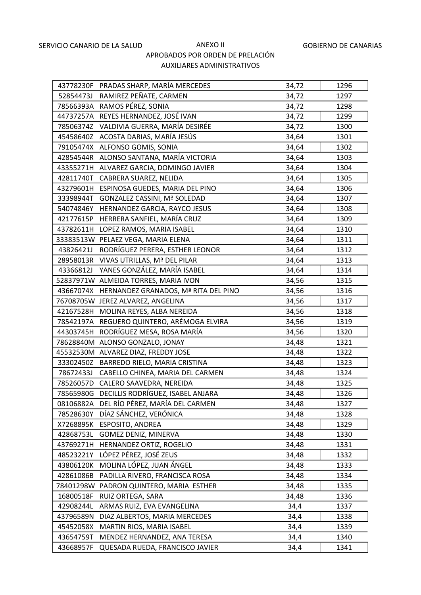|           | 43778230F PRADAS SHARP, MARÍA MERCEDES      | 34,72 | 1296 |
|-----------|---------------------------------------------|-------|------|
| 52854473J | RAMIREZ PEÑATE, CARMEN                      | 34,72 | 1297 |
|           | 78566393A RAMOS PÉREZ, SONIA                | 34,72 | 1298 |
| 44737257A | REYES HERNANDEZ, JOSÉ IVAN                  | 34,72 | 1299 |
|           | 78506374Z VALDIVIA GUERRA, MARÍA DESIRÉE    | 34,72 | 1300 |
| 45458640Z | ACOSTA DARIAS, MARÍA JESÚS                  | 34,64 | 1301 |
|           | 79105474X ALFONSO GOMIS, SONIA              | 34,64 | 1302 |
|           | 42854544R ALONSO SANTANA, MARÍA VICTORIA    | 34,64 | 1303 |
| 43355271H | ALVAREZ GARCIA, DOMINGO JAVIER              | 34,64 | 1304 |
| 42811740T | CABRERA SUAREZ, NELIDA                      | 34,64 | 1305 |
|           | 43279601H ESPINOSA GUEDES, MARIA DEL PINO   | 34,64 | 1306 |
| 33398944T | <b>GONZALEZ CASSINI, Mª SOLEDAD</b>         | 34,64 | 1307 |
| 54074846Y | HERNANDEZ GARCIA, RAYCO JESUS               | 34,64 | 1308 |
| 42177615P | HERRERA SANFIEL, MARÍA CRUZ                 | 34,64 | 1309 |
| 43782611H | LOPEZ RAMOS, MARIA ISABEL                   | 34,64 | 1310 |
|           | 33383513W PELAEZ VEGA, MARIA ELENA          | 34,64 | 1311 |
| 43826421J | RODRÍGUEZ PERERA, ESTHER LEONOR             | 34,64 | 1312 |
| 28958013R | VIVAS UTRILLAS, Mª DEL PILAR                | 34,64 | 1313 |
| 43366812J | YANES GONZÁLEZ, MARÍA ISABEL                | 34,64 | 1314 |
|           | 52837971W ALMEIDA TORRES, MARIA IVON        | 34,56 | 1315 |
| 43667074X | HERNANDEZ GRANADOS, Mª RITA DEL PINO        | 34,56 | 1316 |
|           | 76708705W JEREZ ALVAREZ, ANGELINA           | 34,56 | 1317 |
| 42167528H | MOLINA REYES, ALBA NEREIDA                  | 34,56 | 1318 |
|           | 78542197A REGUERO QUINTERO, ARÉMOGA ELVIRA  | 34,56 | 1319 |
| 44303745H | RODRÍGUEZ MESA, ROSA MARÍA                  | 34,56 | 1320 |
|           | 78628840M ALONSO GONZALO, JONAY             | 34,48 | 1321 |
|           | 45532530M ALVAREZ DIAZ, FREDDY JOSE         | 34,48 | 1322 |
|           | 33302450Z BARREDO RIELO, MARIA CRISTINA     | 34,48 | 1323 |
| 78672433J | CABELLO CHINEA, MARIA DEL CARMEN            | 34,48 | 1324 |
|           | 78526057D CALERO SAAVEDRA, NEREIDA          | 34,48 | 1325 |
|           | 78565980G DECILLIS RODRÍGUEZ, ISABEL ANJARA | 34,48 | 1326 |
| 08106882A | DEL RÍO PÉREZ, MARÍA DEL CARMEN             | 34,48 | 1327 |
| 78528630Y | DÍAZ SÁNCHEZ, VERÓNICA                      | 34,48 | 1328 |
| X7268895K | <b>ESPOSITO, ANDREA</b>                     | 34,48 | 1329 |
| 42868753L | GOMEZ DENIZ, MINERVA                        | 34,48 | 1330 |
| 43769271H | HERNANDEZ ORTIZ, ROGELIO                    | 34,48 | 1331 |
| 48523221Y | LÓPEZ PÉREZ, JOSÉ ZEUS                      | 34,48 | 1332 |
| 43806120K | MOLINA LÓPEZ, JUAN ÁNGEL                    | 34,48 | 1333 |
| 42861086B | PADILLA RIVERO, FRANCISCA ROSA              | 34,48 | 1334 |
| 78401298W | PADRON QUINTERO, MARIA ESTHER               | 34,48 | 1335 |
| 16800518F | RUIZ ORTEGA, SARA                           | 34,48 | 1336 |
| 42908244L | ARMAS RUIZ, EVA EVANGELINA                  | 34,4  | 1337 |
| 43796589N | DIAZ ALBERTOS, MARIA MERCEDES               | 34,4  | 1338 |
| 45452058X | MARTIN RIOS, MARIA ISABEL                   | 34,4  | 1339 |
| 43654759T | MENDEZ HERNANDEZ, ANA TERESA                | 34,4  | 1340 |
| 43668957F | QUESADA RUEDA, FRANCISCO JAVIER             | 34,4  | 1341 |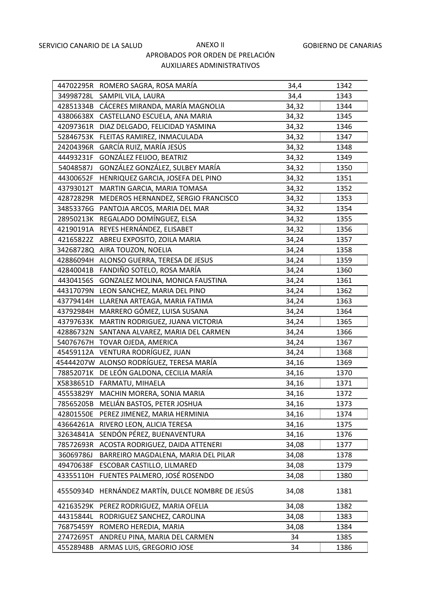|           | 44702295R ROMERO SAGRA, ROSA MARÍA       | 34,4  | 1342 |
|-----------|------------------------------------------|-------|------|
| 34998728L | SAMPIL VILA, LAURA                       | 34,4  | 1343 |
| 42851334B | CÁCERES MIRANDA, MARÍA MAGNOLIA          | 34,32 | 1344 |
| 43806638X | CASTELLANO ESCUELA, ANA MARIA            | 34,32 | 1345 |
| 42097361R | DIAZ DELGADO, FELICIDAD YASMINA          | 34,32 | 1346 |
| 52846753K | FLEITAS RAMIREZ, INMACULADA              | 34,32 | 1347 |
| 24204396R | GARCÍA RUIZ, MARÍA JESÚS                 | 34,32 | 1348 |
| 44493231F | GONZÁLEZ FEIJOO, BEATRIZ                 | 34,32 | 1349 |
| 54048587J | GONZÁLEZ GONZÁLEZ, SULBEY MARÍA          | 34,32 | 1350 |
| 44300652F | HENRIQUEZ GARCIA, JOSEFA DEL PINO        | 34,32 | 1351 |
| 43793012T | MARTIN GARCIA, MARIA TOMASA              | 34,32 | 1352 |
| 42872829R | MEDEROS HERNANDEZ, SERGIO FRANCISCO      | 34,32 | 1353 |
| 34853376G | PANTOJA ARCOS, MARIA DEL MAR             | 34,32 | 1354 |
| 28950213K | REGALADO DOMÍNGUEZ, ELSA                 | 34,32 | 1355 |
| 42190191A | REYES HERNÁNDEZ, ELISABET                | 34,32 | 1356 |
| 42165822Z | ABREU EXPOSITO, ZOILA MARIA              | 34,24 | 1357 |
| 34268728Q | AIRA TOUZON, NOELIA                      | 34,24 | 1358 |
| 42886094H | ALONSO GUERRA, TERESA DE JESUS           | 34,24 | 1359 |
| 42840041B | FANDIÑO SOTELO, ROSA MARÍA               | 34,24 | 1360 |
| 44304156S | GONZALEZ MOLINA, MONICA FAUSTINA         | 34,24 | 1361 |
| 44317079N | LEON SANCHEZ, MARIA DEL PINO             | 34,24 | 1362 |
| 43779414H | LLARENA ARTEAGA, MARIA FATIMA            | 34,24 | 1363 |
| 43792984H | MARRERO GÓMEZ, LUISA SUSANA              | 34,24 | 1364 |
| 43797633K | MARTIN RODRIGUEZ, JUANA VICTORIA         | 34,24 | 1365 |
| 42886732N | SANTANA ALVAREZ, MARIA DEL CARMEN        | 34,24 | 1366 |
| 54076767H | TOVAR OJEDA, AMERICA                     | 34,24 | 1367 |
| 45459112A | VENTURA RODRÍGUEZ, JUAN                  | 34,24 | 1368 |
|           | 45444207W ALONSO RODRÍGUEZ, TERESA MARÍA | 34,16 | 1369 |
| 78852071K | DE LEÓN GALDONA, CECILIA MARÍA           | 34,16 | 1370 |
| X5838651D | FARMATU, MIHAELA                         | 34,16 | 1371 |
| 45553829Y | MACHIN MORERA, SONIA MARIA               | 34,16 | 1372 |
| 78565205B | MELIÁN BASTOS, PETER JOSHUA              | 34,16 | 1373 |
| 42801550E | PEREZ JIMENEZ, MARIA HERMINIA            | 34,16 | 1374 |
| 43664261A | RIVERO LEON, ALICIA TERESA               | 34,16 | 1375 |
| 32634841A | SENDÓN PÉREZ, BUENAVENTURA               | 34,16 | 1376 |
| 78572693R | ACOSTA RODRIGUEZ, DAIDA ATTENERI         | 34,08 | 1377 |
| 36069786J | BARREIRO MAGDALENA, MARIA DEL PILAR      | 34,08 | 1378 |
| 49470638F | ESCOBAR CASTILLO, LILMARED               | 34,08 | 1379 |
| 43355110H | FUENTES PALMERO, JOSÉ ROSENDO            | 34,08 | 1380 |
| 45550934D | HERNÁNDEZ MARTÍN, DULCE NOMBRE DE JESÚS  | 34,08 | 1381 |
| 42163529K | PEREZ RODRIGUEZ, MARIA OFELIA            | 34,08 | 1382 |
| 44315844L | RODRIGUEZ SANCHEZ, CAROLINA              | 34,08 | 1383 |
| 76875459Y | ROMERO HEREDIA, MARIA                    | 34,08 | 1384 |
| 27472695T | ANDREU PINA, MARIA DEL CARMEN            | 34    | 1385 |
| 45528948B | ARMAS LUIS, GREGORIO JOSE                | 34    | 1386 |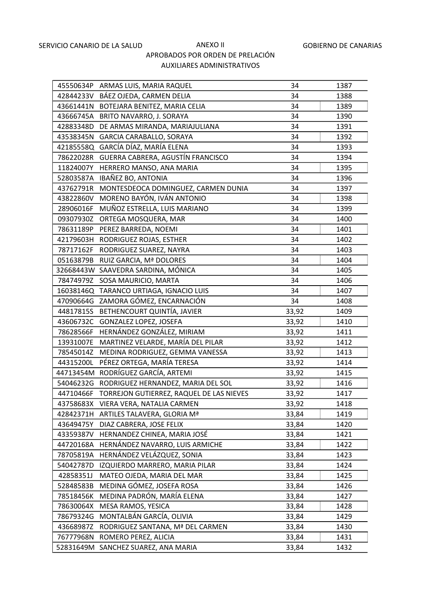|           | 45550634P ARMAS LUIS, MARIA RAQUEL                 | 34    | 1387 |
|-----------|----------------------------------------------------|-------|------|
|           | 42844233V BÁEZ OJEDA, CARMEN DELIA                 | 34    | 1388 |
|           | 43661441N BOTEJARA BENITEZ, MARIA CELIA            | 34    | 1389 |
|           | 43666745A BRITO NAVARRO, J. SORAYA                 | 34    | 1390 |
|           | 42883348D DE ARMAS MIRANDA, MARIAJULIANA           | 34    | 1391 |
|           | 43538345N GARCIA CARABALLO, SORAYA                 | 34    | 1392 |
|           | 42185558Q GARCÍA DÍAZ, MARÍA ELENA                 | 34    | 1393 |
| 78622028R | GUERRA CABRERA, AGUSTÍN FRANCISCO                  | 34    | 1394 |
| 11824007Y | HERRERO MANSO, ANA MARIA                           | 34    | 1395 |
| 52803587A | IBAÑEZ BO, ANTONIA                                 | 34    | 1396 |
| 43762791R | MONTESDEOCA DOMINGUEZ, CARMEN DUNIA                | 34    | 1397 |
|           | 43822860V MORENO BAYÓN, IVÁN ANTONIO               | 34    | 1398 |
| 28906016F | MUÑOZ ESTRELLA, LUIS MARIANO                       | 34    | 1399 |
|           | 09307930Z ORTEGA MOSQUERA, MAR                     | 34    | 1400 |
|           | 78631189P PEREZ BARREDA, NOEMI                     | 34    | 1401 |
|           | 42179603H RODRIGUEZ ROJAS, ESTHER                  | 34    | 1402 |
|           | 78717162F RODRIGUEZ SUAREZ, NAYRA                  | 34    | 1403 |
| 05163879B | RUIZ GARCIA, Mª DOLORES                            | 34    | 1404 |
|           | 32668443W SAAVEDRA SARDINA, MÓNICA                 | 34    | 1405 |
| 78474979Z | SOSA MAURICIO, MARTA                               | 34    | 1406 |
|           | 16038146Q TARANCO URTIAGA, IGNACIO LUIS            | 34    | 1407 |
|           | 47090664G ZAMORA GÓMEZ, ENCARNACIÓN                | 34    | 1408 |
| 44817815S | BETHENCOURT QUINTÍA, JAVIER                        | 33,92 | 1409 |
|           | 43606732C GONZALEZ LOPEZ, JOSEFA                   | 33,92 | 1410 |
| 78628566F | HERNÁNDEZ GONZÁLEZ, MIRIAM                         | 33,92 | 1411 |
| 13931007E | MARTINEZ VELARDE, MARÍA DEL PILAR                  | 33,92 | 1412 |
| 78545014Z | MEDINA RODRIGUEZ, GEMMA VANESSA                    | 33,92 | 1413 |
| 44315200L | PÉREZ ORTEGA, MARÍA TERESA                         | 33,92 | 1414 |
|           | 44713454M RODRÍGUEZ GARCÍA, ARTEMI                 | 33,92 | 1415 |
|           | 54046232G RODRIGUEZ HERNANDEZ, MARIA DEL SOL       | 33,92 | 1416 |
|           | 44710466F TORREJON GUTIERREZ, RAQUEL DE LAS NIEVES | 33,92 | 1417 |
| 43758683X | VIERA VERA, NATALIA CARMEN                         | 33,92 | 1418 |
|           | 42842371H ARTILES TALAVERA, GLORIA Mª              | 33,84 | 1419 |
| 43649475Y | DIAZ CABRERA, JOSE FELIX                           | 33,84 | 1420 |
| 43359387V | HERNANDEZ CHINEA, MARIA JOSÉ                       | 33,84 | 1421 |
| 44720168A | HERNÁNDEZ NAVARRO, LUIS ARMICHE                    | 33,84 | 1422 |
| 78705819A | HERNÁNDEZ VELÁZQUEZ, SONIA                         | 33,84 | 1423 |
| 54042787D | IZQUIERDO MARRERO, MARIA PILAR                     | 33,84 | 1424 |
| 42858351J | MATEO OJEDA, MARIA DEL MAR                         | 33,84 | 1425 |
| 52848583B | MEDINA GÓMEZ, JOSEFA ROSA                          | 33,84 | 1426 |
| 78518456K | MEDINA PADRÓN, MARÍA ELENA                         | 33,84 | 1427 |
| 78630064X | MESA RAMOS, YESICA                                 | 33,84 | 1428 |
| 78679324G | MONTALBÁN GARCÍA, OLIVIA                           | 33,84 | 1429 |
| 43668987Z | RODRIGUEZ SANTANA, Mª DEL CARMEN                   | 33,84 | 1430 |
| 76777968N | ROMERO PEREZ, ALICIA                               | 33,84 | 1431 |
|           | 52831649M SANCHEZ SUAREZ, ANA MARIA                | 33,84 | 1432 |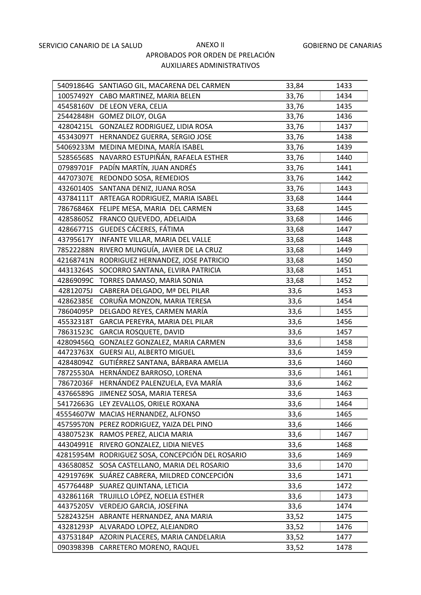|           | 54091864G SANTIAGO GIL, MACARENA DEL CARMEN | 33,84 | 1433 |
|-----------|---------------------------------------------|-------|------|
|           | 10057492Y CABO MARTINEZ, MARIA BELEN        | 33,76 | 1434 |
|           | 45458160V DE LEON VERA, CELIA               | 33,76 | 1435 |
|           | 25442848H GOMEZ DILOY, OLGA                 | 33,76 | 1436 |
| 42804215L | GONZALEZ RODRIGUEZ, LIDIA ROSA              | 33,76 | 1437 |
| 45343097T | HERNANDEZ GUERRA, SERGIO JOSE               | 33,76 | 1438 |
|           | 54069233M MEDINA MEDINA, MARÍA ISABEL       | 33,76 | 1439 |
| 52856568S | NAVARRO ESTUPIÑÁN, RAFAELA ESTHER           | 33,76 | 1440 |
| 07989701F | PADÍN MARTÍN, JUAN ANDRÉS                   | 33,76 | 1441 |
| 44707307E | REDONDO SOSA, REMEDIOS                      | 33,76 | 1442 |
| 43260140S | SANTANA DENIZ, JUANA ROSA                   | 33,76 | 1443 |
| 43784111T | ARTEAGA RODRIGUEZ, MARIA ISABEL             | 33,68 | 1444 |
| 78676846X | FELIPE MESA, MARIA DEL CARMEN               | 33,68 | 1445 |
| 42858605Z | FRANCO QUEVEDO, ADELAIDA                    | 33,68 | 1446 |
| 42866771S | GUEDES CÁCERES, FÁTIMA                      | 33,68 | 1447 |
| 43795617Y | INFANTE VILLAR, MARIA DEL VALLE             | 33,68 | 1448 |
| 78522288N | RIVERO MUNGUÍA, JAVIER DE LA CRUZ           | 33,68 | 1449 |
| 42168741N | RODRIGUEZ HERNANDEZ, JOSE PATRICIO          | 33,68 | 1450 |
| 44313264S | SOCORRO SANTANA, ELVIRA PATRICIA            | 33,68 | 1451 |
| 42869099C | TORRES DAMASO, MARIA SONIA                  | 33,68 | 1452 |
| 42812075J | CABRERA DELGADO, Mª DEL PILAR               | 33,6  | 1453 |
| 42862385E | CORUÑA MONZON, MARIA TERESA                 | 33,6  | 1454 |
| 78604095P | DELGADO REYES, CARMEN MARÍA                 | 33,6  | 1455 |
| 45532318T | GARCIA PEREYRA, MARIA DEL PILAR             | 33,6  | 1456 |
| 78631523C | <b>GARCIA ROSQUETE, DAVID</b>               | 33,6  | 1457 |
| 42809456Q | GONZALEZ GONZALEZ, MARIA CARMEN             | 33,6  | 1458 |
| 44723763X | <b>GUERSI ALI, ALBERTO MIGUEL</b>           | 33,6  | 1459 |
| 42848094Z | GUTIÉRREZ SANTANA, BÁRBARA AMELIA           | 33,6  | 1460 |
| 78725530A | HERNÁNDEZ BARROSO, LORENA                   | 33,6  | 1461 |
| 78672036F | HERNÁNDEZ PALENZUELA, EVA MARÍA             | 33,6  | 1462 |
| 43766589G | JIMENEZ SOSA, MARIA TERESA                  | 33,6  | 1463 |
| 54172663G | LEY ZEVALLOS, ORIELE ROXANA                 | 33,6  | 1464 |
|           | 45554607W MACIAS HERNANDEZ, ALFONSO         | 33,6  | 1465 |
| 45759570N | PEREZ RODRIGUEZ, YAIZA DEL PINO             | 33,6  | 1466 |
| 43807523K | RAMOS PEREZ, ALICIA MARIA                   | 33,6  | 1467 |
| 44304991E | RIVERO GONZALEZ, LIDIA NIEVES               | 33,6  | 1468 |
| 42815954M | RODRIGUEZ SOSA, CONCEPCIÓN DEL ROSARIO      | 33,6  | 1469 |
| 43658085Z | SOSA CASTELLANO, MARIA DEL ROSARIO          | 33,6  | 1470 |
| 42919769K | SUÁREZ CABRERA, MILDRED CONCEPCIÓN          | 33,6  | 1471 |
| 45776448P | SUAREZ QUINTANA, LETICIA                    | 33,6  | 1472 |
| 43286116R | TRUJILLO LÓPEZ, NOELIA ESTHER               | 33,6  | 1473 |
| 44375205V | VERDEJO GARCIA, JOSEFINA                    | 33,6  | 1474 |
| 52824325H | ABRANTE HERNANDEZ, ANA MARIA                | 33,52 | 1475 |
| 43281293P | ALVARADO LOPEZ, ALEJANDRO                   | 33,52 | 1476 |
| 43753184P | AZORIN PLACERES, MARIA CANDELARIA           | 33,52 | 1477 |
| 09039839B | CARRETERO MORENO, RAQUEL                    | 33,52 | 1478 |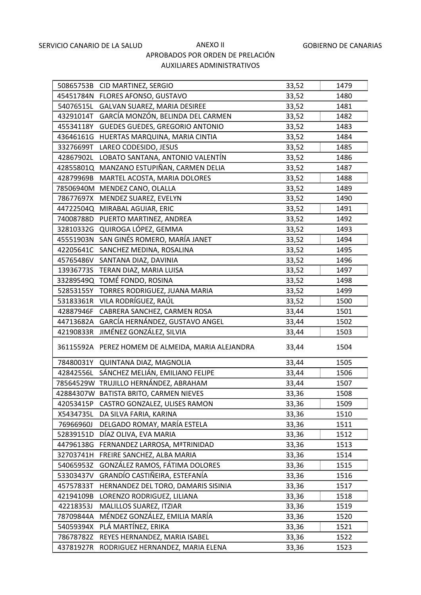|           | 50865753B CID MARTINEZ, SERGIO                    | 33,52 | 1479 |
|-----------|---------------------------------------------------|-------|------|
|           | 45451784N FLORES AFONSO, GUSTAVO                  | 33,52 | 1480 |
|           | 54076515L GALVAN SUAREZ, MARIA DESIREE            | 33,52 | 1481 |
| 43291014T | GARCÍA MONZÓN, BELINDA DEL CARMEN                 | 33,52 | 1482 |
| 45534118Y | <b>GUEDES GUEDES, GREGORIO ANTONIO</b>            | 33,52 | 1483 |
|           | 43646161G HUERTAS MARQUINA, MARIA CINTIA          | 33,52 | 1484 |
| 33276699T | LAREO CODESIDO, JESUS                             | 33,52 | 1485 |
| 42867902L | LOBATO SANTANA, ANTONIO VALENTÍN                  | 33,52 | 1486 |
| 42855801Q | MANZANO ESTUPIÑAN, CARMEN DELIA                   | 33,52 | 1487 |
| 42879969B | MARTEL ACOSTA, MARIA DOLORES                      | 33,52 | 1488 |
|           | 78506940M MENDEZ CANO, OLALLA                     | 33,52 | 1489 |
|           | 78677697X MENDEZ SUAREZ, EVELYN                   | 33,52 | 1490 |
|           | 44722504Q MIRABAL AGUIAR, ERIC                    | 33,52 | 1491 |
|           | 74008788D PUERTO MARTINEZ, ANDREA                 | 33,52 | 1492 |
|           | 32810332G QUIROGA LÓPEZ, GEMMA                    | 33,52 | 1493 |
|           | 45551903N SAN GINÉS ROMERO, MARÍA JANET           | 33,52 | 1494 |
|           | 42205641C SANCHEZ MEDINA, ROSALINA                | 33,52 | 1495 |
| 45765486V | SANTANA DIAZ, DAVINIA                             | 33,52 | 1496 |
|           | 13936773S TERAN DIAZ, MARIA LUISA                 | 33,52 | 1497 |
|           | 33289549Q TOMÉ FONDO, ROSINA                      | 33,52 | 1498 |
|           | 52853155Y TORRES RODRIGUEZ, JUANA MARIA           | 33,52 | 1499 |
| 53183361R | VILA RODRÍGUEZ, RAÚL                              | 33,52 | 1500 |
| 42887946F | CABRERA SANCHEZ, CARMEN ROSA                      | 33,44 | 1501 |
| 44713682A | GARCÍA HERNÁNDEZ, GUSTAVO ANGEL                   | 33,44 | 1502 |
| 42190833R | JIMÉNEZ GONZÁLEZ, SILVIA                          | 33,44 | 1503 |
|           | 36115592A PEREZ HOMEM DE ALMEIDA, MARIA ALEJANDRA | 33,44 | 1504 |
|           | 78480031Y QUINTANA DIAZ, MAGNOLIA                 | 33,44 | 1505 |
|           | 42842556L SÁNCHEZ MELIÁN, EMILIANO FELIPE         | 33,44 | 1506 |
|           | 78564529W TRUJILLO HERNÁNDEZ, ABRAHAM             | 33,44 | 1507 |
|           | 42884307W BATISTA BRITO, CARMEN NIEVES            | 33,36 | 1508 |
| 42053415P | CASTRO GONZALEZ, ULISES RAMON                     | 33,36 | 1509 |
| X5434735L | DA SILVA FARIA, KARINA                            | 33,36 | 1510 |
| 76966960J | DELGADO ROMAY, MARÍA ESTELA                       | 33,36 | 1511 |
| 52839151D | DÍAZ OLIVA, EVA MARIA                             | 33,36 | 1512 |
| 44796138G | FERNANDEZ LARROSA, MªTRINIDAD                     | 33,36 | 1513 |
| 32703741H | FREIRE SANCHEZ, ALBA MARIA                        | 33,36 | 1514 |
| 54065953Z | GONZÁLEZ RAMOS, FÁTIMA DOLORES                    | 33,36 | 1515 |
| 53303437V | GRANDÍO CASTIÑEIRA, ESTEFANÍA                     | 33,36 | 1516 |
| 45757833T | HERNANDEZ DEL TORO, DAMARIS SISINIA               | 33,36 | 1517 |
| 42194109B | LORENZO RODRIGUEZ, LILIANA                        | 33,36 | 1518 |
| 42218353J | MALILLOS SUAREZ, ITZIAR                           | 33,36 | 1519 |
| 78709844A | MÉNDEZ GONZÁLEZ, EMILIA MARÍA                     | 33,36 | 1520 |
| 54059394X | PLÁ MARTÍNEZ, ERIKA                               | 33,36 | 1521 |
| 78678782Z | REYES HERNANDEZ, MARIA ISABEL                     | 33,36 | 1522 |
| 43781927R | RODRIGUEZ HERNANDEZ, MARIA ELENA                  | 33,36 | 1523 |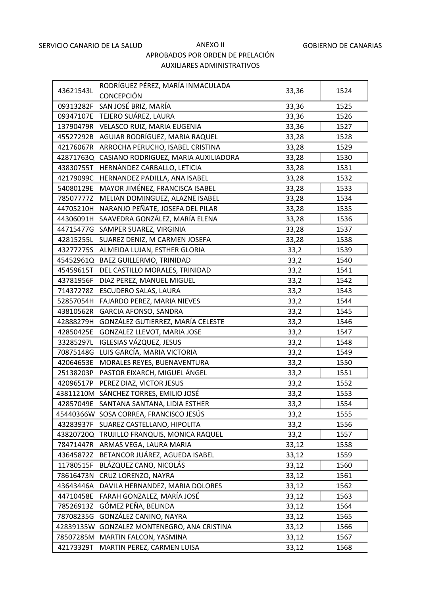|           | RODRÍGUEZ PÉREZ, MARÍA INMACULADA           |       |      |
|-----------|---------------------------------------------|-------|------|
| 43621543L | <b>CONCEPCIÓN</b>                           | 33,36 | 1524 |
| 09313282F | SAN JOSÉ BRIZ, MARÍA                        | 33,36 | 1525 |
|           | 09347107E TEJERO SUÁREZ, LAURA              | 33,36 | 1526 |
|           | 13790479R VELASCO RUIZ, MARIA EUGENIA       | 33,36 | 1527 |
|           | 45527292B AGUIAR RODRÍGUEZ, MARIA RAQUEL    | 33,28 | 1528 |
|           | 42176067R ARROCHA PERUCHO, ISABEL CRISTINA  | 33,28 | 1529 |
| 42871763Q | CASIANO RODRIGUEZ, MARIA AUXILIADORA        | 33,28 | 1530 |
| 43830755T | HERNÁNDEZ CARBALLO, LETICIA                 | 33,28 | 1531 |
| 42179099C | HERNANDEZ PADILLA, ANA ISABEL               | 33,28 | 1532 |
|           | 54080129E MAYOR JIMÉNEZ, FRANCISCA ISABEL   | 33,28 | 1533 |
|           | 78507777Z MELIAN DOMINGUEZ, ALAZNE ISABEL   | 33,28 | 1534 |
| 44705210H | NARANJO PEÑATE, JOSEFA DEL PILAR            | 33,28 | 1535 |
|           | 44306091H SAAVEDRA GONZÁLEZ, MARÍA ELENA    | 33,28 | 1536 |
|           | 44715477G SAMPER SUAREZ, VIRGINIA           | 33,28 | 1537 |
|           | 42815255L SUAREZ DENIZ, M CARMEN JOSEFA     | 33,28 | 1538 |
|           | 43277275S ALMEIDA LUJAN, ESTHER GLORIA      | 33,2  | 1539 |
|           | 45452961Q BAEZ GUILLERMO, TRINIDAD          | 33,2  | 1540 |
|           | 45459615T DEL CASTILLO MORALES, TRINIDAD    | 33,2  | 1541 |
| 43781956F | DIAZ PEREZ, MANUEL MIGUEL                   | 33,2  | 1542 |
|           | 71437278Z ESCUDERO SALAS, LAURA             | 33,2  | 1543 |
|           | 52857054H FAJARDO PEREZ, MARIA NIEVES       | 33,2  | 1544 |
|           | 43810562R GARCIA AFONSO, SANDRA             | 33,2  | 1545 |
|           | 42888279H GONZÁLEZ GUTIERREZ, MARÍA CELESTE | 33,2  | 1546 |
|           | 42850425E GONZALEZ LLEVOT, MARIA JOSE       | 33,2  | 1547 |
|           | 33285297L IGLESIAS VÁZQUEZ, JESUS           | 33,2  | 1548 |
| 70875148G | LUIS GARCÍA, MARIA VICTORIA                 | 33,2  | 1549 |
|           | 42064653E MORALES REYES, BUENAVENTURA       | 33,2  | 1550 |
|           | 25138203P PASTOR EIXARCH, MIGUEL ÁNGEL      | 33,2  | 1551 |
|           | 42096517P PEREZ DIAZ, VICTOR JESUS          | 33,2  | 1552 |
|           | 43811210M SÁNCHEZ TORRES, EMILIO JOSÉ       | 33,2  | 1553 |
| 42857049E | SANTANA SANTANA, LIDIA ESTHER               | 33,2  | 1554 |
|           | 45440366W SOSA CORREA, FRANCISCO JESÚS      | 33,2  | 1555 |
| 43283937F | SUAREZ CASTELLANO, HIPOLITA                 | 33,2  | 1556 |
|           | 43820720Q TRUJILLO FRANQUIS, MONICA RAQUEL  | 33,2  | 1557 |
| 78471447R | ARMAS VEGA, LAURA MARIA                     | 33,12 | 1558 |
| 43645872Z | BETANCOR JUÁREZ, AGUEDA ISABEL              | 33,12 | 1559 |
| 11780515F | BLÁZQUEZ CANO, NICOLÁS                      | 33,12 | 1560 |
| 78616473N | CRUZ LORENZO, NAYRA                         | 33,12 | 1561 |
| 43643446A | DAVILA HERNANDEZ, MARIA DOLORES             | 33,12 | 1562 |
| 44710458E | FARAH GONZALEZ, MARÍA JOSÉ                  | 33,12 | 1563 |
| 78526913Z | GÓMEZ PEÑA, BELINDA                         | 33,12 | 1564 |
| 78708235G | GONZÁLEZ CANINO, NAYRA                      | 33,12 | 1565 |
| 42839135W | GONZALEZ MONTENEGRO, ANA CRISTINA           | 33,12 | 1566 |
|           | 78507285M MARTIN FALCON, YASMINA            | 33,12 | 1567 |
| 42173329T | MARTIN PEREZ, CARMEN LUISA                  | 33,12 | 1568 |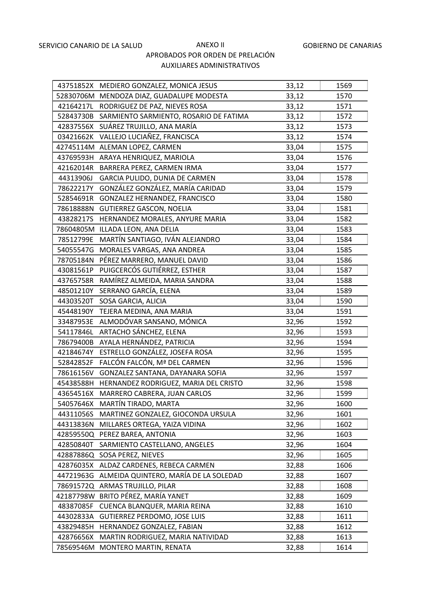|           | 43751852X MEDIERO GONZALEZ, MONICA JESUS  | 33,12 | 1569 |
|-----------|-------------------------------------------|-------|------|
|           | 52830706M MENDOZA DIAZ, GUADALUPE MODESTA | 33,12 | 1570 |
| 42164217L | RODRIGUEZ DE PAZ, NIEVES ROSA             | 33,12 | 1571 |
| 52843730B | SARMIENTO SARMIENTO, ROSARIO DE FATIMA    | 33,12 | 1572 |
| 42837556X | SUÁREZ TRUJILLO, ANA MARÍA                | 33,12 | 1573 |
| 03421662K | VALLEJO LUCIAÑEZ, FRANCISCA               | 33,12 | 1574 |
|           | 42745114M ALEMAN LOPEZ, CARMEN            | 33,04 | 1575 |
| 43769593H | ARAYA HENRIQUEZ, MARIOLA                  | 33,04 | 1576 |
| 42162014R | BARRERA PEREZ, CARMEN IRMA                | 33,04 | 1577 |
| 44313906J | GARCIA PULIDO, DUNIA DE CARMEN            | 33,04 | 1578 |
| 78622217Y | GONZÁLEZ GONZÁLEZ, MARÍA CARIDAD          | 33,04 | 1579 |
| 52854691R | GONZALEZ HERNANDEZ, FRANCISCO             | 33,04 | 1580 |
| 78618888N | <b>GUTIERREZ GASCON, NOELIA</b>           | 33,04 | 1581 |
| 43828217S | HERNANDEZ MORALES, ANYURE MARIA           | 33,04 | 1582 |
|           | 78604805M ILLADA LEON, ANA DELIA          | 33,04 | 1583 |
| 78512799E | MARTÍN SANTIAGO, IVÁN ALEJANDRO           | 33,04 | 1584 |
| 54055547G | MORALES VARGAS, ANA ANDREA                | 33,04 | 1585 |
| 78705184N | PÉREZ MARRERO, MANUEL DAVID               | 33,04 | 1586 |
| 43081561P | PUIGCERCÓS GUTIÉRREZ, ESTHER              | 33,04 | 1587 |
| 43765758R | RAMÍREZ ALMEIDA, MARIA SANDRA             | 33,04 | 1588 |
| 48501210Y | SERRANO GARCÍA, ELENA                     | 33,04 | 1589 |
| 44303520T | SOSA GARCIA, ALICIA                       | 33,04 | 1590 |
| 45448190Y | TEJERA MEDINA, ANA MARIA                  | 33,04 | 1591 |
| 33487953E | ALMODÓVAR SANSANO, MÓNICA                 | 32,96 | 1592 |
| 54117846L | ARTACHO SÁNCHEZ, ELENA                    | 32,96 | 1593 |
| 78679400B | AYALA HERNÁNDEZ, PATRICIA                 | 32,96 | 1594 |
| 42184674Y | ESTRELLO GONZÁLEZ, JOSEFA ROSA            | 32,96 | 1595 |
| 52842852F | FALCÓN FALCÓN, Mª DEL CARMEN              | 32,96 | 1596 |
| 78616156V | GONZALEZ SANTANA, DAYANARA SOFIA          | 32,96 | 1597 |
| 45438588H | HERNANDEZ RODRIGUEZ, MARIA DEL CRISTO     | 32,96 | 1598 |
| 43654516X | MARRERO CABRERA, JUAN CARLOS              | 32,96 | 1599 |
|           | 54057646X MARTÍN TIRADO, MARTA            | 32,96 | 1600 |
| 44311056S | MARTINEZ GONZALEZ, GIOCONDA URSULA        | 32,96 | 1601 |
| 44313836N | MILLARES ORTEGA, YAIZA VIDINA             | 32,96 | 1602 |
|           | 42859550Q PEREZ BAREA, ANTONIA            | 32,96 | 1603 |
| 42850840T | SARMIENTO CASTELLANO, ANGELES             | 32,96 | 1604 |
| 42887886Q | SOSA PEREZ, NIEVES                        | 32,96 | 1605 |
|           | 42876035X ALDAZ CARDENES, REBECA CARMEN   | 32,88 | 1606 |
| 44721963G | ALMEIDA QUINTERO, MARÍA DE LA SOLEDAD     | 32,88 | 1607 |
| 78691572Q | ARMAS TRUJILLO, PILAR                     | 32,88 | 1608 |
| 42187798W | BRITO PÉREZ, MARÍA YANET                  | 32,88 | 1609 |
| 48387085F | CUENCA BLANQUER, MARIA REINA              | 32,88 | 1610 |
| 44302833A | <b>GUTIERREZ PERDOMO, JOSE LUIS</b>       | 32,88 | 1611 |
| 43829485H | HERNANDEZ GONZALEZ, FABIAN                | 32,88 | 1612 |
| 42876656X | MARTIN RODRIGUEZ, MARIA NATIVIDAD         | 32,88 | 1613 |
|           | 78569546M MONTERO MARTIN, RENATA          | 32,88 | 1614 |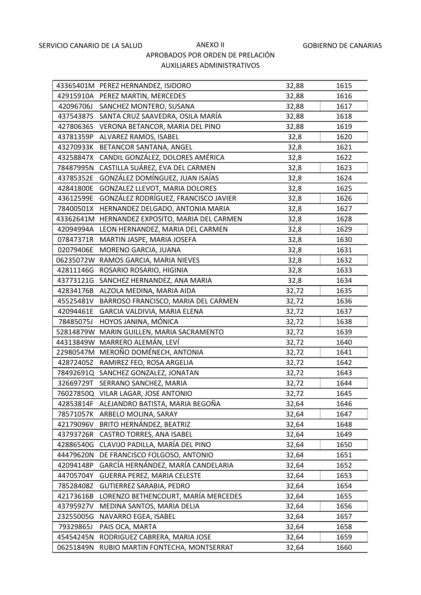|           | 43365401M PEREZ HERNANDEZ, ISIDORO             | 32,88 | 1615 |
|-----------|------------------------------------------------|-------|------|
|           | 42915910A PEREZ MARTIN, MERCEDES               | 32,88 | 1616 |
|           | 42096706J SANCHEZ MONTERO, SUSANA              | 32,88 | 1617 |
|           | 43754387S SANTA CRUZ SAAVEDRA, OSILA MARÍA     | 32,88 | 1618 |
|           | 42780636S VERONA BETANCOR, MARIA DEL PINO      | 32,88 | 1619 |
| 43781359P | ALVAREZ RAMOS, ISABEL                          | 32,8  | 1620 |
|           | 43270933K BETANCOR SANTANA, ANGEL              | 32,8  | 1621 |
| 43258847X | CANDIL GONZÁLEZ, DOLORES AMÉRICA               | 32,8  | 1622 |
| 78487995N | CASTILLA SUÁREZ, EVA DEL CARMEN                | 32,8  | 1623 |
| 43785352E | GONZÁLEZ DOMÍNGUEZ, JUAN ISAÍAS                | 32,8  | 1624 |
| 42841800E | GONZALEZ LLEVOT, MARIA DOLORES                 | 32,8  | 1625 |
|           | 43612599E GONZÁLEZ RODRÍGUEZ, FRANCISCO JAVIER | 32,8  | 1626 |
|           | 78400501X HERNANDEZ DELGADO, ANTONIA MARIA     | 32,8  | 1627 |
|           | 43362641M HERNANDEZ EXPOSITO, MARIA DEL CARMEN | 32,8  | 1628 |
|           | 42094994A LEON HERNANDEZ, MARIA DEL CARMEN     | 32,8  | 1629 |
|           | 07847371R MARTIN JASPE, MARIA JOSEFA           | 32,8  | 1630 |
| 02079406E | MORENO GARCIA, JUANA                           | 32,8  | 1631 |
|           | 06235072W RAMOS GARCIA, MARIA NIEVES           | 32,8  | 1632 |
|           | 42811146G ROSARIO ROSARIO, HIGINIA             | 32,8  | 1633 |
|           | 43773121G SANCHEZ HERNANDEZ, ANA MARIA         | 32,8  | 1634 |
|           | 42834176B ALZOLA MEDINA, MARIA AIDA            | 32,72 | 1635 |
| 45525481V | BARROSO FRANCISCO, MARIA DEL CARMEN            | 32,72 | 1636 |
| 42094461E | GARCIA VALDIVIA, MARIA ELENA                   | 32,72 | 1637 |
| 78485075J | HOYOS JANINA, MÓNICA                           | 32,72 | 1638 |
|           | 52814879W MARIN GUILLEN, MARIA SACRAMENTO      | 32,72 | 1639 |
|           | 44313849W MARRERO ALEMÁN, LEVÍ                 | 32,72 | 1640 |
| 22980547M | MEROÑO DOMÉNECH, ANTONIA                       | 32,72 | 1641 |
|           | 42872405Z RAMIREZ FEO, ROSA ARGELIA            | 32,72 | 1642 |
|           | 78492691Q SANCHEZ GONZALEZ, JONATAN            | 32,72 | 1643 |
|           | 32669729T SERRANO SANCHEZ, MARIA               | 32,72 | 1644 |
|           | 76027850Q VILAR LAGAR, JOSE ANTONIO            | 32,72 | 1645 |
| 42853814F | ALEJANDRO BATISTA, MARIA BEGOÑA                | 32,64 | 1646 |
| 78571057K | ARBELO MOLINA, SARAY                           | 32,64 | 1647 |
| 42179096V | BRITO HERNÁNDEZ, BEATRIZ                       | 32,64 | 1648 |
| 43793726R | <b>CASTRO TORRES, ANA ISABEL</b>               | 32,64 | 1649 |
| 42886540G | CLAVIJO PADILLA, MARÍA DEL PINO                | 32,64 | 1650 |
| 44479620N | DE FRANCISCO FOLGOSO, ANTONIO                  | 32,64 | 1651 |
| 42094148P | GARCÍA HERNÁNDEZ, MARÍA CANDELARIA             | 32,64 | 1652 |
| 44705704Y | GUERRA PEREZ, MARIA CELESTE                    | 32,64 | 1653 |
| 78528408Z | GUTIERREZ SARABIA, PEDRO                       | 32,64 | 1654 |
| 42173616B | LORENZO BETHENCOURT, MARÍA MERCEDES            | 32,64 | 1655 |
| 43795927V | MEDINA SANTOS, MARIA DELIA                     | 32,64 | 1656 |
| 23255005G | NAVARRO EGEA, ISABEL                           | 32,64 | 1657 |
| 79329865J | PAIS OCA, MARTA                                | 32,64 | 1658 |
| 45454245N | RODRIGUEZ CABRERA, MARIA JOSE                  | 32,64 | 1659 |
| 06251849N | RUBIO MARTIN FONTECHA, MONTSERRAT              | 32,64 | 1660 |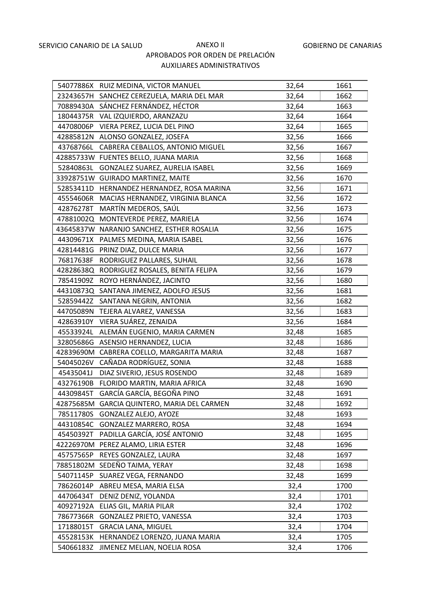|           | 54077886X RUIZ MEDINA, VICTOR MANUEL        | 32,64 | 1661 |
|-----------|---------------------------------------------|-------|------|
|           | 23243657H SANCHEZ CEREZUELA, MARIA DEL MAR  | 32,64 | 1662 |
|           | 70889430A SÁNCHEZ FERNÁNDEZ, HÉCTOR         | 32,64 | 1663 |
|           | 18044375R VAL IZQUIERDO, ARANZAZU           | 32,64 | 1664 |
|           | 44708006P VIERA PEREZ, LUCIA DEL PINO       | 32,64 | 1665 |
|           | 42885812N ALONSO GONZALEZ, JOSEFA           | 32,56 | 1666 |
|           | 43768766L CABRERA CEBALLOS, ANTONIO MIGUEL  | 32,56 | 1667 |
|           | 42885733W FUENTES BELLO, JUANA MARIA        | 32,56 | 1668 |
| 52840863L | GONZALEZ SUAREZ, AURELIA ISABEL             | 32,56 | 1669 |
|           | 33928751W GUIRADO MARTINEZ, MAITE           | 32,56 | 1670 |
|           | 52853411D HERNANDEZ HERNANDEZ, ROSA MARINA  | 32,56 | 1671 |
|           | 45554606R MACIAS HERNANDEZ, VIRGINIA BLANCA | 32,56 | 1672 |
| 42876278T | MARTÍN MEDEROS, SAÚL                        | 32,56 | 1673 |
|           | 47881002Q MONTEVERDE PEREZ, MARIELA         | 32,56 | 1674 |
|           | 43645837W NARANJO SANCHEZ, ESTHER ROSALIA   | 32,56 | 1675 |
|           | 44309671X PALMES MEDINA, MARIA ISABEL       | 32,56 | 1676 |
|           | 42814481G PRINZ DIAZ, DULCE MARIA           | 32,56 | 1677 |
| 76817638F | RODRIGUEZ PALLARES, SUHAIL                  | 32,56 | 1678 |
|           | 42828638Q RODRIGUEZ ROSALES, BENITA FELIPA  | 32,56 | 1679 |
|           | 78541909Z ROYO HERNÁNDEZ, JACINTO           | 32,56 | 1680 |
|           | 44310873Q SANTANA JIMENEZ, ADOLFO JESUS     | 32,56 | 1681 |
|           | 52859442Z SANTANA NEGRIN, ANTONIA           | 32,56 | 1682 |
|           | 44705089N TEJERA ALVAREZ, VANESSA           | 32,56 | 1683 |
| 42863910Y | VIERA SUÁREZ, ZENAIDA                       | 32,56 | 1684 |
| 45533924L | ALEMÁN EUGENIO, MARIA CARMEN                | 32,48 | 1685 |
|           | 32805686G ASENSIO HERNANDEZ, LUCIA          | 32,48 | 1686 |
| 42839690M | CABRERA COELLO, MARGARITA MARIA             | 32,48 | 1687 |
| 54045026V | CAÑADA RODRÍGUEZ, SONIA                     | 32,48 | 1688 |
| 45435041J | DIAZ SIVERIO, JESUS ROSENDO                 | 32,48 | 1689 |
| 43276190B | FLORIDO MARTIN, MARIA AFRICA                | 32,48 | 1690 |
| 44309845T | GARCÍA GARCÍA, BEGOÑA PINO                  | 32,48 | 1691 |
| 42875685M | GARCIA QUINTERO, MARIA DEL CARMEN           | 32,48 | 1692 |
| 78511780S | GONZALEZ ALEJO, AYOZE                       | 32,48 | 1693 |
| 44310854C | GONZALEZ MARRERO, ROSA                      | 32,48 | 1694 |
| 45450392T | PADILLA GARCÍA, JOSÉ ANTONIO                | 32,48 | 1695 |
|           | 42226970M PEREZ ALAMO, LIRIA ESTER          | 32,48 | 1696 |
| 45757565P | REYES GONZALEZ, LAURA                       | 32,48 | 1697 |
| 78851802M | SEDEÑO TAIMA, YERAY                         | 32,48 | 1698 |
| 54071145P | SUAREZ VEGA, FERNANDO                       | 32,48 | 1699 |
| 78626014P | ABREU MESA, MARIA ELSA                      | 32,4  | 1700 |
| 44706434T | DENIZ DENIZ, YOLANDA                        | 32,4  | 1701 |
| 40927192A | ELIAS GIL, MARIA PILAR                      | 32,4  | 1702 |
| 78677366R | GONZALEZ PRIETO, VANESSA                    | 32,4  | 1703 |
| 17188015T | <b>GRACIA LANA, MIGUEL</b>                  | 32,4  | 1704 |
| 45528153K | HERNANDEZ LORENZO, JUANA MARIA              | 32,4  | 1705 |
| 54066183Z | JIMENEZ MELIAN, NOELIA ROSA                 | 32,4  | 1706 |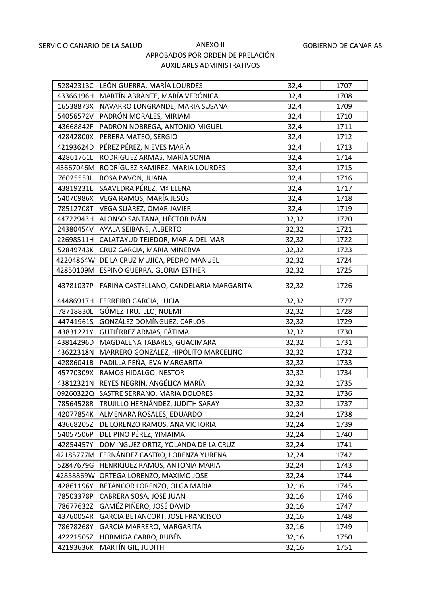|           | 52842313C LEÓN GUERRA, MARÍA LOURDES       | 32,4  | 1707 |
|-----------|--------------------------------------------|-------|------|
|           | 43366196H MARTÍN ABRANTE, MARÍA VERÓNICA   | 32,4  | 1708 |
|           | 16538873X NAVARRO LONGRANDE, MARIA SUSANA  | 32,4  | 1709 |
|           | 54056572V PADRÓN MORALES, MIRIAM           | 32,4  | 1710 |
|           | 43668842F PADRON NOBREGA, ANTONIO MIGUEL   | 32,4  | 1711 |
|           | 42842800X PERERA MATEO, SERGIO             | 32,4  | 1712 |
|           | 42193624D PÉREZ PÉREZ, NIEVES MARÍA        | 32,4  | 1713 |
| 42861761L | RODRÍGUEZ ARMAS, MARÍA SONIA               | 32,4  | 1714 |
|           | 43667046M RODRÍGUEZ RAMIREZ, MARIA LOURDES | 32,4  | 1715 |
| 76025553L | ROSA PAVÓN, JUANA                          | 32,4  | 1716 |
|           | 43819231E SAAVEDRA PÉREZ, Mª ELENA         | 32,4  | 1717 |
|           | 54070986X VEGA RAMOS, MARÍA JESÚS          | 32,4  | 1718 |
| 78512708T | VEGA SUÁREZ, OMAR JAVIER                   | 32,4  | 1719 |
|           | 44722943H ALONSO SANTANA, HÉCTOR IVÁN      | 32,32 | 1720 |
|           | 24380454V AYALA SEIBANE, ALBERTO           | 32,32 | 1721 |
|           | 22698511H CALATAYUD TEJEDOR, MARIA DEL MAR | 32,32 | 1722 |
|           | 52849743K CRUZ GARCIA, MARIA MINERVA       | 32,32 | 1723 |
|           | 42204864W DE LA CRUZ MUJICA, PEDRO MANUEL  | 32,32 | 1724 |
|           | 42850109M ESPINO GUERRA, GLORIA ESTHER     | 32,32 | 1725 |
| 43781037P | FARIÑA CASTELLANO, CANDELARIA MARGARITA    | 32,32 | 1726 |
| 44486917H | FERREIRO GARCIA, LUCIA                     | 32,32 | 1727 |
| 78718830L | GÓMEZ TRUJILLO, NOEMI                      | 32,32 | 1728 |
| 44741961S | GONZÁLEZ DOMÍNGUEZ, CARLOS                 | 32,32 | 1729 |
| 43831221Y | GUTIÉRREZ ARMAS, FÁTIMA                    | 32,32 | 1730 |
| 43814296D | MAGDALENA TABARES, GUACIMARA               | 32,32 | 1731 |
| 43622318N | MARRERO GONZÁLEZ, HIPÓLITO MARCELINO       | 32,32 | 1732 |
|           | 42886041B PADILLA PEÑA, EVA MARGARITA      | 32,32 | 1733 |
| 45770309X | RAMOS HIDALGO, NESTOR                      | 32,32 | 1734 |
|           | 43812321N REYES NEGRÍN, ANGÉLICA MARÍA     | 32,32 | 1735 |
| 09260322Q | SASTRE SERRANO, MARIA DOLORES              | 32,32 | 1736 |
| 78564528R | TRUJILLO HERNÁNDEZ, JUDITH SARAY           | 32,32 | 1737 |
| 42077854K | ALMENARA ROSALES, EDUARDO                  | 32,24 | 1738 |
| 43668205Z | DE LORENZO RAMOS, ANA VICTORIA             | 32,24 | 1739 |
| 54057506P | DEL PINO PÉREZ, YIMAIMA                    | 32,24 | 1740 |
| 42854457Y | DOMINGUEZ ORTIZ, YOLANDA DE LA CRUZ        | 32,24 | 1741 |
| 42185777M | FERNÁNDEZ CASTRO, LORENZA YURENA           | 32,24 | 1742 |
| 52847679G | HENRIQUEZ RAMOS, ANTONIA MARIA             | 32,24 | 1743 |
| 42858869W | ORTEGA LORENZO, MAXIMO JOSE                | 32,24 | 1744 |
| 42861196Y | BETANCOR LORENZO, OLGA MARIA               | 32,16 | 1745 |
| 78503378P | CABRERA SOSA, JOSE JUAN                    | 32,16 | 1746 |
| 78677632Z | GAMÉZ PIÑERO, JOSÉ DAVID                   | 32,16 | 1747 |
| 43760054R | GARCIA BETANCORT, JOSE FRANCISCO           | 32,16 | 1748 |
| 78678268Y | GARCIA MARRERO, MARGARITA                  | 32,16 | 1749 |
| 42221505Z | HORMIGA CARRO, RUBÉN                       | 32,16 | 1750 |
| 42193636K | MARTÍN GIL, JUDITH                         | 32,16 | 1751 |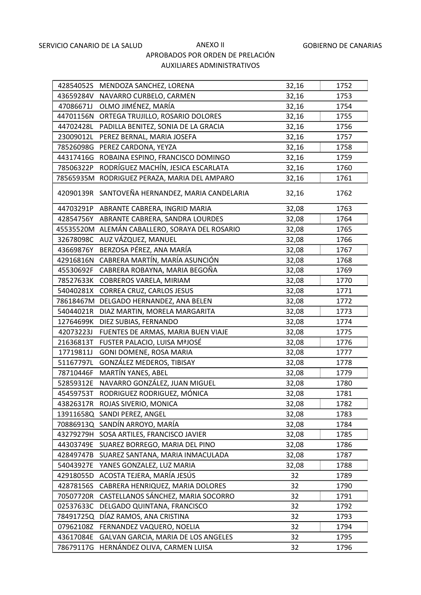|           | 42854052S MENDOZA SANCHEZ, LORENA     | 32,16 | 1752 |
|-----------|---------------------------------------|-------|------|
|           | 43659284V NAVARRO CURBELO, CARMEN     | 32,16 | 1753 |
| 47086671J | OLMO JIMÉNEZ, MARÍA                   | 32,16 | 1754 |
| 44701156N | ORTEGA TRUJILLO, ROSARIO DOLORES      | 32,16 | 1755 |
| 44702428L | PADILLA BENITEZ, SONIA DE LA GRACIA   | 32,16 | 1756 |
| 23009012L | PEREZ BERNAL, MARIA JOSEFA            | 32,16 | 1757 |
| 78526098G | PEREZ CARDONA, YEYZA                  | 32,16 | 1758 |
| 44317416G | ROBAINA ESPINO, FRANCISCO DOMINGO     | 32,16 | 1759 |
| 78506322P | RODRÍGUEZ MACHÍN, JESICA ESCARLATA    | 32,16 | 1760 |
| 78565935M | RODRIGUEZ PERAZA, MARIA DEL AMPARO    | 32,16 | 1761 |
| 42090139R | SANTOVEÑA HERNANDEZ, MARIA CANDELARIA | 32,16 | 1762 |
| 44703291P | ABRANTE CABRERA, INGRID MARIA         | 32,08 | 1763 |
| 42854756Y | ABRANTE CABRERA, SANDRA LOURDES       | 32,08 | 1764 |
| 45535520M | ALEMÁN CABALLERO, SORAYA DEL ROSARIO  | 32,08 | 1765 |
| 32678098C | AUZ VÁZQUEZ, MANUEL                   | 32,08 | 1766 |
| 43669876Y | BERZOSA PÉREZ, ANA MARÍA              | 32,08 | 1767 |
| 42916816N | CABRERA MARTÍN, MARÍA ASUNCIÓN        | 32,08 | 1768 |
| 45530692F | CABRERA ROBAYNA, MARIA BEGOÑA         | 32,08 | 1769 |
| 78527633K | COBREROS VARELA, MIRIAM               | 32,08 | 1770 |
| 54040281X | CORREA CRUZ, CARLOS JESUS             | 32,08 | 1771 |
| 78618467M | DELGADO HERNANDEZ, ANA BELEN          | 32,08 | 1772 |
| 54044021R | DIAZ MARTIN, MORELA MARGARITA         | 32,08 | 1773 |
| 12764699K | DIEZ SUBIAS, FERNANDO                 | 32,08 | 1774 |
| 42073223J | FUENTES DE ARMAS, MARIA BUEN VIAJE    | 32,08 | 1775 |
| 21636813T | FUSTER PALACIO, LUISA MªJOSÉ          | 32,08 | 1776 |
| 17719811J | GONI DOMENE, ROSA MARIA               | 32,08 | 1777 |
| 51167797L | GONZÁLEZ MEDEROS, TIBISAY             | 32,08 | 1778 |
| 78710446F | MARTÍN YANES, ABEL                    | 32,08 | 1779 |
| 52859312E | NAVARRO GONZÁLEZ, JUAN MIGUEL         | 32,08 | 1780 |
| 45459753T | RODRIGUEZ RODRIGUEZ, MÓNICA           | 32,08 | 1781 |
| 43826317R | ROJAS SIVERIO, MONICA                 | 32,08 | 1782 |
|           | 13911658Q SANDI PEREZ, ANGEL          | 32,08 | 1783 |
|           | 70886913Q SANDÍN ARROYO, MARÍA        | 32,08 | 1784 |
| 43279279H | SOSA ARTILES, FRANCISCO JAVIER        | 32,08 | 1785 |
| 44303749E | SUAREZ BORREGO, MARIA DEL PINO        | 32,08 | 1786 |
| 42849747B | SUAREZ SANTANA, MARIA INMACULADA      | 32,08 | 1787 |
| 54043927E | YANES GONZALEZ, LUZ MARIA             | 32,08 | 1788 |
| 42918055D | ACOSTA TEJERA, MARÍA JESÚS            | 32    | 1789 |
| 42878156S | CABRERA HENRIQUEZ, MARIA DOLORES      | 32    | 1790 |
| 70507720R | CASTELLANOS SÁNCHEZ, MARIA SOCORRO    | 32    | 1791 |
| 02537633C | DELGADO QUINTANA, FRANCISCO           | 32    | 1792 |
| 78491725Q | DÍAZ RAMOS, ANA CRISTINA              | 32    | 1793 |
| 07962108Z | FERNANDEZ VAQUERO, NOELIA             | 32    | 1794 |
| 43617084E | GALVAN GARCIA, MARIA DE LOS ANGELES   | 32    | 1795 |
| 78679117G | HERNÁNDEZ OLIVA, CARMEN LUISA         | 32    | 1796 |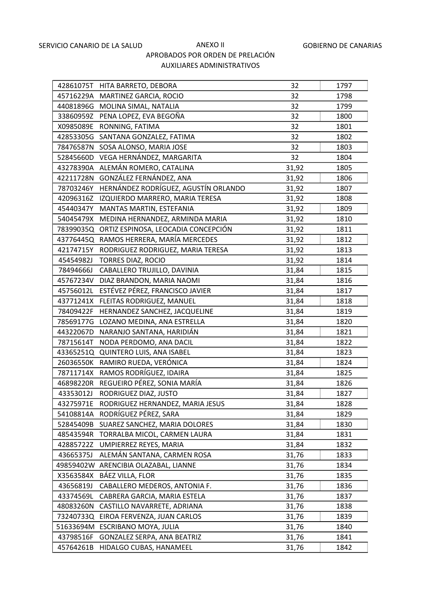|           | 42861075T HITA BARRETO, DEBORA       | 32    | 1797 |
|-----------|--------------------------------------|-------|------|
|           | 45716229A MARTINEZ GARCIA, ROCIO     | 32    | 1798 |
|           | 44081896G MOLINA SIMAL, NATALIA      | 32    | 1799 |
| 33860959Z | PENA LOPEZ, EVA BEGOÑA               | 32    | 1800 |
| X0985089E | RONNING, FATIMA                      | 32    | 1801 |
| 42853305G | SANTANA GONZALEZ, FATIMA             | 32    | 1802 |
|           | 78476587N SOSA ALONSO, MARIA JOSE    | 32    | 1803 |
| 52845660D | VEGA HERNÁNDEZ, MARGARITA            | 32    | 1804 |
| 43278390A | ALEMÁN ROMERO, CATALINA              | 31,92 | 1805 |
| 42211728N | GONZÁLEZ FERNÁNDEZ, ANA              | 31,92 | 1806 |
| 78703246Y | HERNÁNDEZ RODRÍGUEZ, AGUSTÍN ORLANDO | 31,92 | 1807 |
| 42096316Z | IZQUIERDO MARRERO, MARIA TERESA      | 31,92 | 1808 |
| 45440347Y | MANTAS MARTIN, ESTEFANIA             | 31,92 | 1809 |
| 54045479X | MEDINA HERNANDEZ, ARMINDA MARIA      | 31,92 | 1810 |
| 78399035Q | ORTIZ ESPINOSA, LEOCADIA CONCEPCIÓN  | 31,92 | 1811 |
| 43776445Q | RAMOS HERRERA, MARÍA MERCEDES        | 31,92 | 1812 |
| 42174715Y | RODRIGUEZ RODRIGUEZ, MARIA TERESA    | 31,92 | 1813 |
| 45454982J | TORRES DIAZ, ROCIO                   | 31,92 | 1814 |
| 78494666J | CABALLERO TRUJILLO, DAVINIA          | 31,84 | 1815 |
| 45767234V | DIAZ BRANDON, MARIA NAOMI            | 31,84 | 1816 |
| 45756012L | ESTÉVEZ PÉREZ, FRANCISCO JAVIER      | 31,84 | 1817 |
| 43771241X | FLEITAS RODRIGUEZ, MANUEL            | 31,84 | 1818 |
| 78409422F | HERNANDEZ SANCHEZ, JACQUELINE        | 31,84 | 1819 |
| 78569177G | LOZANO MEDINA, ANA ESTRELLA          | 31,84 | 1820 |
| 44322067D | NARANJO SANTANA, HARIDIÁN            | 31,84 | 1821 |
| 78715614T | NODA PERDOMO, ANA DACIL              | 31,84 | 1822 |
| 43365251Q | <b>QUINTERO LUIS, ANA ISABEL</b>     | 31,84 | 1823 |
|           | 26036550K RAMIRO RUEDA, VERÓNICA     | 31,84 | 1824 |
|           | 78711714X RAMOS RODRÍGUEZ, IDAIRA    | 31,84 | 1825 |
| 46898220R | REGUEIRO PÉREZ, SONIA MARÍA          | 31,84 | 1826 |
| 43353012J | RODRIGUEZ DIAZ, JUSTO                | 31,84 | 1827 |
| 43275971E | RODRIGUEZ HERNANDEZ, MARIA JESUS     | 31,84 | 1828 |
| 54108814A | RODRÍGUEZ PÉREZ, SARA                | 31,84 | 1829 |
| 52845409B | SUAREZ SANCHEZ, MARIA DOLORES        | 31,84 | 1830 |
| 48543594R | TORRALBA MICOL, CARMEN LAURA         | 31,84 | 1831 |
| 42885722Z | UMPIERREZ REYES, MARIA               | 31,84 | 1832 |
| 43665375J | ALEMÁN SANTANA, CARMEN ROSA          | 31,76 | 1833 |
| 49859402W | ARENCIBIA OLAZABAL, LIANNE           | 31,76 | 1834 |
| X3563584X | BÁEZ VILLA, FLOR                     | 31,76 | 1835 |
| 43656819J | CABALLERO MEDEROS, ANTONIA F.        | 31,76 | 1836 |
| 43374569L | CABRERA GARCIA, MARIA ESTELA         | 31,76 | 1837 |
| 48083260N | CASTILLO NAVARRETE, ADRIANA          | 31,76 | 1838 |
| 73240733Q | EIROA FERVENZA, JUAN CARLOS          | 31,76 | 1839 |
| 51633694M | ESCRIBANO MOYA, JULIA                | 31,76 | 1840 |
| 43798516F | GONZALEZ SERPA, ANA BEATRIZ          | 31,76 | 1841 |
| 45764261B | HIDALGO CUBAS, HANAMEEL              | 31,76 | 1842 |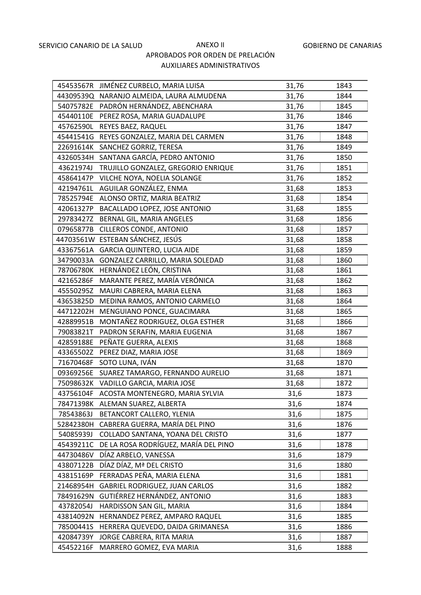|           | 45453567R JIMÉNEZ CURBELO, MARIA LUISA    | 31,76 | 1843 |
|-----------|-------------------------------------------|-------|------|
|           | 44309539Q NARANJO ALMEIDA, LAURA ALMUDENA | 31,76 | 1844 |
| 54075782E | PADRÓN HERNÁNDEZ, ABENCHARA               | 31,76 | 1845 |
| 45440110E | PEREZ ROSA, MARIA GUADALUPE               | 31,76 | 1846 |
| 45762590L | REYES BAEZ, RAQUEL                        | 31,76 | 1847 |
| 45441541G | REYES GONZALEZ, MARIA DEL CARMEN          | 31,76 | 1848 |
| 22691614K | SANCHEZ GORRIZ, TERESA                    | 31,76 | 1849 |
| 43260534H | SANTANA GARCÍA, PEDRO ANTONIO             | 31,76 | 1850 |
| 43621974J | TRUJILLO GONZALEZ, GREGORIO ENRIQUE       | 31,76 | 1851 |
| 45864147P | VILCHE NOYA, NOELIA SOLANGE               | 31,76 | 1852 |
| 42194761L | AGUILAR GONZÁLEZ, ENMA                    | 31,68 | 1853 |
| 78525794E | ALONSO ORTIZ, MARIA BEATRIZ               | 31,68 | 1854 |
| 42061327P | BACALLADO LOPEZ, JOSE ANTONIO             | 31,68 | 1855 |
| 29783427Z | BERNAL GIL, MARIA ANGELES                 | 31,68 | 1856 |
| 07965877B | CILLEROS CONDE, ANTONIO                   | 31,68 | 1857 |
|           | 44703561W ESTEBAN SÁNCHEZ, JESÚS          | 31,68 | 1858 |
| 43367561A | <b>GARCIA QUINTERO, LUCIA AIDE</b>        | 31,68 | 1859 |
| 34790033A | GONZALEZ CARRILLO, MARIA SOLEDAD          | 31,68 | 1860 |
| 78706780K | HERNÁNDEZ LEÓN, CRISTINA                  | 31,68 | 1861 |
| 42165286F | MARANTE PEREZ, MARÍA VERÓNICA             | 31,68 | 1862 |
| 45550295Z | MAURI CABRERA, MARIA ELENA                | 31,68 | 1863 |
| 43653825D | MEDINA RAMOS, ANTONIO CARMELO             | 31,68 | 1864 |
| 44712202H | MENGUIANO PONCE, GUACIMARA                | 31,68 | 1865 |
| 42889951B | MONTAÑEZ RODRIGUEZ, OLGA ESTHER           | 31,68 | 1866 |
| 79083821T | PADRON SERAFIN, MARIA EUGENIA             | 31,68 | 1867 |
| 42859188E | PEÑATE GUERRA, ALEXIS                     | 31,68 | 1868 |
| 43365502Z | PEREZ DIAZ, MARIA JOSE                    | 31,68 | 1869 |
| 71670468F | SOTO LUNA, IVÁN                           | 31,68 | 1870 |
| 09369256E | SUAREZ TAMARGO, FERNANDO AURELIO          | 31,68 | 1871 |
| 75098632K | VADILLO GARCIA, MARIA JOSE                | 31,68 | 1872 |
| 43756104F | ACOSTA MONTENEGRO, MARIA SYLVIA           | 31,6  | 1873 |
|           | 78471398K ALEMAN SUAREZ, ALBERTA          | 31,6  | 1874 |
| 78543863J | BETANCORT CALLERO, YLENIA                 | 31,6  | 1875 |
| 52842380H | CABRERA GUERRA, MARÍA DEL PINO            | 31,6  | 1876 |
| 54085939J | COLLADO SANTANA, YOANA DEL CRISTO         | 31,6  | 1877 |
| 45439211C | DE LA ROSA RODRÍGUEZ, MARÍA DEL PINO      | 31,6  | 1878 |
| 44730486V | DÍAZ ARBELO, VANESSA                      | 31,6  | 1879 |
| 43807122B | DÍAZ DÍAZ, Mª DEL CRISTO                  | 31,6  | 1880 |
| 43815169P | FERRADAS PEÑA, MARIA ELENA                | 31,6  | 1881 |
| 21468954H | <b>GABRIEL RODRIGUEZ, JUAN CARLOS</b>     | 31,6  | 1882 |
| 78491629N | GUTIÉRREZ HERNÁNDEZ, ANTONIO              | 31,6  | 1883 |
| 43782054J | HARDISSON SAN GIL, MARIA                  | 31,6  | 1884 |
| 43814092N | HERNANDEZ PEREZ, AMPARO RAQUEL            | 31,6  | 1885 |
| 78500441S | HERRERA QUEVEDO, DAIDA GRIMANESA          | 31,6  | 1886 |
| 42084739Y | JORGE CABRERA, RITA MARIA                 | 31,6  | 1887 |
| 45452216F | MARRERO GOMEZ, EVA MARIA                  | 31,6  | 1888 |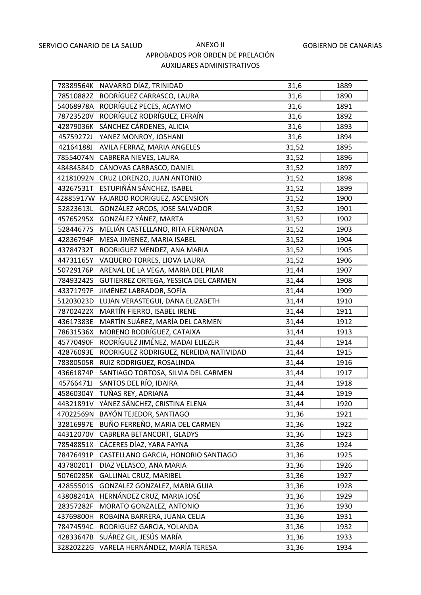|           | 78389564K NAVARRO DÍAZ, TRINIDAD       | 31,6  | 1889 |
|-----------|----------------------------------------|-------|------|
|           | 78510882Z RODRÍGUEZ CARRASCO, LAURA    | 31,6  | 1890 |
|           | 54068978A RODRÍGUEZ PECES, ACAYMO      | 31,6  | 1891 |
| 78723520V | RODRÍGUEZ RODRÍGUEZ, EFRAÍN            | 31,6  | 1892 |
|           | 42879036K SÁNCHEZ CÁRDENES, ALICIA     | 31,6  | 1893 |
| 45759272J | YANEZ MONROY, JOSHANI                  | 31,6  | 1894 |
| 42164188J | AVILA FERRAZ, MARIA ANGELES            | 31,52 | 1895 |
|           | 78554074N CABRERA NIEVES, LAURA        | 31,52 | 1896 |
|           | 48484584D CÁNOVAS CARRASCO, DANIEL     | 31,52 | 1897 |
|           | 42181092N CRUZ LORENZO, JUAN ANTONIO   | 31,52 | 1898 |
|           | 43267531T ESTUPIÑÁN SÁNCHEZ, ISABEL    | 31,52 | 1899 |
|           | 42885917W FAJARDO RODRIGUEZ, ASCENSION | 31,52 | 1900 |
| 52823613L | GONZÁLEZ ARCOS, JOSE SALVADOR          | 31,52 | 1901 |
|           | 45765295X GONZÁLEZ YÁNEZ, MARTA        | 31,52 | 1902 |
| 52844677S | MELIÁN CASTELLANO, RITA FERNANDA       | 31,52 | 1903 |
| 42836794F | MESA JIMENEZ, MARIA ISABEL             | 31,52 | 1904 |
| 43784732T | RODRIGUEZ MENDEZ, ANA MARIA            | 31,52 | 1905 |
| 44731165Y | VAQUERO TORRES, LIOVA LAURA            | 31,52 | 1906 |
| 50729176P | ARENAL DE LA VEGA, MARIA DEL PILAR     | 31,44 | 1907 |
| 78493242S | GUTIERREZ ORTEGA, YESSICA DEL CARMEN   | 31,44 | 1908 |
| 43371797F | JIMÉNEZ LABRADOR, SOFÍA                | 31,44 | 1909 |
| 51203023D | LUJAN VERASTEGUI, DANA ELIZABETH       | 31,44 | 1910 |
| 78702422X | MARTÍN FIERRO, ISABEL IRENE            | 31,44 | 1911 |
| 43617383E | MARTÍN SUÁREZ, MARÍA DEL CARMEN        | 31,44 | 1912 |
| 78631536X | MORENO RODRÍGUEZ, CATAIXA              | 31,44 | 1913 |
| 45770490F | RODRÍGUEZ JIMÉNEZ, MADAI ELIEZER       | 31,44 | 1914 |
| 42876093E | RODRIGUEZ RODRIGUEZ, NEREIDA NATIVIDAD | 31,44 | 1915 |
| 78380505R | RUIZ RODRIGUEZ, ROSALINDA              | 31,44 | 1916 |
| 43661874P | SANTIAGO TORTOSA, SILVIA DEL CARMEN    | 31,44 | 1917 |
| 45766471J | SANTOS DEL RÍO, IDAIRA                 | 31,44 | 1918 |
|           | 45860304Y TUÑAS REY, ADRIANA           | 31,44 | 1919 |
| 44321891V | YÁNEZ SÁNCHEZ, CRISTINA ELENA          | 31,44 | 1920 |
| 47022569N | BAYÓN TEJEDOR, SANTIAGO                | 31,36 | 1921 |
| 32816997E | BUÑO FERREÑO, MARIA DEL CARMEN         | 31,36 | 1922 |
| 44312070V | CABRERA BETANCORT, GLADYS              | 31,36 | 1923 |
| 78548851X | CÁCERES DÍAZ, YARA FAYNA               | 31,36 | 1924 |
| 78476491P | CASTELLANO GARCIA, HONORIO SANTIAGO    | 31,36 | 1925 |
| 43780201T | DIAZ VELASCO, ANA MARIA                | 31,36 | 1926 |
| 50760285K | <b>GALLINAL CRUZ, MARIBEL</b>          | 31,36 | 1927 |
| 42855501S | GONZALEZ GONZALEZ, MARIA GUIA          | 31,36 | 1928 |
| 43808241A | HERNÁNDEZ CRUZ, MARIA JOSÉ             | 31,36 | 1929 |
| 28357282F | MORATO GONZALEZ, ANTONIO               | 31,36 | 1930 |
| 43769800H | ROBAINA BARRERA, JUANA CELIA           | 31,36 | 1931 |
| 78474594C | RODRIGUEZ GARCIA, YOLANDA              | 31,36 | 1932 |
| 42833647B | SUÁREZ GIL, JESÚS MARÍA                | 31,36 | 1933 |
| 32820222G | VARELA HERNÁNDEZ, MARÍA TERESA         | 31,36 | 1934 |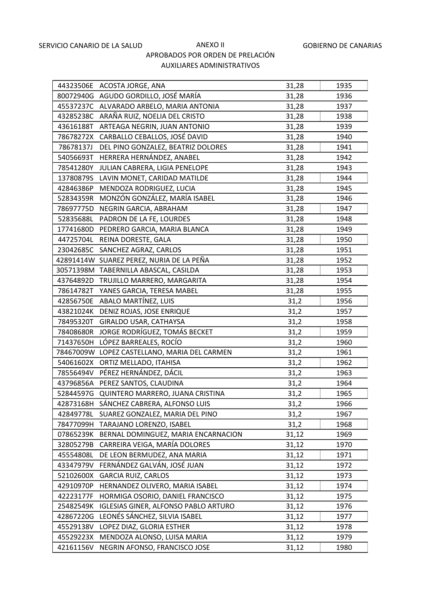| 44323506E | ACOSTA JORGE, ANA                            | 31,28 | 1935 |
|-----------|----------------------------------------------|-------|------|
|           | 80072940G AGUDO GORDILLO, JOSÉ MARÍA         | 31,28 | 1936 |
|           | 45537237C ALVARADO ARBELO, MARIA ANTONIA     | 31,28 | 1937 |
| 43285238C | ARAÑA RUIZ, NOELIA DEL CRISTO                | 31,28 | 1938 |
| 43616188T | ARTEAGA NEGRIN, JUAN ANTONIO                 | 31,28 | 1939 |
| 78678272X | CARBALLO CEBALLOS, JOSÉ DAVID                | 31,28 | 1940 |
| 78678137J | DEL PINO GONZALEZ, BEATRIZ DOLORES           | 31,28 | 1941 |
| 54056693T | HERRERA HERNÁNDEZ, ANABEL                    | 31,28 | 1942 |
| 78541280Y | JULIAN CABRERA, LIGIA PENELOPE               | 31,28 | 1943 |
| 13780879S | LAVIN MONET, CARIDAD MATILDE                 | 31,28 | 1944 |
| 42846386P | MENDOZA RODRIGUEZ, LUCIA                     | 31,28 | 1945 |
|           | 52834359R MONZÓN GONZÁLEZ, MARÍA ISABEL      | 31,28 | 1946 |
| 78697775D | NEGRIN GARCIA, ABRAHAM                       | 31,28 | 1947 |
| 52835688L | PADRON DE LA FE, LOURDES                     | 31,28 | 1948 |
| 17741680D | PEDRERO GARCIA, MARIA BLANCA                 | 31,28 | 1949 |
|           | 44725704L REINA DORESTE, GALA                | 31,28 | 1950 |
|           | 23042685C SANCHEZ AGRAZ, CARLOS              | 31,28 | 1951 |
|           | 42891414W SUAREZ PEREZ, NURIA DE LA PEÑA     | 31,28 | 1952 |
|           | 30571398M TABERNILLA ABASCAL, CASILDA        | 31,28 | 1953 |
|           | 43764892D TRUJILLO MARRERO, MARGARITA        | 31,28 | 1954 |
|           | 78614782T YANES GARCIA, TERESA MABEL         | 31,28 | 1955 |
| 42856750E | ABALO MARTÍNEZ, LUIS                         | 31,2  | 1956 |
|           | 43821024K DENIZ ROJAS, JOSE ENRIQUE          | 31,2  | 1957 |
| 78495320T | GIRALDO USAR, CATHAYSA                       | 31,2  | 1958 |
|           | 78408680R JORGE RODRÍGUEZ, TOMÁS BECKET      | 31,2  | 1959 |
| 71437650H | LÓPEZ BARREALES, ROCÍO                       | 31,2  | 1960 |
|           | 78467009W LOPEZ CASTELLANO, MARIA DEL CARMEN | 31,2  | 1961 |
|           | 54061602X ORTIZ MELLADO, ITAHISA             | 31,2  | 1962 |
|           | 78556494V PÉREZ HERNÁNDEZ, DÁCIL             | 31,2  | 1963 |
|           | 43796856A PEREZ SANTOS, CLAUDINA             | 31,2  | 1964 |
|           | 52844597G QUINTERO MARRERO, JUANA CRISTINA   | 31,2  | 1965 |
| 42873168H | SÁNCHEZ CABRERA, ALFONSO LUIS                | 31,2  | 1966 |
| 42849778L | SUAREZ GONZALEZ, MARIA DEL PINO              | 31,2  | 1967 |
| 78477099H | TARAJANO LORENZO, ISABEL                     | 31,2  | 1968 |
| 07865239K | BERNAL DOMINGUEZ, MARIA ENCARNACION          | 31,12 | 1969 |
| 32805279B | CARREIRA VEIGA, MARÍA DOLORES                | 31,12 | 1970 |
| 45554808L | DE LEON BERMUDEZ, ANA MARIA                  | 31,12 | 1971 |
| 43347979V | FERNÁNDEZ GALVÁN, JOSÉ JUAN                  | 31,12 | 1972 |
| 52102600X | <b>GARCIA RUIZ, CARLOS</b>                   | 31,12 | 1973 |
| 42910970P | HERNANDEZ OLIVERO, MARIA ISABEL              | 31,12 | 1974 |
| 42223177F | HORMIGA OSORIO, DANIEL FRANCISCO             | 31,12 | 1975 |
| 25482549K | <b>IGLESIAS GINER, ALFONSO PABLO ARTURO</b>  | 31,12 | 1976 |
| 42867220G | LEONÉS SÁNCHEZ, SILVIA ISABEL                | 31,12 | 1977 |
| 45529138V | LOPEZ DIAZ, GLORIA ESTHER                    | 31,12 | 1978 |
| 45529223X | MENDOZA ALONSO, LUISA MARIA                  | 31,12 | 1979 |
| 42161156V | NEGRIN AFONSO, FRANCISCO JOSE                | 31,12 | 1980 |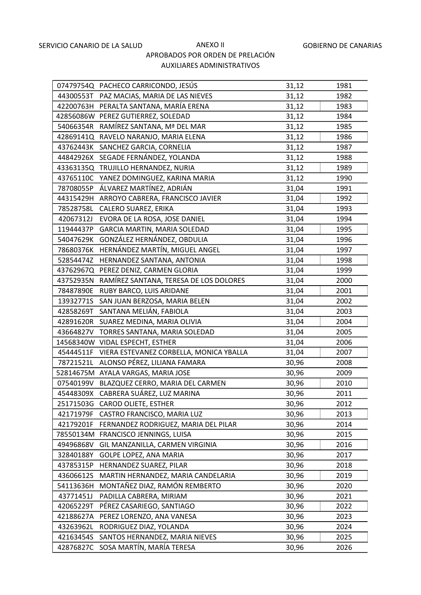|           | 07479754Q PACHECO CARRICONDO, JESÚS       | 31,12 | 1981 |
|-----------|-------------------------------------------|-------|------|
|           | 44300553T PAZ MACIAS, MARIA DE LAS NIEVES | 31,12 | 1982 |
|           | 42200763H PERALTA SANTANA, MARÍA ERENA    | 31,12 | 1983 |
|           | 42856086W PEREZ GUTIERREZ, SOLEDAD        | 31,12 | 1984 |
|           | 54066354R RAMÍREZ SANTANA, Mª DEL MAR     | 31,12 | 1985 |
|           | 42869141Q RAVELO NARANJO, MARIA ELENA     | 31,12 | 1986 |
|           | 43762443K SANCHEZ GARCIA, CORNELIA        | 31,12 | 1987 |
|           | 44842926X SEGADE FERNÁNDEZ, YOLANDA       | 31,12 | 1988 |
|           | 43363135Q TRUJILLO HERNANDEZ, NURIA       | 31,12 | 1989 |
|           | 43765110C YANEZ DOMINGUEZ, KARINA MARIA   | 31,12 | 1990 |
|           | 78708055P ÁLVAREZ MARTÍNEZ, ADRIÁN        | 31,04 | 1991 |
| 44315429H | ARROYO CABRERA, FRANCISCO JAVIER          | 31,04 | 1992 |
| 78528758L | CALERO SUAREZ, ERIKA                      | 31,04 | 1993 |
| 42067312J | EVORA DE LA ROSA, JOSE DANIEL             | 31,04 | 1994 |
| 11944437P | GARCIA MARTIN, MARIA SOLEDAD              | 31,04 | 1995 |
| 54047629K | GONZÁLEZ HERNÁNDEZ, OBDULIA               | 31,04 | 1996 |
| 78680376K | HERNÁNDEZ MARTÍN, MIGUEL ANGEL            | 31,04 | 1997 |
| 52854474Z | HERNANDEZ SANTANA, ANTONIA                | 31,04 | 1998 |
|           | 43762967Q PEREZ DENIZ, CARMEN GLORIA      | 31,04 | 1999 |
| 43752935N | RAMÍREZ SANTANA, TERESA DE LOS DOLORES    | 31,04 | 2000 |
| 78487890E | RUBY BARCO, LUIS ARIDANE                  | 31,04 | 2001 |
| 13932771S | SAN JUAN BERZOSA, MARIA BELEN             | 31,04 | 2002 |
| 42858269T | SANTANA MELIÁN, FABIOLA                   | 31,04 | 2003 |
| 42891620R | SUAREZ MEDINA, MARIA OLIVIA               | 31,04 | 2004 |
| 43664827V | TORRES SANTANA, MARIA SOLEDAD             | 31,04 | 2005 |
|           | 14568340W VIDAL ESPECHT, ESTHER           | 31,04 | 2006 |
| 45444511F | VIERA ESTEVANEZ CORBELLA, MONICA YBALLA   | 31,04 | 2007 |
| 78721521L | ALONSO PÉREZ, LILIANA FAMARA              | 30,96 | 2008 |
|           | 52814675M AYALA VARGAS, MARIA JOSE        | 30,96 | 2009 |
| 07540199V | BLAZQUEZ CERRO, MARIA DEL CARMEN          | 30,96 | 2010 |
| 45448309X | CABRERA SUÁREZ, LUZ MARINA                | 30,96 | 2011 |
|           | 25171503G CAROD OLIETE, ESTHER            | 30,96 | 2012 |
| 42171979F | CASTRO FRANCISCO, MARIA LUZ               | 30,96 | 2013 |
| 42179201F | FERNANDEZ RODRIGUEZ, MARIA DEL PILAR      | 30,96 | 2014 |
|           | 78550134M FRANCISCO JENNINGS, LUISA       | 30,96 | 2015 |
| 49496868V | GIL MANZANILLA, CARMEN VIRGINIA           | 30,96 | 2016 |
| 32840188Y | GOLPE LOPEZ, ANA MARIA                    | 30,96 | 2017 |
| 43785315P | HERNANDEZ SUAREZ, PILAR                   | 30,96 | 2018 |
| 43606612S | MARTIN HERNANDEZ, MARIA CANDELARIA        | 30,96 | 2019 |
| 54113636H | MONTAÑEZ DIAZ, RAMÓN REMBERTO             | 30,96 | 2020 |
| 43771451J | PADILLA CABRERA, MIRIAM                   | 30,96 | 2021 |
| 42065229T | PÉREZ CASARIEGO, SANTIAGO                 | 30,96 | 2022 |
| 42188627A | PEREZ LORENZO, ANA VANESA                 | 30,96 | 2023 |
| 43263962L | RODRIGUEZ DIAZ, YOLANDA                   | 30,96 | 2024 |
| 42163454S | SANTOS HERNANDEZ, MARIA NIEVES            | 30,96 | 2025 |
| 42876827C | SOSA MARTÍN, MARÍA TERESA                 | 30,96 | 2026 |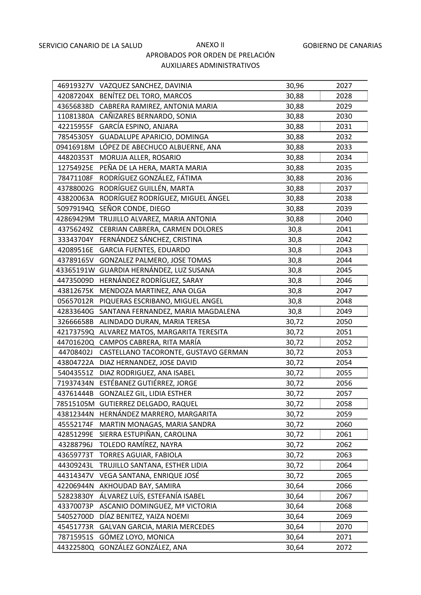|           | 46919327V VAZQUEZ SANCHEZ, DAVINIA        | 30,96 | 2027 |
|-----------|-------------------------------------------|-------|------|
|           | 42087204X BENÍTEZ DEL TORO, MARCOS        | 30,88 | 2028 |
|           | 43656838D CABRERA RAMIREZ, ANTONIA MARIA  | 30,88 | 2029 |
|           | 11081380A CAÑIZARES BERNARDO, SONIA       | 30,88 | 2030 |
| 42215955F | GARCÍA ESPINO, ANJARA                     | 30,88 | 2031 |
| 78545305Y | GUADALUPE APARICIO, DOMINGA               | 30,88 | 2032 |
|           | 09416918M LÓPEZ DE ABECHUCO ALBUERNE, ANA | 30,88 | 2033 |
| 44820353T | MORUJA ALLER, ROSARIO                     | 30,88 | 2034 |
| 12754925E | PEÑA DE LA HERA, MARTA MARIA              | 30,88 | 2035 |
| 78471108F | RODRÍGUEZ GONZÁLEZ, FÁTIMA                | 30,88 | 2036 |
| 43788002G | RODRÍGUEZ GUILLÉN, MARTA                  | 30,88 | 2037 |
| 43820063A | RODRÍGUEZ RODRÍGUEZ, MIGUEL ÁNGEL         | 30,88 | 2038 |
| 50979194Q | SEÑOR CONDE, DIEGO                        | 30,88 | 2039 |
|           | 42869429M TRUJILLO ALVAREZ, MARIA ANTONIA | 30,88 | 2040 |
| 43756249Z | CEBRIAN CABRERA, CARMEN DOLORES           | 30,8  | 2041 |
| 33343704Y | FERNÁNDEZ SÁNCHEZ, CRISTINA               | 30,8  | 2042 |
| 42089516E | <b>GARCIA FUENTES, EDUARDO</b>            | 30,8  | 2043 |
| 43789165V | GONZALEZ PALMERO, JOSE TOMAS              | 30,8  | 2044 |
|           | 43365191W GUARDIA HERNÁNDEZ, LUZ SUSANA   | 30,8  | 2045 |
| 44735009D | HERNÁNDEZ RODRÍGUEZ, SARAY                | 30,8  | 2046 |
| 43812675K | MENDOZA MARTINEZ, ANA OLGA                | 30,8  | 2047 |
| 05657012R | PIQUERAS ESCRIBANO, MIGUEL ANGEL          | 30,8  | 2048 |
| 42833640G | SANTANA FERNANDEZ, MARIA MAGDALENA        | 30,8  | 2049 |
| 32666658B | ALINDADO DURAN, MARIA TERESA              | 30,72 | 2050 |
| 42173759Q | ALVAREZ MATOS, MARGARITA TERESITA         | 30,72 | 2051 |
|           | 44701620Q CAMPOS CABRERA, RITA MARÍA      | 30,72 | 2052 |
| 44708402J | CASTELLANO TACORONTE, GUSTAVO GERMAN      | 30,72 | 2053 |
| 43804722A | DIAZ HERNANDEZ, JOSE DAVID                | 30,72 | 2054 |
| 54043551Z | DIAZ RODRIGUEZ, ANA ISABEL                | 30,72 | 2055 |
| 71937434N | ESTÉBANEZ GUTIÉRREZ, JORGE                | 30,72 | 2056 |
|           | 43761444B GONZALEZ GIL, LIDIA ESTHER      | 30,72 | 2057 |
| 78515105M | GUTIERREZ DELGADO, RAQUEL                 | 30,72 | 2058 |
| 43812344N | HERNÁNDEZ MARRERO, MARGARITA              | 30,72 | 2059 |
| 45552174F | MARTIN MONAGAS, MARIA SANDRA              | 30,72 | 2060 |
| 42851299E | SIERRA ESTUPIÑAN, CAROLINA                | 30,72 | 2061 |
| 43288796J | TOLEDO RAMÍREZ, NAYRA                     | 30,72 | 2062 |
| 43659773T | TORRES AGUIAR, FABIOLA                    | 30,72 | 2063 |
| 44309243L | TRUJILLO SANTANA, ESTHER LIDIA            | 30,72 | 2064 |
| 44314347V | VEGA SANTANA, ENRIQUE JOSÉ                | 30,72 | 2065 |
| 42206944N | AKHOUDAD BAY, SAMIRA                      | 30,64 | 2066 |
| 52823830Y | ÁLVAREZ LUÍS, ESTEFANÍA ISABEL            | 30,64 | 2067 |
| 43370073P | ASCANIO DOMINGUEZ, Mª VICTORIA            | 30,64 | 2068 |
| 54052700D | DÍAZ BENITEZ, YAIZA NOEMI                 | 30,64 | 2069 |
| 45451773R | GALVAN GARCIA, MARIA MERCEDES             | 30,64 | 2070 |
| 78715951S | GÓMEZ LOYO, MONICA                        | 30,64 | 2071 |
| 44322580Q | GONZÁLEZ GONZÁLEZ, ANA                    | 30,64 | 2072 |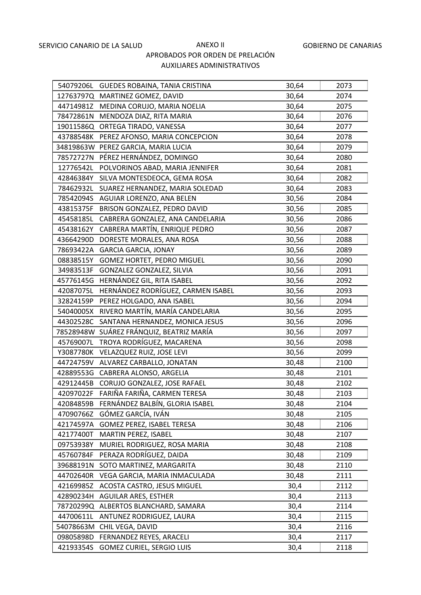|           | 54079206L GUEDES ROBAINA, TANIA CRISTINA | 30,64 | 2073 |
|-----------|------------------------------------------|-------|------|
|           | 12763797Q MARTINEZ GOMEZ, DAVID          | 30,64 | 2074 |
|           | 44714981Z MEDINA CORUJO, MARIA NOELIA    | 30,64 | 2075 |
|           | 78472861N MENDOZA DIAZ, RITA MARIA       | 30,64 | 2076 |
|           | 19011586Q ORTEGA TIRADO, VANESSA         | 30,64 | 2077 |
| 43788548K | PEREZ AFONSO, MARIA CONCEPCION           | 30,64 | 2078 |
|           | 34819863W PEREZ GARCIA, MARIA LUCIA      | 30,64 | 2079 |
| 78572727N | PÉREZ HERNÁNDEZ, DOMINGO                 | 30,64 | 2080 |
| 12776542L | POLVORINOS ABAD, MARIA JENNIFER          | 30,64 | 2081 |
| 42846384Y | SILVA MONTESDEOCA, GEMA ROSA             | 30,64 | 2082 |
| 78462932L | SUAREZ HERNANDEZ, MARIA SOLEDAD          | 30,64 | 2083 |
|           | 78542094S AGUIAR LORENZO, ANA BELEN      | 30,56 | 2084 |
| 43815375F | BRISON GONZALEZ, PEDRO DAVID             | 30,56 | 2085 |
| 45458185L | CABRERA GONZALEZ, ANA CANDELARIA         | 30,56 | 2086 |
| 45438162Y | CABRERA MARTÍN, ENRIQUE PEDRO            | 30,56 | 2087 |
| 43664290D | DORESTE MORALES, ANA ROSA                | 30,56 | 2088 |
| 78693422A | <b>GARCIA GARCIA, JONAY</b>              | 30,56 | 2089 |
| 08838515Y | GOMEZ HORTET, PEDRO MIGUEL               | 30,56 | 2090 |
| 34983513F | GONZALEZ GONZALEZ, SILVIA                | 30,56 | 2091 |
| 45776145G | HERNÁNDEZ GIL, RITA ISABEL               | 30,56 | 2092 |
| 42087075L | HERNÁNDEZ RODRÍGUEZ, CARMEN ISABEL       | 30,56 | 2093 |
| 32824159P | PEREZ HOLGADO, ANA ISABEL                | 30,56 | 2094 |
| 54040005X | RIVERO MARTÍN, MARÍA CANDELARIA          | 30,56 | 2095 |
| 44302528C | SANTANA HERNANDEZ, MONICA JESUS          | 30,56 | 2096 |
|           | 78528948W SUÁREZ FRÁNQUIZ, BEATRIZ MARÍA | 30,56 | 2097 |
| 45769007L | TROYA RODRÍGUEZ, MACARENA                | 30,56 | 2098 |
| Y3087780K | VELAZQUEZ RUIZ, JOSE LEVI                | 30,56 | 2099 |
| 44724759V | ALVAREZ CARBALLO, JONATAN                | 30,48 | 2100 |
| 42889553G | CABRERA ALONSO, ARGELIA                  | 30,48 | 2101 |
| 42912445B | CORUJO GONZALEZ, JOSE RAFAEL             | 30,48 | 2102 |
| 42097022F | FARIÑA FARIÑA, CARMEN TERESA             | 30,48 | 2103 |
| 42084859B | FERNÁNDEZ BALBÍN, GLORIA ISABEL          | 30,48 | 2104 |
| 47090766Z | GÓMEZ GARCÍA, IVÁN                       | 30,48 | 2105 |
| 42174597A | GOMEZ PEREZ, ISABEL TERESA               | 30,48 | 2106 |
| 42177400T | MARTIN PEREZ, ISABEL                     | 30,48 | 2107 |
| 09753938Y | MURIEL RODRIGUEZ, ROSA MARIA             | 30,48 | 2108 |
| 45760784F | PERAZA RODRÍGUEZ, DAIDA                  | 30,48 | 2109 |
| 39688191N | SOTO MARTINEZ, MARGARITA                 | 30,48 | 2110 |
| 44702640R | VEGA GARCIA, MARIA INMACULADA            | 30,48 | 2111 |
| 42169985Z | ACOSTA CASTRO, JESUS MIGUEL              | 30,4  | 2112 |
| 42890234H | <b>AGUILAR ARES, ESTHER</b>              | 30,4  | 2113 |
| 78720299Q | ALBERTOS BLANCHARD, SAMARA               | 30,4  | 2114 |
| 44700611L | ANTUNEZ RODRIGUEZ, LAURA                 | 30,4  | 2115 |
| 54078663M | CHIL VEGA, DAVID                         | 30,4  | 2116 |
| 09805898D | FERNANDEZ REYES, ARACELI                 | 30,4  | 2117 |
| 42193354S | <b>GOMEZ CURIEL, SERGIO LUIS</b>         | 30,4  | 2118 |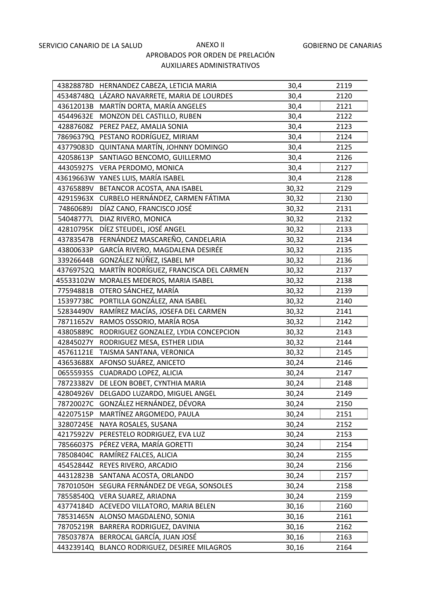|           | 43828878D HERNANDEZ CABEZA, LETICIA MARIA    | 30,4  | 2119 |
|-----------|----------------------------------------------|-------|------|
|           | 45348748Q LÁZARO NAVARRETE, MARIA DE LOURDES | 30,4  | 2120 |
|           | 43612013B MARTÍN DORTA, MARÍA ANGELES        | 30,4  | 2121 |
| 45449632E | MONZON DEL CASTILLO, RUBEN                   | 30,4  | 2122 |
|           | 42887608Z PEREZ PAEZ, AMALIA SONIA           | 30,4  | 2123 |
| 78696379Q | PESTANO RODRÍGUEZ, MIRIAM                    | 30,4  | 2124 |
|           | 43779083D QUINTANA MARTÍN, JOHNNY DOMINGO    | 30,4  | 2125 |
| 42058613P | SANTIAGO BENCOMO, GUILLERMO                  | 30,4  | 2126 |
|           | 44305927S VERA PERDOMO, MONICA               | 30,4  | 2127 |
|           | 43619663W YANES LUIS, MARÍA ISABEL           | 30,4  | 2128 |
| 43765889V | BETANCOR ACOSTA, ANA ISABEL                  | 30,32 | 2129 |
|           | 42915963X CURBELO HERNÁNDEZ, CARMEN FÁTIMA   | 30,32 | 2130 |
| 74860689J | DÍAZ CANO, FRANCISCO JOSÉ                    | 30,32 | 2131 |
| 54048777L | DIAZ RIVERO, MONICA                          | 30,32 | 2132 |
| 42810795K | DÍEZ STEUDEL, JOSÉ ANGEL                     | 30,32 | 2133 |
|           | 43783547B FERNÁNDEZ MASCAREÑO, CANDELARIA    | 30,32 | 2134 |
| 43800633P | GARCÍA RIVERO, MAGDALENA DESIRÉE             | 30,32 | 2135 |
| 33926644B | GONZÁLEZ NÚÑEZ, ISABEL Mª                    | 30,32 | 2136 |
| 43769752Q | MARTÍN RODRÍGUEZ, FRANCISCA DEL CARMEN       | 30,32 | 2137 |
|           | 45533102W MORALES MEDEROS, MARIA ISABEL      | 30,32 | 2138 |
|           | 77594881B OTERO SÁNCHEZ, MARÍA               | 30,32 | 2139 |
|           | 15397738C PORTILLA GONZÁLEZ, ANA ISABEL      | 30,32 | 2140 |
| 52834490V | RAMÍREZ MACÍAS, JOSEFA DEL CARMEN            | 30,32 | 2141 |
|           | 78711652V RAMOS OSSORIO, MARÍA ROSA          | 30,32 | 2142 |
| 43805889C | RODRIGUEZ GONZALEZ, LYDIA CONCEPCION         | 30,32 | 2143 |
| 42845027Y | RODRIGUEZ MESA, ESTHER LIDIA                 | 30,32 | 2144 |
| 45761121E | TAISMA SANTANA, VERONICA                     | 30,32 | 2145 |
| 43653688X | AFONSO SUÁREZ, ANICETO                       | 30,24 | 2146 |
| 06555935S | CUADRADO LOPEZ, ALICIA                       | 30,24 | 2147 |
| 78723382V | DE LEON BOBET, CYNTHIA MARIA                 | 30,24 | 2148 |
| 42804926V | DELGADO LUZARDO, MIGUEL ANGEL                | 30,24 | 2149 |
| 78720027C | GONZÁLEZ HERNÁNDEZ, DÉVORA                   | 30,24 | 2150 |
| 42207515P | MARTÍNEZ ARGOMEDO, PAULA                     | 30,24 | 2151 |
| 32807245E | NAYA ROSALES, SUSANA                         | 30,24 | 2152 |
| 42175922V | PERESTELO RODRIGUEZ, EVA LUZ                 | 30,24 | 2153 |
| 78566037S | PÉREZ VERA, MARÍA GORETTI                    | 30,24 | 2154 |
| 78508404C | RAMÍREZ FALCES, ALICIA                       | 30,24 | 2155 |
| 45452844Z | REYES RIVERO, ARCADIO                        | 30,24 | 2156 |
| 44312823B | SANTANA ACOSTA, ORLANDO                      | 30,24 | 2157 |
| 78701050H | SEGURA FERNÁNDEZ DE VEGA, SONSOLES           | 30,24 | 2158 |
| 78558540Q | VERA SUAREZ, ARIADNA                         | 30,24 | 2159 |
| 43774184D | ACEVEDO VILLATORO, MARIA BELEN               | 30,16 | 2160 |
| 78531465N | ALONSO MAGDALENO, SONIA                      | 30,16 | 2161 |
| 78705219R | BARRERA RODRIGUEZ, DAVINIA                   | 30,16 | 2162 |
| 78503787A | BERROCAL GARCÍA, JUAN JOSÉ                   | 30,16 | 2163 |
| 44323914Q | BLANCO RODRIGUEZ, DESIREE MILAGROS           | 30,16 | 2164 |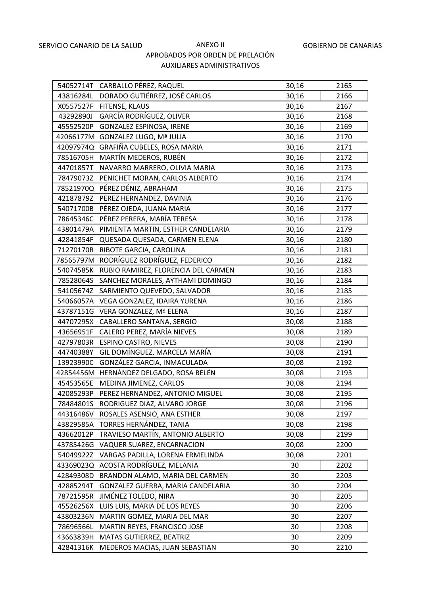|           | 54052714T CARBALLO PÉREZ, RAQUEL        | 30,16 | 2165 |
|-----------|-----------------------------------------|-------|------|
| 43816284L | DORADO GUTIÉRREZ, JOSÉ CARLOS           | 30,16 | 2166 |
| X0557527F | FITENSE, KLAUS                          | 30,16 | 2167 |
| 43292890J | GARCÍA RODRÍGUEZ, OLIVER                | 30,16 | 2168 |
| 45552520P | GONZALEZ ESPINOSA, IRENE                | 30,16 | 2169 |
|           | 42066177M GONZALEZ LUGO, Mª JULIA       | 30,16 | 2170 |
|           | 42097974Q GRAFIÑA CUBELES, ROSA MARIA   | 30,16 | 2171 |
| 78516705H | MARTÍN MEDEROS, RUBÉN                   | 30,16 | 2172 |
| 44701857T | NAVARRO MARRERO, OLIVIA MARIA           | 30,16 | 2173 |
| 78479073Z | PENICHET MORAN, CARLOS ALBERTO          | 30,16 | 2174 |
| 78521970Q | PÉREZ DÉNIZ, ABRAHAM                    | 30,16 | 2175 |
| 42187879Z | PEREZ HERNANDEZ, DAVINIA                | 30,16 | 2176 |
| 54071700B | PÉREZ OJEDA, JUANA MARIA                | 30,16 | 2177 |
| 78645346C | PÉREZ PERERA, MARÍA TERESA              | 30,16 | 2178 |
| 43801479A | PIMIENTA MARTIN, ESTHER CANDELARIA      | 30,16 | 2179 |
| 42841854F | QUESADA QUESADA, CARMEN ELENA           | 30,16 | 2180 |
| 71270170R | RIBOTE GARCIA, CAROLINA                 | 30,16 | 2181 |
| 78565797M | RODRÍGUEZ RODRÍGUEZ, FEDERICO           | 30,16 | 2182 |
| 54074585K | RUBIO RAMIREZ, FLORENCIA DEL CARMEN     | 30,16 | 2183 |
| 78528064S | SANCHEZ MORALES, AYTHAMI DOMINGO        | 30,16 | 2184 |
| 54105674Z | SARMIENTO QUEVEDO, SALVADOR             | 30,16 | 2185 |
| 54066057A | VEGA GONZALEZ, IDAIRA YURENA            | 30,16 | 2186 |
| 43787151G | VERA GONZALEZ, Mª ELENA                 | 30,16 | 2187 |
| 44707295X | CABALLERO SANTANA, SERGIO               | 30,08 | 2188 |
| 43656951F | CALERO PEREZ, MARÍA NIEVES              | 30,08 | 2189 |
| 42797803R | <b>ESPINO CASTRO, NIEVES</b>            | 30,08 | 2190 |
| 44740388Y | GIL DOMÍNGUEZ, MARCELA MARÍA            | 30,08 | 2191 |
| 13923990C | GONZÁLEZ GARCIA, INMACULADA             | 30,08 | 2192 |
|           | 42854456M HERNÁNDEZ DELGADO, ROSA BELÉN | 30,08 | 2193 |
| 45453565E | MEDINA JIMENEZ, CARLOS                  | 30,08 | 2194 |
| 42085293P | PEREZ HERNANDEZ, ANTONIO MIGUEL         | 30,08 | 2195 |
| 78484801S | RODRIGUEZ DIAZ, ALVARO JORGE            | 30,08 | 2196 |
| 44316486V | ROSALES ASENSIO, ANA ESTHER             | 30,08 | 2197 |
| 43829585A | TORRES HERNÁNDEZ, TANIA                 | 30,08 | 2198 |
| 43662012P | TRAVIESO MARTÍN, ANTONIO ALBERTO        | 30,08 | 2199 |
| 43785426G | VAQUER SUAREZ, ENCARNACION              | 30,08 | 2200 |
| 54049922Z | VARGAS PADILLA, LORENA ERMELINDA        | 30,08 | 2201 |
| 43369023Q | ACOSTA RODRÍGUEZ, MELANIA               | 30    | 2202 |
| 42849308D | BRANDON ALAMO, MARIA DEL CARMEN         | 30    | 2203 |
| 42885294T | GONZALEZ GUERRA, MARIA CANDELARIA       | 30    | 2204 |
| 78721595R | JIMÉNEZ TOLEDO, NIRA                    | 30    | 2205 |
| 45526256X | LUIS LUIS, MARIA DE LOS REYES           | 30    | 2206 |
| 43803236N | MARTIN GOMEZ, MARIA DEL MAR             | 30    | 2207 |
| 78696566L | MARTIN REYES, FRANCISCO JOSE            | 30    | 2208 |
| 43663839H | MATAS GUTIERREZ, BEATRIZ                | 30    | 2209 |
| 42841316K | MEDEROS MACIAS, JUAN SEBASTIAN          | 30    | 2210 |